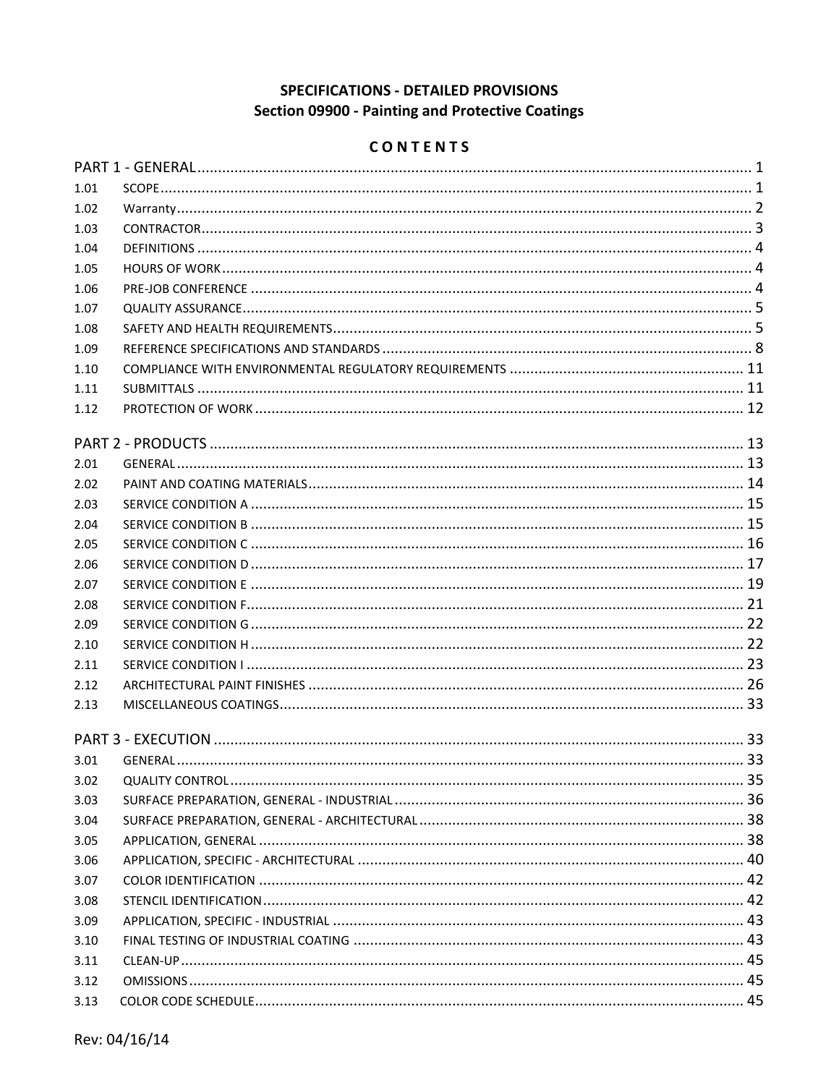# **SPECIFICATIONS - DETAILED PROVISIONS** Section 09900 - Painting and Protective Coatings

# CONTENTS

| 1.01 |  |
|------|--|
| 1.02 |  |
| 1.03 |  |
| 1.04 |  |
| 1.05 |  |
| 1.06 |  |
| 1.07 |  |
| 1.08 |  |
| 1.09 |  |
| 1.10 |  |
| 1.11 |  |
| 1.12 |  |
|      |  |
| 2.01 |  |
| 2.02 |  |
| 2.03 |  |
| 2.04 |  |
| 2.05 |  |
| 2.06 |  |
| 2.07 |  |
| 2.08 |  |
| 2.09 |  |
| 2.10 |  |
| 2.11 |  |
| 2.12 |  |
| 2.13 |  |
|      |  |
|      |  |
| 3.01 |  |
| 3.02 |  |
| 3.03 |  |
| 3.04 |  |
| 3.05 |  |
| 3.06 |  |
| 3.07 |  |
| 3.08 |  |
| 3.09 |  |
| 3.10 |  |
| 3.11 |  |
| 3.12 |  |
| 3.13 |  |
|      |  |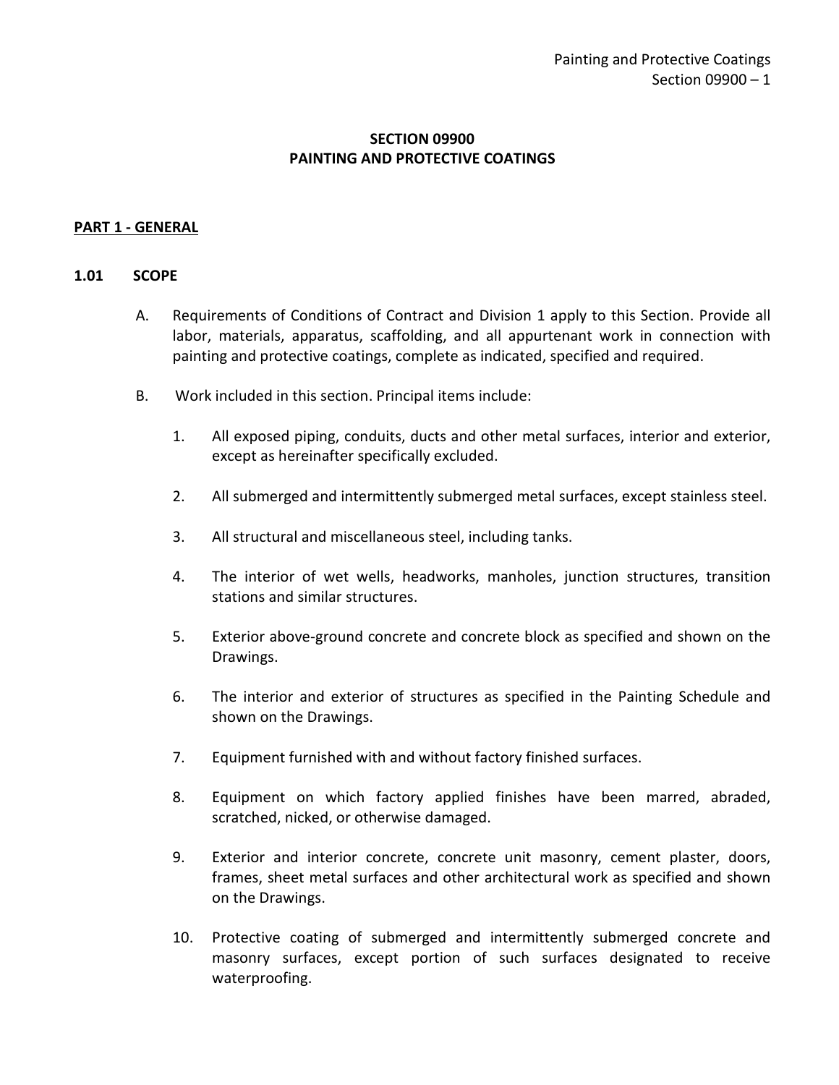### **SECTION 09900 PAINTING AND PROTECTIVE COATINGS**

### <span id="page-2-0"></span>**PART 1 - GENERAL**

#### <span id="page-2-1"></span>**1.01 SCOPE**

- A. Requirements of Conditions of Contract and Division 1 apply to this Section. Provide all labor, materials, apparatus, scaffolding, and all appurtenant work in connection with painting and protective coatings, complete as indicated, specified and required.
- B. Work included in this section. Principal items include:
	- 1. All exposed piping, conduits, ducts and other metal surfaces, interior and exterior, except as hereinafter specifically excluded.
	- 2. All submerged and intermittently submerged metal surfaces, except stainless steel.
	- 3. All structural and miscellaneous steel, including tanks.
	- 4. The interior of wet wells, headworks, manholes, junction structures, transition stations and similar structures.
	- 5. Exterior above-ground concrete and concrete block as specified and shown on the Drawings.
	- 6. The interior and exterior of structures as specified in the Painting Schedule and shown on the Drawings.
	- 7. Equipment furnished with and without factory finished surfaces.
	- 8. Equipment on which factory applied finishes have been marred, abraded, scratched, nicked, or otherwise damaged.
	- 9. Exterior and interior concrete, concrete unit masonry, cement plaster, doors, frames, sheet metal surfaces and other architectural work as specified and shown on the Drawings.
	- 10. Protective coating of submerged and intermittently submerged concrete and masonry surfaces, except portion of such surfaces designated to receive waterproofing.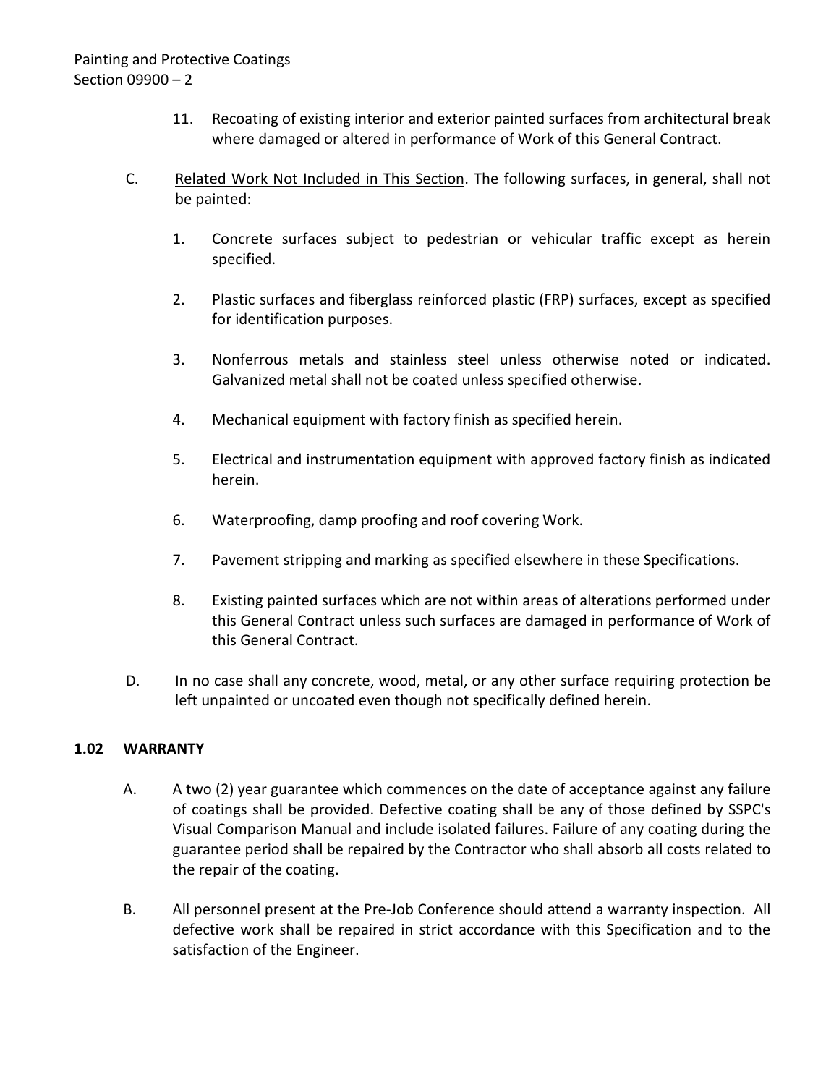- 11. Recoating of existing interior and exterior painted surfaces from architectural break where damaged or altered in performance of Work of this General Contract.
- C. Related Work Not Included in This Section. The following surfaces, in general, shall not be painted:
	- 1. Concrete surfaces subject to pedestrian or vehicular traffic except as herein specified.
	- 2. Plastic surfaces and fiberglass reinforced plastic (FRP) surfaces, except as specified for identification purposes.
	- 3. Nonferrous metals and stainless steel unless otherwise noted or indicated. Galvanized metal shall not be coated unless specified otherwise.
	- 4. Mechanical equipment with factory finish as specified herein.
	- 5. Electrical and instrumentation equipment with approved factory finish as indicated herein.
	- 6. Waterproofing, damp proofing and roof covering Work.
	- 7. Pavement stripping and marking as specified elsewhere in these Specifications.
	- 8. Existing painted surfaces which are not within areas of alterations performed under this General Contract unless such surfaces are damaged in performance of Work of this General Contract.
- D. In no case shall any concrete, wood, metal, or any other surface requiring protection be left unpainted or uncoated even though not specifically defined herein.

## <span id="page-3-0"></span>**1.02 WARRANTY**

- A. A two (2) year guarantee which commences on the date of acceptance against any failure of coatings shall be provided. Defective coating shall be any of those defined by SSPC's Visual Comparison Manual and include isolated failures. Failure of any coating during the guarantee period shall be repaired by the Contractor who shall absorb all costs related to the repair of the coating.
- B. All personnel present at the Pre-Job Conference should attend a warranty inspection. All defective work shall be repaired in strict accordance with this Specification and to the satisfaction of the Engineer.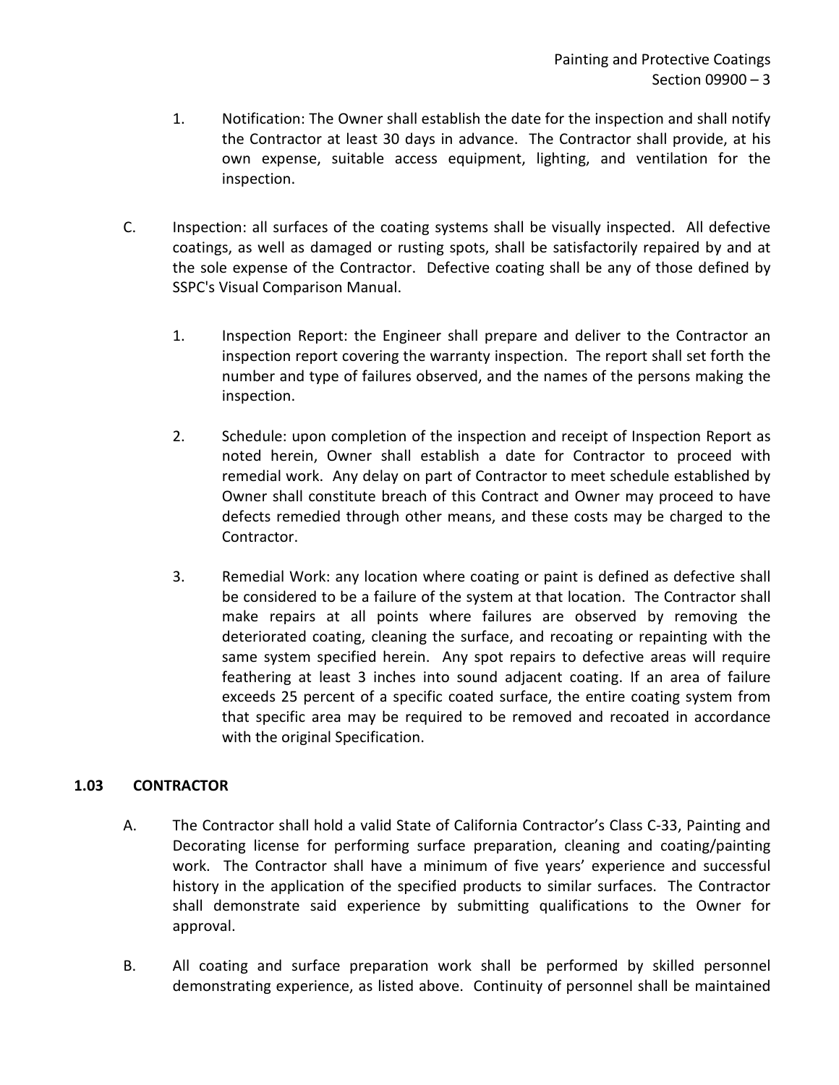- 1. Notification: The Owner shall establish the date for the inspection and shall notify the Contractor at least 30 days in advance. The Contractor shall provide, at his own expense, suitable access equipment, lighting, and ventilation for the inspection.
- C. Inspection: all surfaces of the coating systems shall be visually inspected. All defective coatings, as well as damaged or rusting spots, shall be satisfactorily repaired by and at the sole expense of the Contractor. Defective coating shall be any of those defined by SSPC's Visual Comparison Manual.
	- 1. Inspection Report: the Engineer shall prepare and deliver to the Contractor an inspection report covering the warranty inspection. The report shall set forth the number and type of failures observed, and the names of the persons making the inspection.
	- 2. Schedule: upon completion of the inspection and receipt of Inspection Report as noted herein, Owner shall establish a date for Contractor to proceed with remedial work. Any delay on part of Contractor to meet schedule established by Owner shall constitute breach of this Contract and Owner may proceed to have defects remedied through other means, and these costs may be charged to the Contractor.
	- 3. Remedial Work: any location where coating or paint is defined as defective shall be considered to be a failure of the system at that location. The Contractor shall make repairs at all points where failures are observed by removing the deteriorated coating, cleaning the surface, and recoating or repainting with the same system specified herein. Any spot repairs to defective areas will require feathering at least 3 inches into sound adjacent coating. If an area of failure exceeds 25 percent of a specific coated surface, the entire coating system from that specific area may be required to be removed and recoated in accordance with the original Specification.

### <span id="page-4-0"></span>**1.03 CONTRACTOR**

- A. The Contractor shall hold a valid State of California Contractor's Class C-33, Painting and Decorating license for performing surface preparation, cleaning and coating/painting work. The Contractor shall have a minimum of five years' experience and successful history in the application of the specified products to similar surfaces. The Contractor shall demonstrate said experience by submitting qualifications to the Owner for approval.
- B. All coating and surface preparation work shall be performed by skilled personnel demonstrating experience, as listed above. Continuity of personnel shall be maintained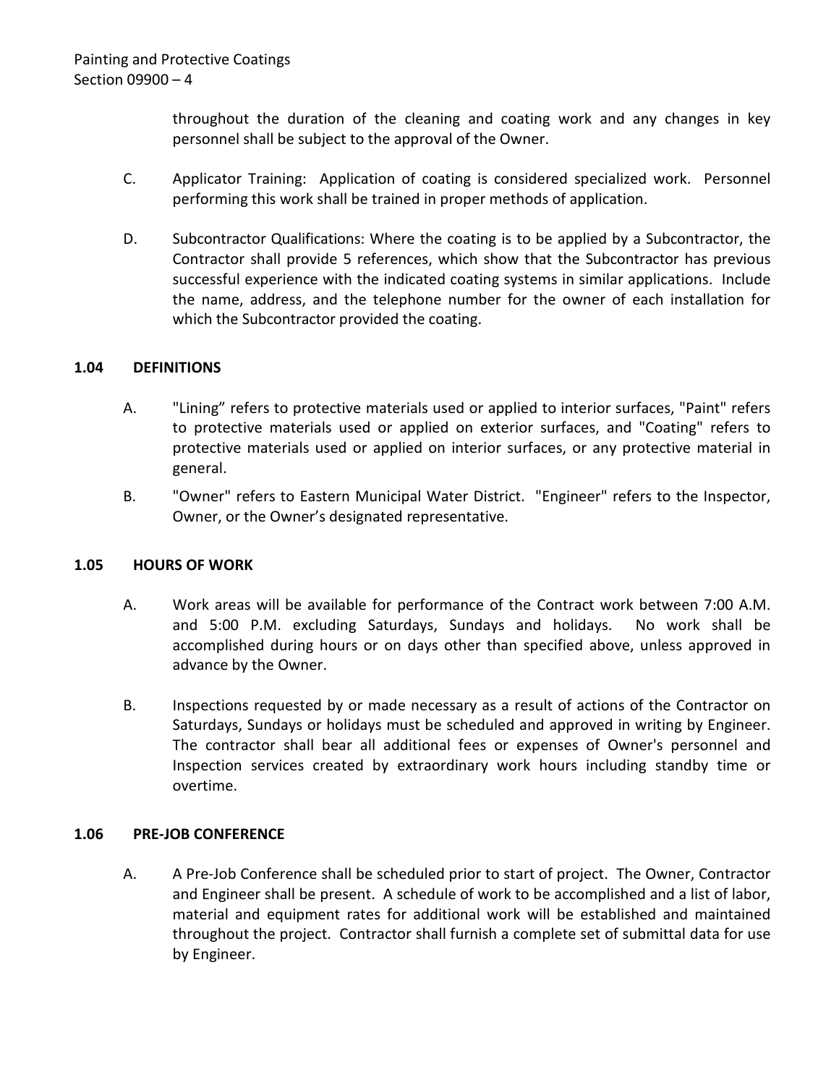throughout the duration of the cleaning and coating work and any changes in key personnel shall be subject to the approval of the Owner.

- C. Applicator Training: Application of coating is considered specialized work. Personnel performing this work shall be trained in proper methods of application.
- D. Subcontractor Qualifications: Where the coating is to be applied by a Subcontractor, the Contractor shall provide 5 references, which show that the Subcontractor has previous successful experience with the indicated coating systems in similar applications. Include the name, address, and the telephone number for the owner of each installation for which the Subcontractor provided the coating.

### <span id="page-5-0"></span>**1.04 DEFINITIONS**

- A. "Lining" refers to protective materials used or applied to interior surfaces, "Paint" refers to protective materials used or applied on exterior surfaces, and "Coating" refers to protective materials used or applied on interior surfaces, or any protective material in general.
- B. "Owner" refers to Eastern Municipal Water District. "Engineer" refers to the Inspector, Owner, or the Owner's designated representative.

### <span id="page-5-1"></span>**1.05 HOURS OF WORK**

- A. Work areas will be available for performance of the Contract work between 7:00 A.M. and 5:00 P.M. excluding Saturdays, Sundays and holidays. No work shall be accomplished during hours or on days other than specified above, unless approved in advance by the Owner.
- B. Inspections requested by or made necessary as a result of actions of the Contractor on Saturdays, Sundays or holidays must be scheduled and approved in writing by Engineer. The contractor shall bear all additional fees or expenses of Owner's personnel and Inspection services created by extraordinary work hours including standby time or overtime.

### <span id="page-5-2"></span>**1.06 PRE-JOB CONFERENCE**

A. A Pre-Job Conference shall be scheduled prior to start of project. The Owner, Contractor and Engineer shall be present. A schedule of work to be accomplished and a list of labor, material and equipment rates for additional work will be established and maintained throughout the project. Contractor shall furnish a complete set of submittal data for use by Engineer.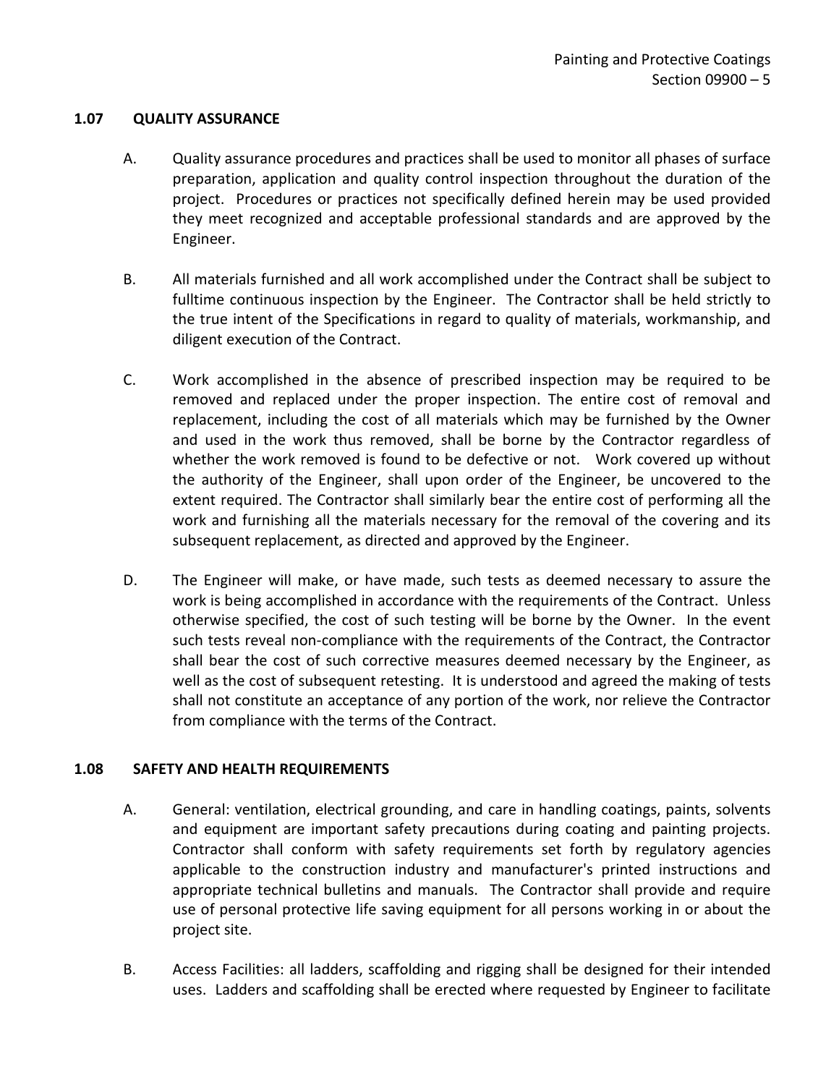#### <span id="page-6-0"></span>**1.07 QUALITY ASSURANCE**

- A. Quality assurance procedures and practices shall be used to monitor all phases of surface preparation, application and quality control inspection throughout the duration of the project. Procedures or practices not specifically defined herein may be used provided they meet recognized and acceptable professional standards and are approved by the Engineer.
- B. All materials furnished and all work accomplished under the Contract shall be subject to fulltime continuous inspection by the Engineer. The Contractor shall be held strictly to the true intent of the Specifications in regard to quality of materials, workmanship, and diligent execution of the Contract.
- C. Work accomplished in the absence of prescribed inspection may be required to be removed and replaced under the proper inspection. The entire cost of removal and replacement, including the cost of all materials which may be furnished by the Owner and used in the work thus removed, shall be borne by the Contractor regardless of whether the work removed is found to be defective or not. Work covered up without the authority of the Engineer, shall upon order of the Engineer, be uncovered to the extent required. The Contractor shall similarly bear the entire cost of performing all the work and furnishing all the materials necessary for the removal of the covering and its subsequent replacement, as directed and approved by the Engineer.
- D. The Engineer will make, or have made, such tests as deemed necessary to assure the work is being accomplished in accordance with the requirements of the Contract. Unless otherwise specified, the cost of such testing will be borne by the Owner. In the event such tests reveal non-compliance with the requirements of the Contract, the Contractor shall bear the cost of such corrective measures deemed necessary by the Engineer, as well as the cost of subsequent retesting. It is understood and agreed the making of tests shall not constitute an acceptance of any portion of the work, nor relieve the Contractor from compliance with the terms of the Contract.

### <span id="page-6-1"></span>**1.08 SAFETY AND HEALTH REQUIREMENTS**

- A. General: ventilation, electrical grounding, and care in handling coatings, paints, solvents and equipment are important safety precautions during coating and painting projects. Contractor shall conform with safety requirements set forth by regulatory agencies applicable to the construction industry and manufacturer's printed instructions and appropriate technical bulletins and manuals. The Contractor shall provide and require use of personal protective life saving equipment for all persons working in or about the project site.
- B. Access Facilities: all ladders, scaffolding and rigging shall be designed for their intended uses. Ladders and scaffolding shall be erected where requested by Engineer to facilitate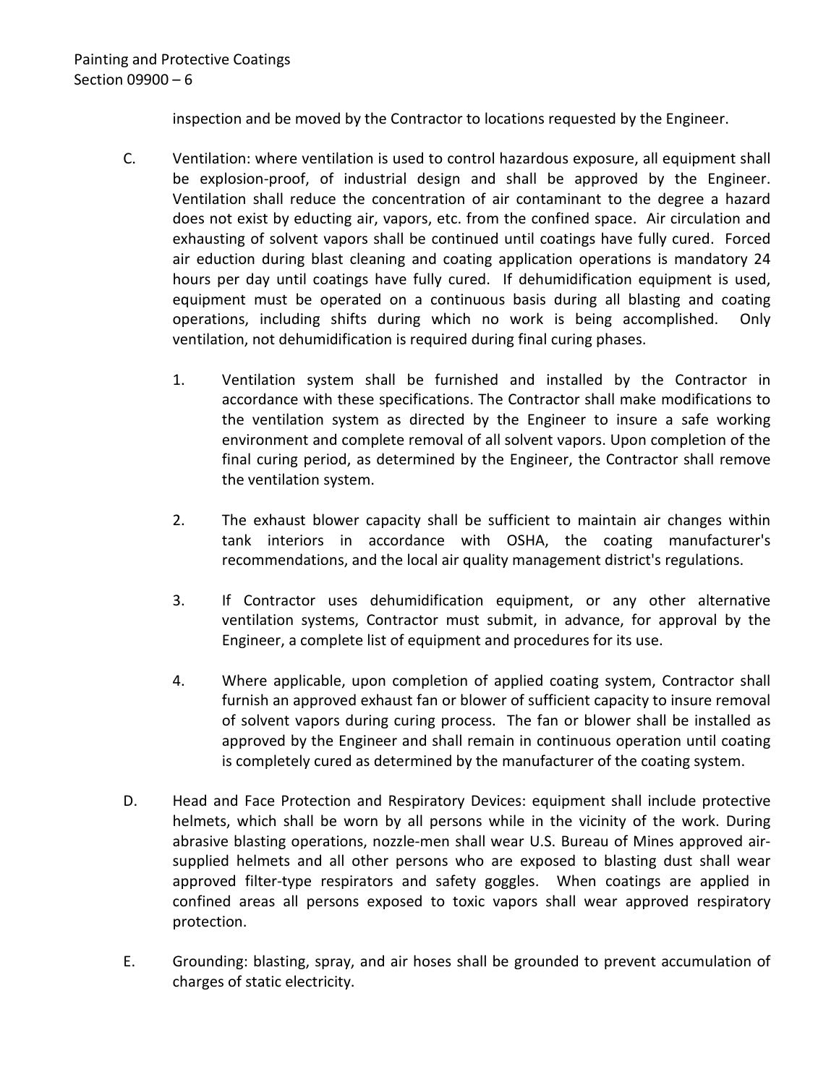inspection and be moved by the Contractor to locations requested by the Engineer.

- C. Ventilation: where ventilation is used to control hazardous exposure, all equipment shall be explosion-proof, of industrial design and shall be approved by the Engineer. Ventilation shall reduce the concentration of air contaminant to the degree a hazard does not exist by educting air, vapors, etc. from the confined space. Air circulation and exhausting of solvent vapors shall be continued until coatings have fully cured. Forced air eduction during blast cleaning and coating application operations is mandatory 24 hours per day until coatings have fully cured. If dehumidification equipment is used, equipment must be operated on a continuous basis during all blasting and coating operations, including shifts during which no work is being accomplished. Only ventilation, not dehumidification is required during final curing phases.
	- 1. Ventilation system shall be furnished and installed by the Contractor in accordance with these specifications. The Contractor shall make modifications to the ventilation system as directed by the Engineer to insure a safe working environment and complete removal of all solvent vapors. Upon completion of the final curing period, as determined by the Engineer, the Contractor shall remove the ventilation system.
	- 2. The exhaust blower capacity shall be sufficient to maintain air changes within tank interiors in accordance with OSHA, the coating manufacturer's recommendations, and the local air quality management district's regulations.
	- 3. If Contractor uses dehumidification equipment, or any other alternative ventilation systems, Contractor must submit, in advance, for approval by the Engineer, a complete list of equipment and procedures for its use.
	- 4. Where applicable, upon completion of applied coating system, Contractor shall furnish an approved exhaust fan or blower of sufficient capacity to insure removal of solvent vapors during curing process. The fan or blower shall be installed as approved by the Engineer and shall remain in continuous operation until coating is completely cured as determined by the manufacturer of the coating system.
- D. Head and Face Protection and Respiratory Devices: equipment shall include protective helmets, which shall be worn by all persons while in the vicinity of the work. During abrasive blasting operations, nozzle-men shall wear U.S. Bureau of Mines approved airsupplied helmets and all other persons who are exposed to blasting dust shall wear approved filter-type respirators and safety goggles. When coatings are applied in confined areas all persons exposed to toxic vapors shall wear approved respiratory protection.
- E. Grounding: blasting, spray, and air hoses shall be grounded to prevent accumulation of charges of static electricity.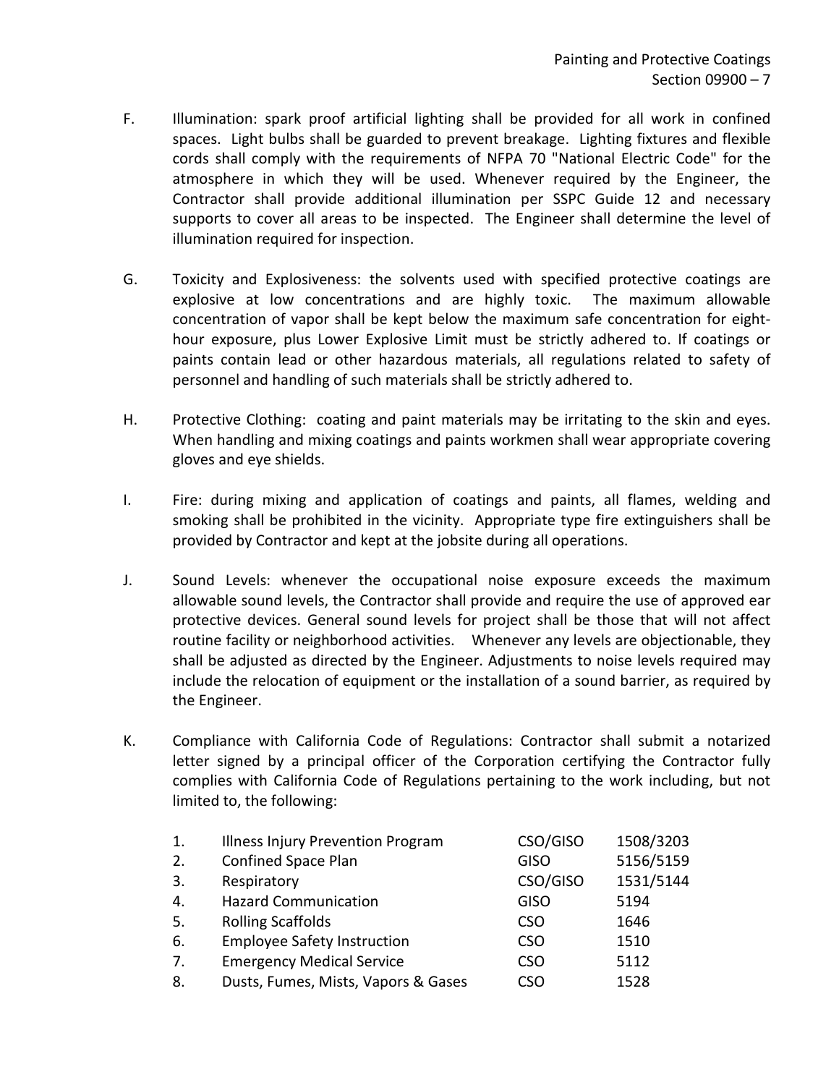- F. Illumination: spark proof artificial lighting shall be provided for all work in confined spaces. Light bulbs shall be guarded to prevent breakage. Lighting fixtures and flexible cords shall comply with the requirements of NFPA 70 "National Electric Code" for the atmosphere in which they will be used. Whenever required by the Engineer, the Contractor shall provide additional illumination per SSPC Guide 12 and necessary supports to cover all areas to be inspected. The Engineer shall determine the level of illumination required for inspection.
- G. Toxicity and Explosiveness: the solvents used with specified protective coatings are explosive at low concentrations and are highly toxic. The maximum allowable concentration of vapor shall be kept below the maximum safe concentration for eighthour exposure, plus Lower Explosive Limit must be strictly adhered to. If coatings or paints contain lead or other hazardous materials, all regulations related to safety of personnel and handling of such materials shall be strictly adhered to.
- H. Protective Clothing: coating and paint materials may be irritating to the skin and eyes. When handling and mixing coatings and paints workmen shall wear appropriate covering gloves and eye shields.
- I. Fire: during mixing and application of coatings and paints, all flames, welding and smoking shall be prohibited in the vicinity. Appropriate type fire extinguishers shall be provided by Contractor and kept at the jobsite during all operations.
- J. Sound Levels: whenever the occupational noise exposure exceeds the maximum allowable sound levels, the Contractor shall provide and require the use of approved ear protective devices. General sound levels for project shall be those that will not affect routine facility or neighborhood activities. Whenever any levels are objectionable, they shall be adjusted as directed by the Engineer. Adjustments to noise levels required may include the relocation of equipment or the installation of a sound barrier, as required by the Engineer.
- K. Compliance with California Code of Regulations: Contractor shall submit a notarized letter signed by a principal officer of the Corporation certifying the Contractor fully complies with California Code of Regulations pertaining to the work including, but not limited to, the following:

| 1.  | <b>Illness Injury Prevention Program</b> | CSO/GISO    | 1508/3203 |
|-----|------------------------------------------|-------------|-----------|
| 2.  | <b>Confined Space Plan</b>               | <b>GISO</b> | 5156/5159 |
| 3.  | Respiratory                              | CSO/GISO    | 1531/5144 |
| 4.  | <b>Hazard Communication</b>              | <b>GISO</b> | 5194      |
| -5. | <b>Rolling Scaffolds</b>                 | <b>CSO</b>  | 1646      |
| 6.  | <b>Employee Safety Instruction</b>       | <b>CSO</b>  | 1510      |
| 7.  | <b>Emergency Medical Service</b>         | <b>CSO</b>  | 5112      |
| 8.  | Dusts, Fumes, Mists, Vapors & Gases      | CSO         | 1528      |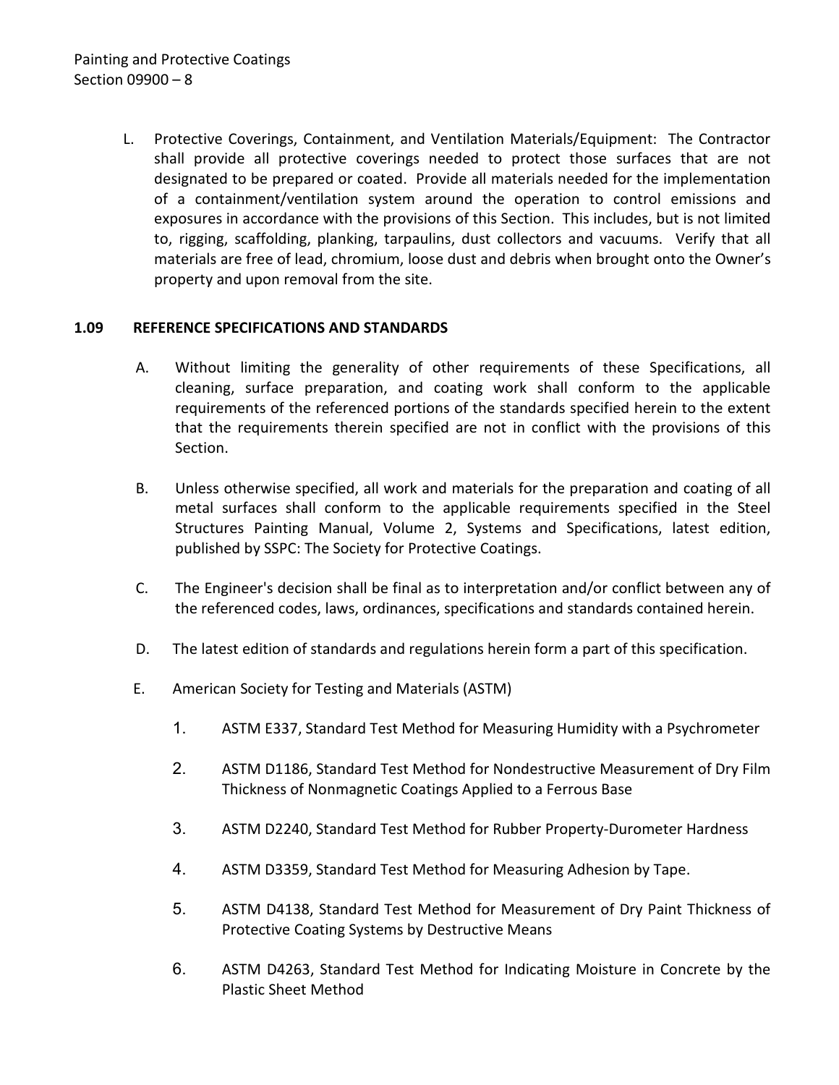L. Protective Coverings, Containment, and Ventilation Materials/Equipment: The Contractor shall provide all protective coverings needed to protect those surfaces that are not designated to be prepared or coated. Provide all materials needed for the implementation of a containment/ventilation system around the operation to control emissions and exposures in accordance with the provisions of this Section. This includes, but is not limited to, rigging, scaffolding, planking, tarpaulins, dust collectors and vacuums. Verify that all materials are free of lead, chromium, loose dust and debris when brought onto the Owner's property and upon removal from the site.

### <span id="page-9-0"></span>**1.09 REFERENCE SPECIFICATIONS AND STANDARDS**

- A. Without limiting the generality of other requirements of these Specifications, all cleaning, surface preparation, and coating work shall conform to the applicable requirements of the referenced portions of the standards specified herein to the extent that the requirements therein specified are not in conflict with the provisions of this Section.
- B. Unless otherwise specified, all work and materials for the preparation and coating of all metal surfaces shall conform to the applicable requirements specified in the Steel Structures Painting Manual, Volume 2, Systems and Specifications, latest edition, published by SSPC: The Society for Protective Coatings.
- C. The Engineer's decision shall be final as to interpretation and/or conflict between any of the referenced codes, laws, ordinances, specifications and standards contained herein.
- D. The latest edition of standards and regulations herein form a part of this specification.
- E. American Society for Testing and Materials (ASTM)
	- 1. ASTM E337, Standard Test Method for Measuring Humidity with a Psychrometer
	- 2. ASTM D1186, Standard Test Method for Nondestructive Measurement of Dry Film Thickness of Nonmagnetic Coatings Applied to a Ferrous Base
	- 3. ASTM D2240, Standard Test Method for Rubber Property-Durometer Hardness
	- 4. ASTM D3359, Standard Test Method for Measuring Adhesion by Tape.
	- 5. ASTM D4138, Standard Test Method for Measurement of Dry Paint Thickness of Protective Coating Systems by Destructive Means
	- 6. ASTM D4263, Standard Test Method for Indicating Moisture in Concrete by the Plastic Sheet Method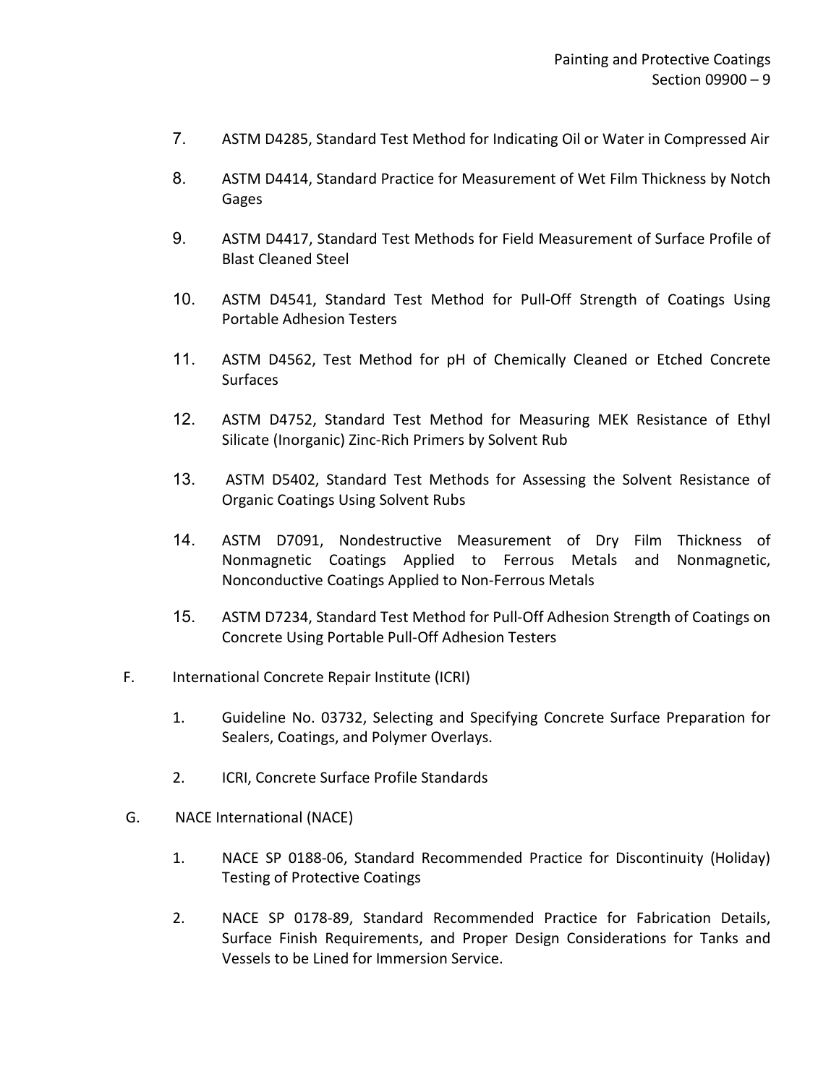- 7. ASTM D4285, Standard Test Method for Indicating Oil or Water in Compressed Air
- 8. ASTM D4414, Standard Practice for Measurement of Wet Film Thickness by Notch Gages
- 9. ASTM D4417, Standard Test Methods for Field Measurement of Surface Profile of Blast Cleaned Steel
- 10. ASTM D4541, Standard Test Method for Pull-Off Strength of Coatings Using Portable Adhesion Testers
- 11. ASTM D4562, Test Method for pH of Chemically Cleaned or Etched Concrete **Surfaces**
- 12. ASTM D4752, Standard Test Method for Measuring MEK Resistance of Ethyl Silicate (Inorganic) Zinc-Rich Primers by Solvent Rub
- 13. ASTM D5402, Standard Test Methods for Assessing the Solvent Resistance of Organic Coatings Using Solvent Rubs
- 14. ASTM D7091, Nondestructive Measurement of Dry Film Thickness of Nonmagnetic Coatings Applied to Ferrous Metals and Nonmagnetic, Nonconductive Coatings Applied to Non-Ferrous Metals
- 15. ASTM D7234, Standard Test Method for Pull-Off Adhesion Strength of Coatings on Concrete Using Portable Pull-Off Adhesion Testers
- F. International Concrete Repair Institute (ICRI)
	- 1. Guideline No. 03732, Selecting and Specifying Concrete Surface Preparation for Sealers, Coatings, and Polymer Overlays.
	- 2. ICRI, Concrete Surface Profile Standards
- G. NACE International (NACE)
	- 1. NACE SP 0188-06, Standard Recommended Practice for Discontinuity (Holiday) Testing of Protective Coatings
	- 2. NACE SP 0178-89, Standard Recommended Practice for Fabrication Details, Surface Finish Requirements, and Proper Design Considerations for Tanks and Vessels to be Lined for Immersion Service.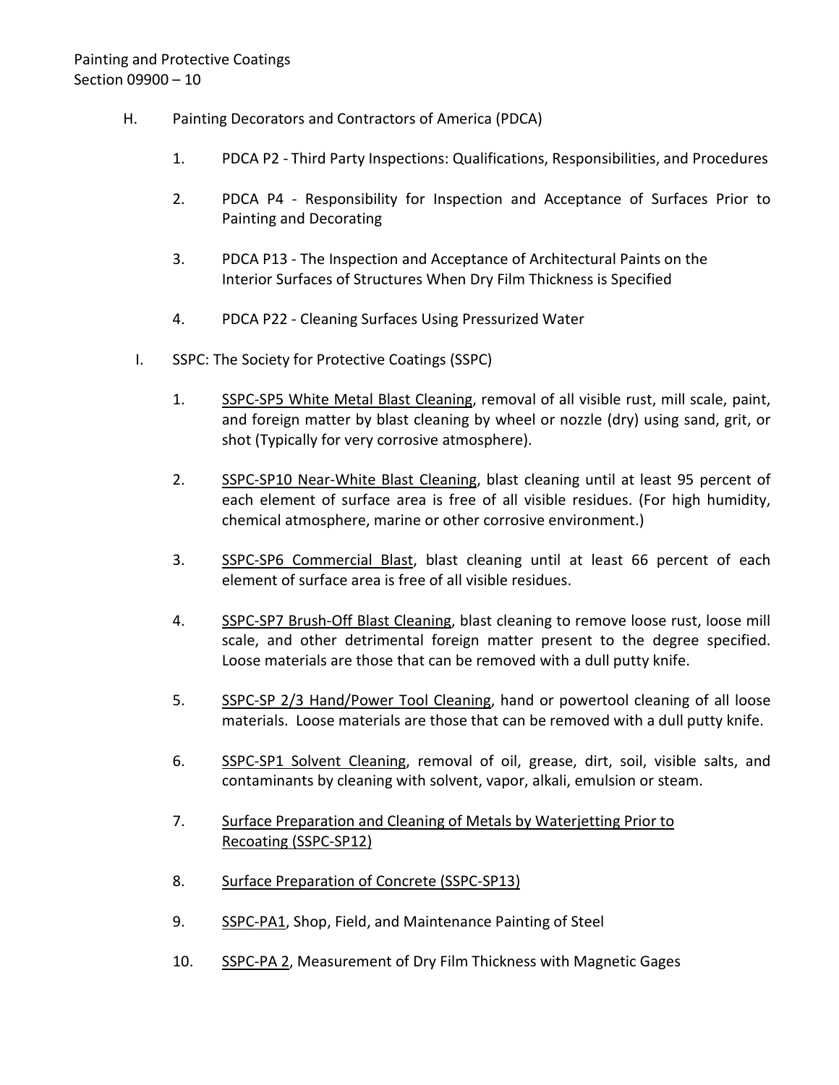- H. Painting Decorators and Contractors of America (PDCA)
	- 1. PDCA P2 Third Party Inspections: Qualifications, Responsibilities, and Procedures
	- 2. PDCA P4 Responsibility for Inspection and Acceptance of Surfaces Prior to Painting and Decorating
	- 3. PDCA P13 The Inspection and Acceptance of Architectural Paints on the Interior Surfaces of Structures When Dry Film Thickness is Specified
	- 4. PDCA P22 Cleaning Surfaces Using Pressurized Water
	- I. SSPC: The Society for Protective Coatings (SSPC)
		- 1. SSPC-SP5 White Metal Blast Cleaning, removal of all visible rust, mill scale, paint, and foreign matter by blast cleaning by wheel or nozzle (dry) using sand, grit, or shot (Typically for very corrosive atmosphere).
		- 2. SSPC-SP10 Near-White Blast Cleaning, blast cleaning until at least 95 percent of each element of surface area is free of all visible residues. (For high humidity, chemical atmosphere, marine or other corrosive environment.)
		- 3. SSPC-SP6 Commercial Blast, blast cleaning until at least 66 percent of each element of surface area is free of all visible residues.
		- 4. SSPC-SP7 Brush-Off Blast Cleaning, blast cleaning to remove loose rust, loose mill scale, and other detrimental foreign matter present to the degree specified. Loose materials are those that can be removed with a dull putty knife.
		- 5. SSPC-SP 2/3 Hand/Power Tool Cleaning, hand or powertool cleaning of all loose materials. Loose materials are those that can be removed with a dull putty knife.
		- 6. SSPC-SP1 Solvent Cleaning, removal of oil, grease, dirt, soil, visible salts, and contaminants by cleaning with solvent, vapor, alkali, emulsion or steam.
		- 7. Surface Preparation and Cleaning of Metals by Waterjetting Prior to Recoating (SSPC-SP12)
		- 8. Surface Preparation of Concrete (SSPC-SP13)
		- 9. SSPC-PA1, Shop, Field, and Maintenance Painting of Steel
		- 10. SSPC-PA 2, Measurement of Dry Film Thickness with Magnetic Gages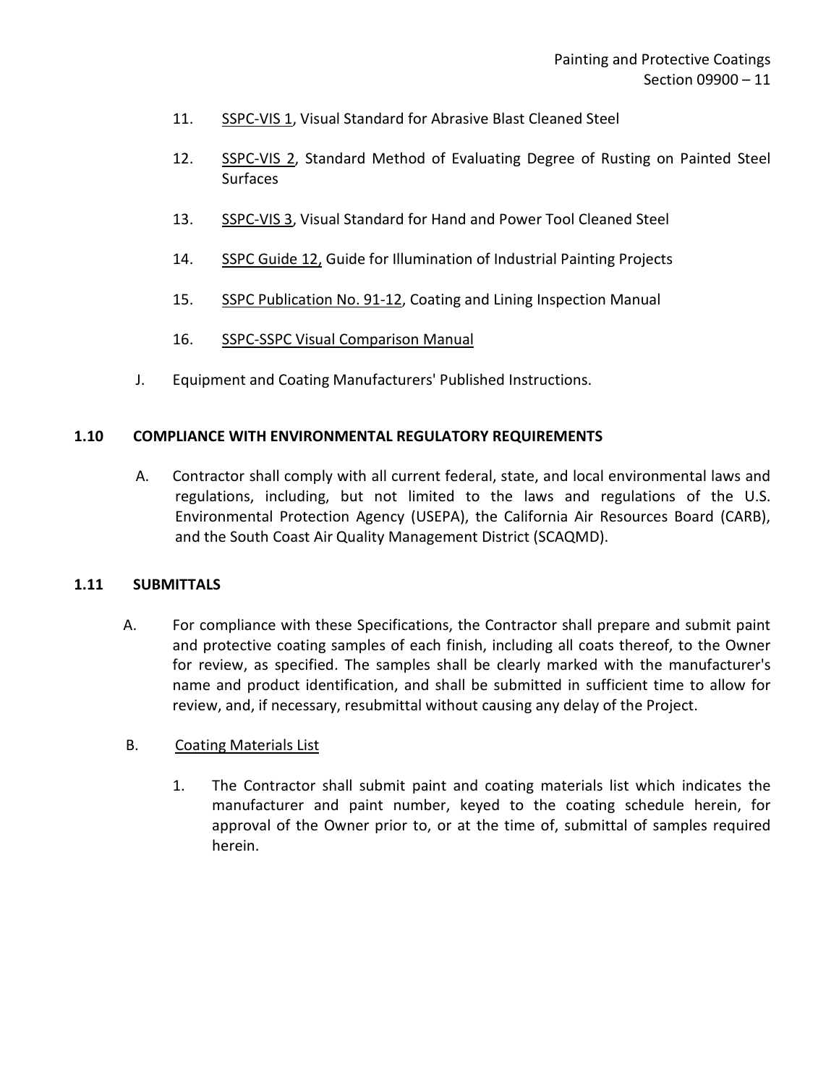- 11. SSPC-VIS 1, Visual Standard for Abrasive Blast Cleaned Steel
- 12. SSPC-VIS 2, Standard Method of Evaluating Degree of Rusting on Painted Steel Surfaces
- 13. SSPC-VIS 3, Visual Standard for Hand and Power Tool Cleaned Steel
- 14. SSPC Guide 12, Guide for Illumination of Industrial Painting Projects
- 15. SSPC Publication No. 91-12, Coating and Lining Inspection Manual
- 16. SSPC-SSPC Visual Comparison Manual
- J. Equipment and Coating Manufacturers' Published Instructions.

### <span id="page-12-0"></span>**1.10 COMPLIANCE WITH ENVIRONMENTAL REGULATORY REQUIREMENTS**

A. Contractor shall comply with all current federal, state, and local environmental laws and regulations, including, but not limited to the laws and regulations of the U.S. Environmental Protection Agency (USEPA), the California Air Resources Board (CARB), and the South Coast Air Quality Management District (SCAQMD).

### <span id="page-12-1"></span>**1.11 SUBMITTALS**

A. For compliance with these Specifications, the Contractor shall prepare and submit paint and protective coating samples of each finish, including all coats thereof, to the Owner for review, as specified. The samples shall be clearly marked with the manufacturer's name and product identification, and shall be submitted in sufficient time to allow for review, and, if necessary, resubmittal without causing any delay of the Project.

### B. Coating Materials List

1. The Contractor shall submit paint and coating materials list which indicates the manufacturer and paint number, keyed to the coating schedule herein, for approval of the Owner prior to, or at the time of, submittal of samples required herein.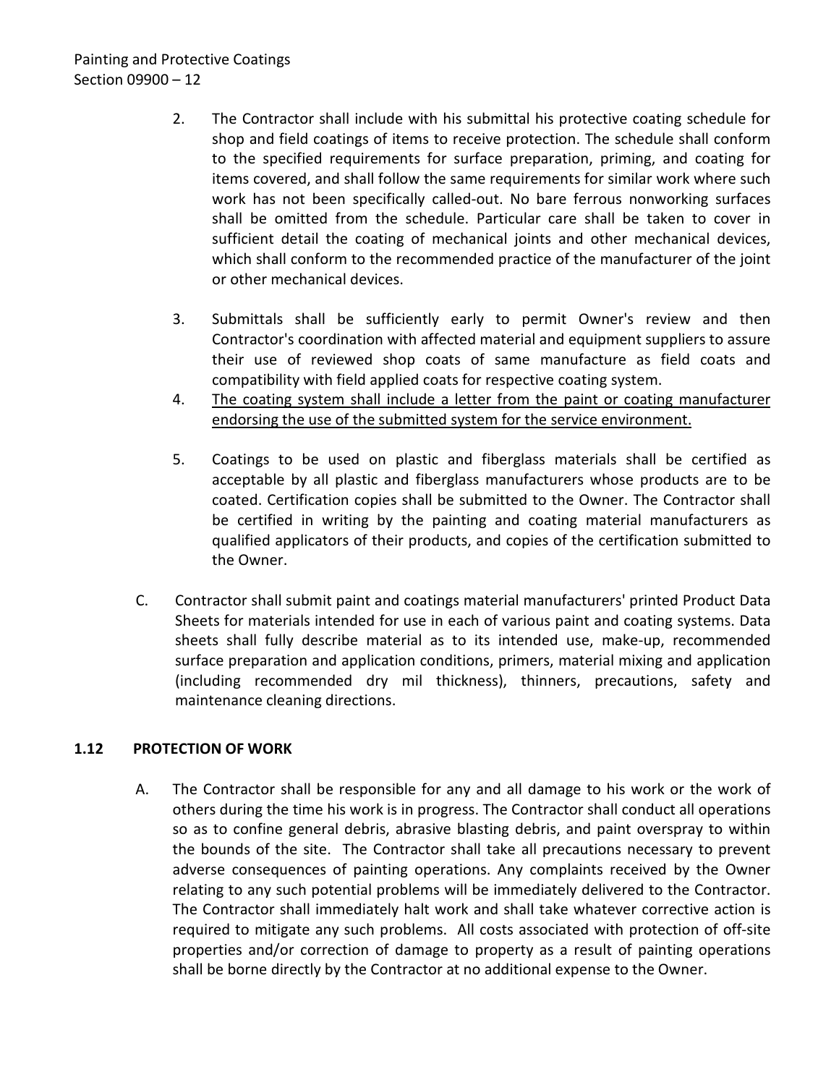- 2. The Contractor shall include with his submittal his protective coating schedule for shop and field coatings of items to receive protection. The schedule shall conform to the specified requirements for surface preparation, priming, and coating for items covered, and shall follow the same requirements for similar work where such work has not been specifically called-out. No bare ferrous nonworking surfaces shall be omitted from the schedule. Particular care shall be taken to cover in sufficient detail the coating of mechanical joints and other mechanical devices, which shall conform to the recommended practice of the manufacturer of the joint or other mechanical devices.
- 3. Submittals shall be sufficiently early to permit Owner's review and then Contractor's coordination with affected material and equipment suppliers to assure their use of reviewed shop coats of same manufacture as field coats and compatibility with field applied coats for respective coating system.
- 4. The coating system shall include a letter from the paint or coating manufacturer endorsing the use of the submitted system for the service environment.
- 5. Coatings to be used on plastic and fiberglass materials shall be certified as acceptable by all plastic and fiberglass manufacturers whose products are to be coated. Certification copies shall be submitted to the Owner. The Contractor shall be certified in writing by the painting and coating material manufacturers as qualified applicators of their products, and copies of the certification submitted to the Owner.
- C. Contractor shall submit paint and coatings material manufacturers' printed Product Data Sheets for materials intended for use in each of various paint and coating systems. Data sheets shall fully describe material as to its intended use, make-up, recommended surface preparation and application conditions, primers, material mixing and application (including recommended dry mil thickness), thinners, precautions, safety and maintenance cleaning directions.

## <span id="page-13-0"></span>**1.12 PROTECTION OF WORK**

A. The Contractor shall be responsible for any and all damage to his work or the work of others during the time his work is in progress. The Contractor shall conduct all operations so as to confine general debris, abrasive blasting debris, and paint overspray to within the bounds of the site. The Contractor shall take all precautions necessary to prevent adverse consequences of painting operations. Any complaints received by the Owner relating to any such potential problems will be immediately delivered to the Contractor. The Contractor shall immediately halt work and shall take whatever corrective action is required to mitigate any such problems. All costs associated with protection of off-site properties and/or correction of damage to property as a result of painting operations shall be borne directly by the Contractor at no additional expense to the Owner.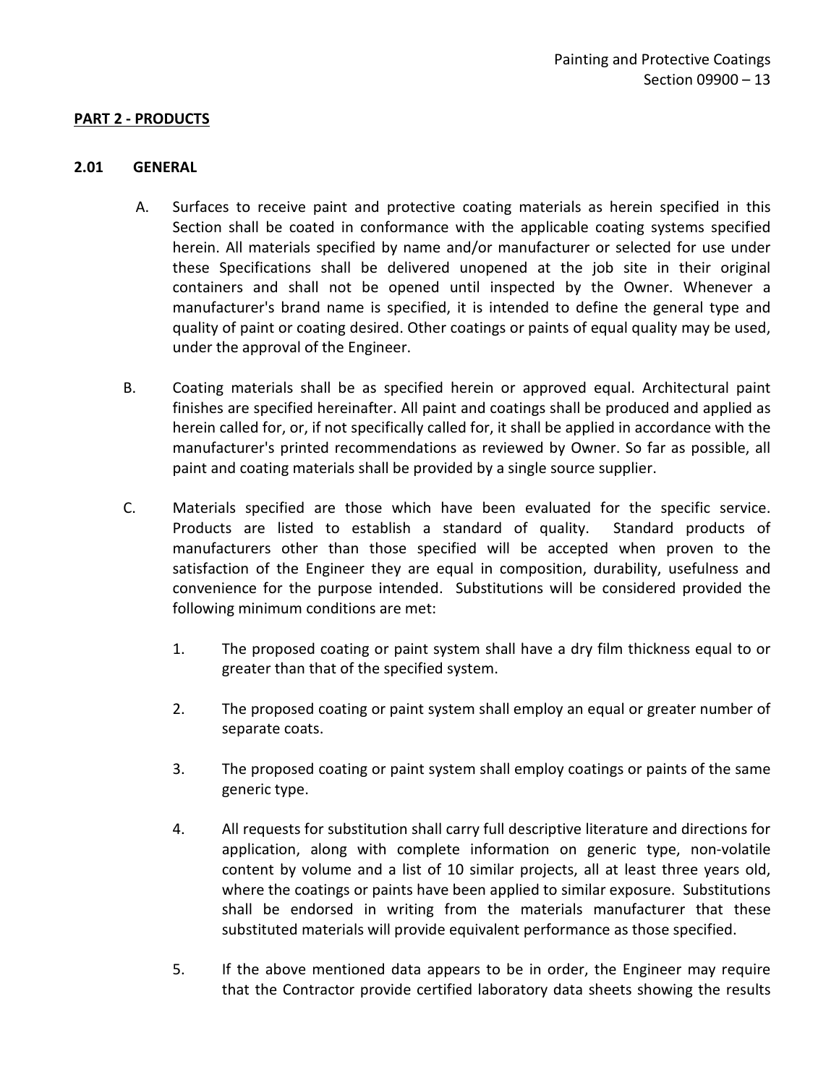#### <span id="page-14-0"></span>**PART 2 - PRODUCTS**

#### <span id="page-14-1"></span>**2.01 GENERAL**

- A. Surfaces to receive paint and protective coating materials as herein specified in this Section shall be coated in conformance with the applicable coating systems specified herein. All materials specified by name and/or manufacturer or selected for use under these Specifications shall be delivered unopened at the job site in their original containers and shall not be opened until inspected by the Owner. Whenever a manufacturer's brand name is specified, it is intended to define the general type and quality of paint or coating desired. Other coatings or paints of equal quality may be used, under the approval of the Engineer.
- B. Coating materials shall be as specified herein or approved equal. Architectural paint finishes are specified hereinafter. All paint and coatings shall be produced and applied as herein called for, or, if not specifically called for, it shall be applied in accordance with the manufacturer's printed recommendations as reviewed by Owner. So far as possible, all paint and coating materials shall be provided by a single source supplier.
- C. Materials specified are those which have been evaluated for the specific service. Products are listed to establish a standard of quality. Standard products of manufacturers other than those specified will be accepted when proven to the satisfaction of the Engineer they are equal in composition, durability, usefulness and convenience for the purpose intended. Substitutions will be considered provided the following minimum conditions are met:
	- 1. The proposed coating or paint system shall have a dry film thickness equal to or greater than that of the specified system.
	- 2. The proposed coating or paint system shall employ an equal or greater number of separate coats.
	- 3. The proposed coating or paint system shall employ coatings or paints of the same generic type.
	- 4. All requests for substitution shall carry full descriptive literature and directions for application, along with complete information on generic type, non-volatile content by volume and a list of 10 similar projects, all at least three years old, where the coatings or paints have been applied to similar exposure. Substitutions shall be endorsed in writing from the materials manufacturer that these substituted materials will provide equivalent performance as those specified.
	- 5. If the above mentioned data appears to be in order, the Engineer may require that the Contractor provide certified laboratory data sheets showing the results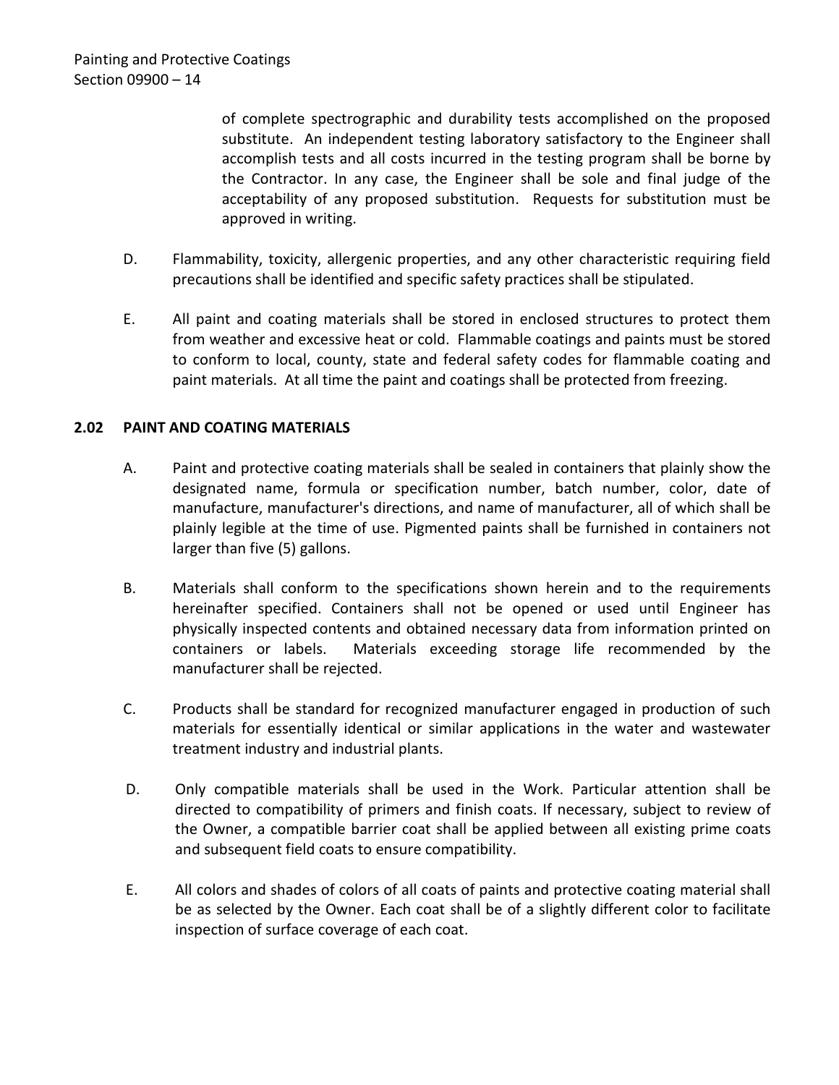of complete spectrographic and durability tests accomplished on the proposed substitute. An independent testing laboratory satisfactory to the Engineer shall accomplish tests and all costs incurred in the testing program shall be borne by the Contractor. In any case, the Engineer shall be sole and final judge of the acceptability of any proposed substitution. Requests for substitution must be approved in writing.

- D. Flammability, toxicity, allergenic properties, and any other characteristic requiring field precautions shall be identified and specific safety practices shall be stipulated.
- E. All paint and coating materials shall be stored in enclosed structures to protect them from weather and excessive heat or cold. Flammable coatings and paints must be stored to conform to local, county, state and federal safety codes for flammable coating and paint materials. At all time the paint and coatings shall be protected from freezing.

### <span id="page-15-0"></span>**2.02 PAINT AND COATING MATERIALS**

- A. Paint and protective coating materials shall be sealed in containers that plainly show the designated name, formula or specification number, batch number, color, date of manufacture, manufacturer's directions, and name of manufacturer, all of which shall be plainly legible at the time of use. Pigmented paints shall be furnished in containers not larger than five (5) gallons.
- B. Materials shall conform to the specifications shown herein and to the requirements hereinafter specified. Containers shall not be opened or used until Engineer has physically inspected contents and obtained necessary data from information printed on containers or labels. Materials exceeding storage life recommended by the manufacturer shall be rejected.
- C. Products shall be standard for recognized manufacturer engaged in production of such materials for essentially identical or similar applications in the water and wastewater treatment industry and industrial plants.
- D. Only compatible materials shall be used in the Work. Particular attention shall be directed to compatibility of primers and finish coats. If necessary, subject to review of the Owner, a compatible barrier coat shall be applied between all existing prime coats and subsequent field coats to ensure compatibility.
- E. All colors and shades of colors of all coats of paints and protective coating material shall be as selected by the Owner. Each coat shall be of a slightly different color to facilitate inspection of surface coverage of each coat.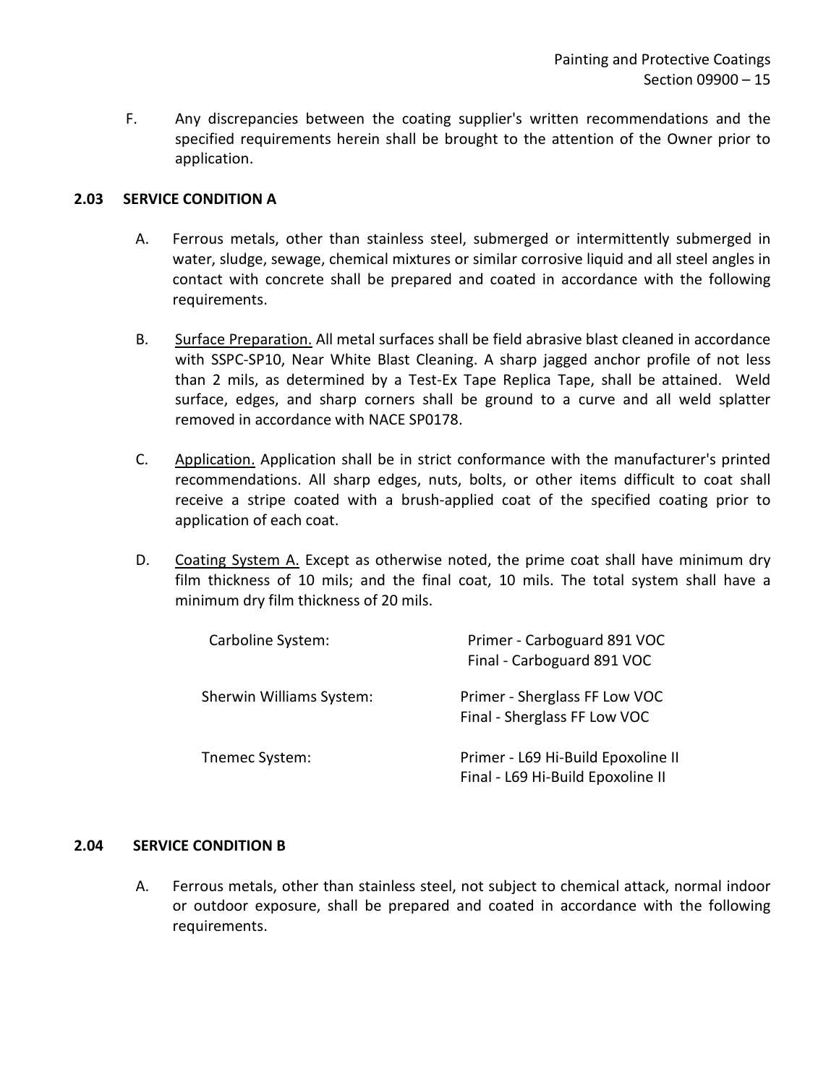F. Any discrepancies between the coating supplier's written recommendations and the specified requirements herein shall be brought to the attention of the Owner prior to application.

### <span id="page-16-0"></span>**2.03 SERVICE CONDITION A**

- A. Ferrous metals, other than stainless steel, submerged or intermittently submerged in water, sludge, sewage, chemical mixtures or similar corrosive liquid and all steel angles in contact with concrete shall be prepared and coated in accordance with the following requirements.
- B. Surface Preparation. All metal surfaces shall be field abrasive blast cleaned in accordance with SSPC-SP10, Near White Blast Cleaning. A sharp jagged anchor profile of not less than 2 mils, as determined by a Test-Ex Tape Replica Tape, shall be attained. Weld surface, edges, and sharp corners shall be ground to a curve and all weld splatter removed in accordance with NACE SP0178.
- C. Application. Application shall be in strict conformance with the manufacturer's printed recommendations. All sharp edges, nuts, bolts, or other items difficult to coat shall receive a stripe coated with a brush-applied coat of the specified coating prior to application of each coat.
- D. Coating System A. Except as otherwise noted, the prime coat shall have minimum dry film thickness of 10 mils; and the final coat, 10 mils. The total system shall have a minimum dry film thickness of 20 mils.

| Carboline System:        | Primer - Carboguard 891 VOC<br>Final - Carboguard 891 VOC               |
|--------------------------|-------------------------------------------------------------------------|
| Sherwin Williams System: | Primer - Sherglass FF Low VOC<br>Final - Sherglass FF Low VOC           |
| Tnemec System:           | Primer - L69 Hi-Build Epoxoline II<br>Final - L69 Hi-Build Epoxoline II |

### <span id="page-16-1"></span>**2.04 SERVICE CONDITION B**

A. Ferrous metals, other than stainless steel, not subject to chemical attack, normal indoor or outdoor exposure, shall be prepared and coated in accordance with the following requirements.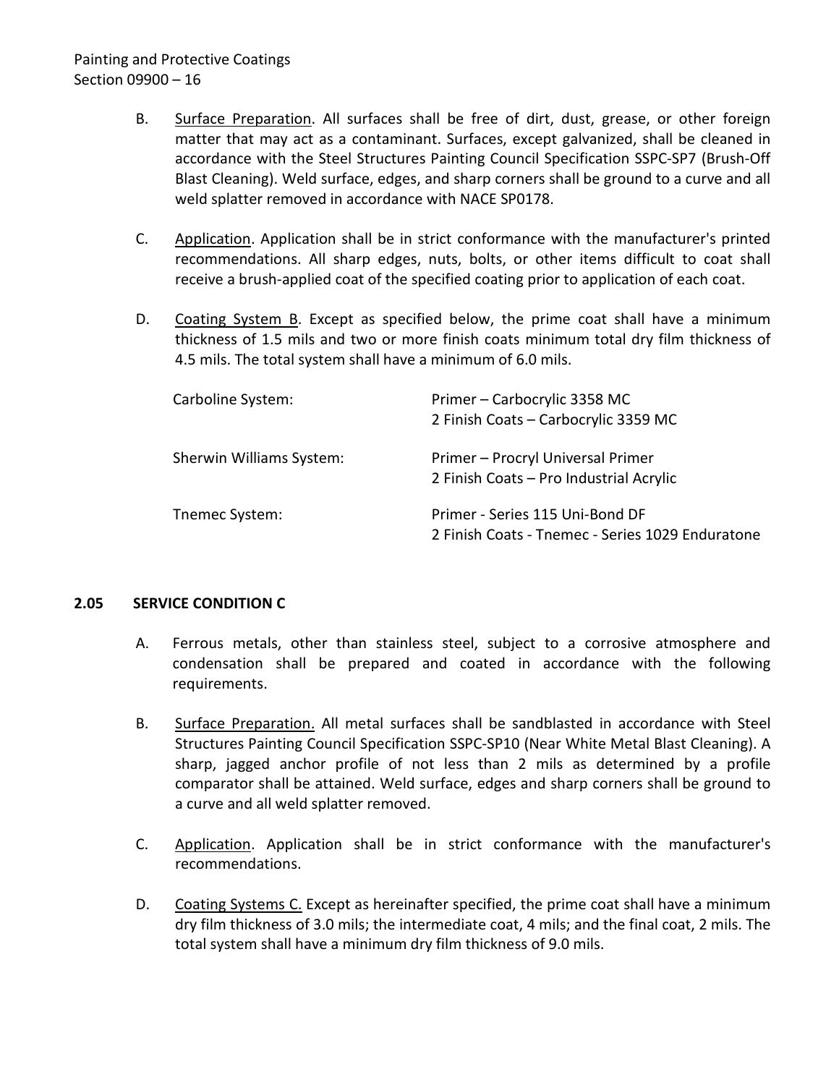# Painting and Protective Coatings Section 09900 – 16

- B. Surface Preparation. All surfaces shall be free of dirt, dust, grease, or other foreign matter that may act as a contaminant. Surfaces, except galvanized, shall be cleaned in accordance with the Steel Structures Painting Council Specification SSPC-SP7 (Brush-Off Blast Cleaning). Weld surface, edges, and sharp corners shall be ground to a curve and all weld splatter removed in accordance with NACE SP0178.
- C. Application. Application shall be in strict conformance with the manufacturer's printed recommendations. All sharp edges, nuts, bolts, or other items difficult to coat shall receive a brush-applied coat of the specified coating prior to application of each coat.
- D. Coating System B. Except as specified below, the prime coat shall have a minimum thickness of 1.5 mils and two or more finish coats minimum total dry film thickness of 4.5 mils. The total system shall have a minimum of 6.0 mils.

| Carboline System:        | Primer - Carbocrylic 3358 MC<br>2 Finish Coats - Carbocrylic 3359 MC                |
|--------------------------|-------------------------------------------------------------------------------------|
| Sherwin Williams System: | Primer - Procryl Universal Primer<br>2 Finish Coats - Pro Industrial Acrylic        |
| Tnemec System:           | Primer - Series 115 Uni-Bond DF<br>2 Finish Coats - Tnemec - Series 1029 Enduratone |

### <span id="page-17-0"></span>**2.05 SERVICE CONDITION C**

- A. Ferrous metals, other than stainless steel, subject to a corrosive atmosphere and condensation shall be prepared and coated in accordance with the following requirements.
- B. Surface Preparation. All metal surfaces shall be sandblasted in accordance with Steel Structures Painting Council Specification SSPC-SP10 (Near White Metal Blast Cleaning). A sharp, jagged anchor profile of not less than 2 mils as determined by a profile comparator shall be attained. Weld surface, edges and sharp corners shall be ground to a curve and all weld splatter removed.
- C. Application. Application shall be in strict conformance with the manufacturer's recommendations.
- D. Coating Systems C. Except as hereinafter specified, the prime coat shall have a minimum dry film thickness of 3.0 mils; the intermediate coat, 4 mils; and the final coat, 2 mils. The total system shall have a minimum dry film thickness of 9.0 mils.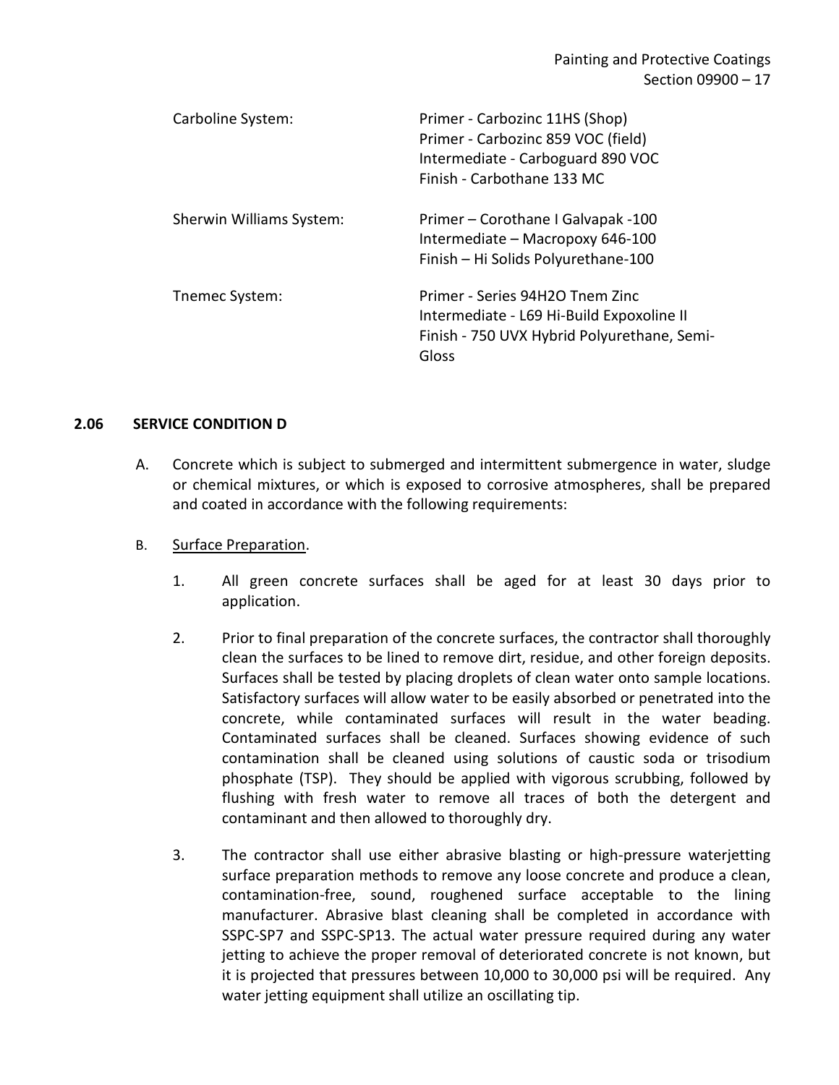| Carboline System:        | Primer - Carbozinc 11HS (Shop)<br>Primer - Carbozinc 859 VOC (field)<br>Intermediate - Carboguard 890 VOC<br>Finish - Carbothane 133 MC |
|--------------------------|-----------------------------------------------------------------------------------------------------------------------------------------|
| Sherwin Williams System: | Primer – Corothane I Galvapak -100<br>Intermediate - Macropoxy 646-100<br>Finish - Hi Solids Polyurethane-100                           |
| Tnemec System:           | Primer - Series 94H2O Tnem Zinc<br>Intermediate - L69 Hi-Build Expoxoline II<br>Finish - 750 UVX Hybrid Polyurethane, Semi-<br>Gloss    |

#### <span id="page-18-0"></span>**2.06 SERVICE CONDITION D**

- A. Concrete which is subject to submerged and intermittent submergence in water, sludge or chemical mixtures, or which is exposed to corrosive atmospheres, shall be prepared and coated in accordance with the following requirements:
- B. Surface Preparation.
	- 1. All green concrete surfaces shall be aged for at least 30 days prior to application.
	- 2. Prior to final preparation of the concrete surfaces, the contractor shall thoroughly clean the surfaces to be lined to remove dirt, residue, and other foreign deposits. Surfaces shall be tested by placing droplets of clean water onto sample locations. Satisfactory surfaces will allow water to be easily absorbed or penetrated into the concrete, while contaminated surfaces will result in the water beading. Contaminated surfaces shall be cleaned. Surfaces showing evidence of such contamination shall be cleaned using solutions of caustic soda or trisodium phosphate (TSP). They should be applied with vigorous scrubbing, followed by flushing with fresh water to remove all traces of both the detergent and contaminant and then allowed to thoroughly dry.
	- 3. The contractor shall use either abrasive blasting or high-pressure waterjetting surface preparation methods to remove any loose concrete and produce a clean, contamination-free, sound, roughened surface acceptable to the lining manufacturer. Abrasive blast cleaning shall be completed in accordance with SSPC-SP7 and SSPC-SP13. The actual water pressure required during any water jetting to achieve the proper removal of deteriorated concrete is not known, but it is projected that pressures between 10,000 to 30,000 psi will be required. Any water jetting equipment shall utilize an oscillating tip.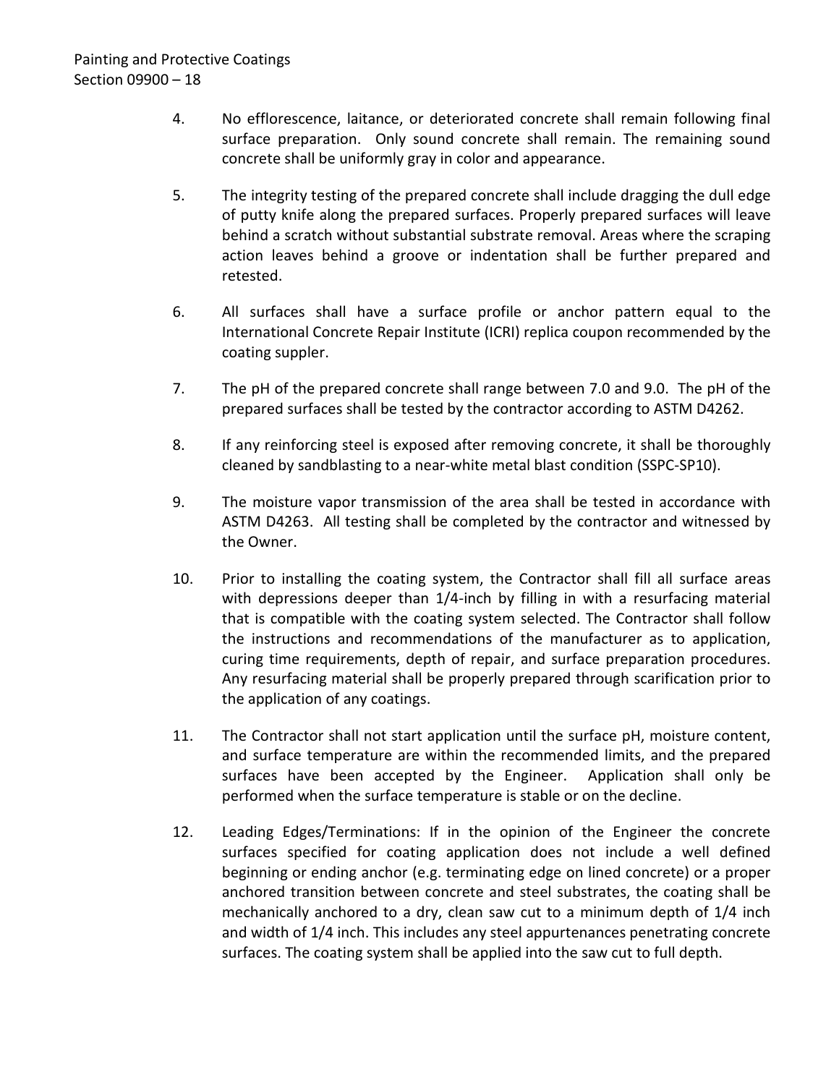- 4. No efflorescence, laitance, or deteriorated concrete shall remain following final surface preparation. Only sound concrete shall remain. The remaining sound concrete shall be uniformly gray in color and appearance.
- 5. The integrity testing of the prepared concrete shall include dragging the dull edge of putty knife along the prepared surfaces. Properly prepared surfaces will leave behind a scratch without substantial substrate removal. Areas where the scraping action leaves behind a groove or indentation shall be further prepared and retested.
- 6. All surfaces shall have a surface profile or anchor pattern equal to the International Concrete Repair Institute (ICRI) replica coupon recommended by the coating suppler.
- 7. The pH of the prepared concrete shall range between 7.0 and 9.0. The pH of the prepared surfaces shall be tested by the contractor according to ASTM D4262.
- 8. If any reinforcing steel is exposed after removing concrete, it shall be thoroughly cleaned by sandblasting to a near-white metal blast condition (SSPC-SP10).
- 9. The moisture vapor transmission of the area shall be tested in accordance with ASTM D4263. All testing shall be completed by the contractor and witnessed by the Owner.
- 10. Prior to installing the coating system, the Contractor shall fill all surface areas with depressions deeper than 1/4-inch by filling in with a resurfacing material that is compatible with the coating system selected. The Contractor shall follow the instructions and recommendations of the manufacturer as to application, curing time requirements, depth of repair, and surface preparation procedures. Any resurfacing material shall be properly prepared through scarification prior to the application of any coatings.
- 11. The Contractor shall not start application until the surface pH, moisture content, and surface temperature are within the recommended limits, and the prepared surfaces have been accepted by the Engineer. Application shall only be performed when the surface temperature is stable or on the decline.
- 12. Leading Edges/Terminations: If in the opinion of the Engineer the concrete surfaces specified for coating application does not include a well defined beginning or ending anchor (e.g. terminating edge on lined concrete) or a proper anchored transition between concrete and steel substrates, the coating shall be mechanically anchored to a dry, clean saw cut to a minimum depth of 1/4 inch and width of 1/4 inch. This includes any steel appurtenances penetrating concrete surfaces. The coating system shall be applied into the saw cut to full depth.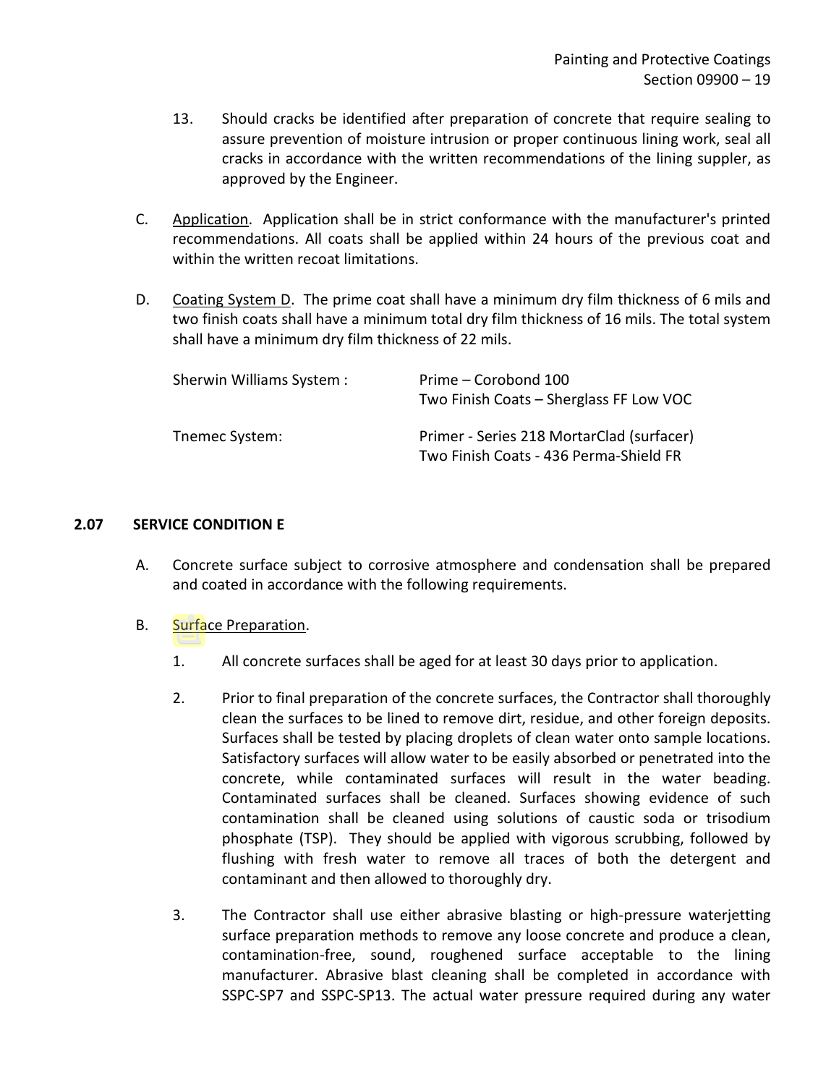- 13. Should cracks be identified after preparation of concrete that require sealing to assure prevention of moisture intrusion or proper continuous lining work, seal all cracks in accordance with the written recommendations of the lining suppler, as approved by the Engineer.
- C. Application. Application shall be in strict conformance with the manufacturer's printed recommendations. All coats shall be applied within 24 hours of the previous coat and within the written recoat limitations.
- D. Coating System D. The prime coat shall have a minimum dry film thickness of 6 mils and two finish coats shall have a minimum total dry film thickness of 16 mils. The total system shall have a minimum dry film thickness of 22 mils.

| Sherwin Williams System : | Prime – Corobond 100                      |
|---------------------------|-------------------------------------------|
|                           | Two Finish Coats - Sherglass FF Low VOC   |
| Tnemec System:            | Primer - Series 218 MortarClad (surfacer) |
|                           | Two Finish Coats - 436 Perma-Shield FR    |

### <span id="page-20-0"></span>**2.07 SERVICE CONDITION E**

- A. Concrete surface subject to corrosive atmosphere and condensation shall be prepared and coated in accordance with the following requirements.
- B. Surface Preparation.
	- 1. All concrete surfaces shall be aged for at least 30 days prior to application.
	- 2. Prior to final preparation of the concrete surfaces, the Contractor shall thoroughly clean the surfaces to be lined to remove dirt, residue, and other foreign deposits. Surfaces shall be tested by placing droplets of clean water onto sample locations. Satisfactory surfaces will allow water to be easily absorbed or penetrated into the concrete, while contaminated surfaces will result in the water beading. Contaminated surfaces shall be cleaned. Surfaces showing evidence of such contamination shall be cleaned using solutions of caustic soda or trisodium phosphate (TSP). They should be applied with vigorous scrubbing, followed by flushing with fresh water to remove all traces of both the detergent and contaminant and then allowed to thoroughly dry.
	- 3. The Contractor shall use either abrasive blasting or high-pressure waterjetting surface preparation methods to remove any loose concrete and produce a clean, contamination-free, sound, roughened surface acceptable to the lining manufacturer. Abrasive blast cleaning shall be completed in accordance with SSPC-SP7 and SSPC-SP13. The actual water pressure required during any water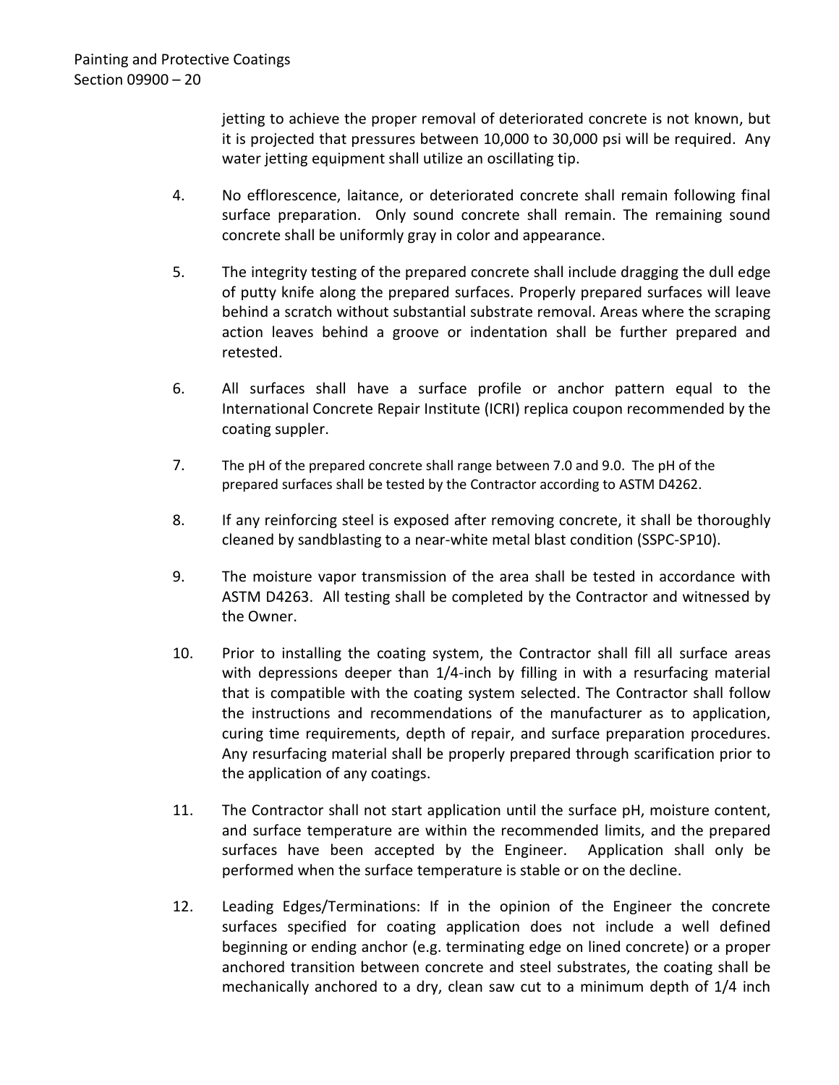jetting to achieve the proper removal of deteriorated concrete is not known, but it is projected that pressures between 10,000 to 30,000 psi will be required. Any water jetting equipment shall utilize an oscillating tip.

- 4. No efflorescence, laitance, or deteriorated concrete shall remain following final surface preparation. Only sound concrete shall remain. The remaining sound concrete shall be uniformly gray in color and appearance.
- 5. The integrity testing of the prepared concrete shall include dragging the dull edge of putty knife along the prepared surfaces. Properly prepared surfaces will leave behind a scratch without substantial substrate removal. Areas where the scraping action leaves behind a groove or indentation shall be further prepared and retested.
- 6. All surfaces shall have a surface profile or anchor pattern equal to the International Concrete Repair Institute (ICRI) replica coupon recommended by the coating suppler.
- 7. The pH of the prepared concrete shall range between 7.0 and 9.0. The pH of the prepared surfaces shall be tested by the Contractor according to ASTM D4262.
- 8. If any reinforcing steel is exposed after removing concrete, it shall be thoroughly cleaned by sandblasting to a near-white metal blast condition (SSPC-SP10).
- 9. The moisture vapor transmission of the area shall be tested in accordance with ASTM D4263. All testing shall be completed by the Contractor and witnessed by the Owner.
- 10. Prior to installing the coating system, the Contractor shall fill all surface areas with depressions deeper than 1/4-inch by filling in with a resurfacing material that is compatible with the coating system selected. The Contractor shall follow the instructions and recommendations of the manufacturer as to application, curing time requirements, depth of repair, and surface preparation procedures. Any resurfacing material shall be properly prepared through scarification prior to the application of any coatings.
- 11. The Contractor shall not start application until the surface pH, moisture content, and surface temperature are within the recommended limits, and the prepared surfaces have been accepted by the Engineer. Application shall only be performed when the surface temperature is stable or on the decline.
- 12. Leading Edges/Terminations: If in the opinion of the Engineer the concrete surfaces specified for coating application does not include a well defined beginning or ending anchor (e.g. terminating edge on lined concrete) or a proper anchored transition between concrete and steel substrates, the coating shall be mechanically anchored to a dry, clean saw cut to a minimum depth of 1/4 inch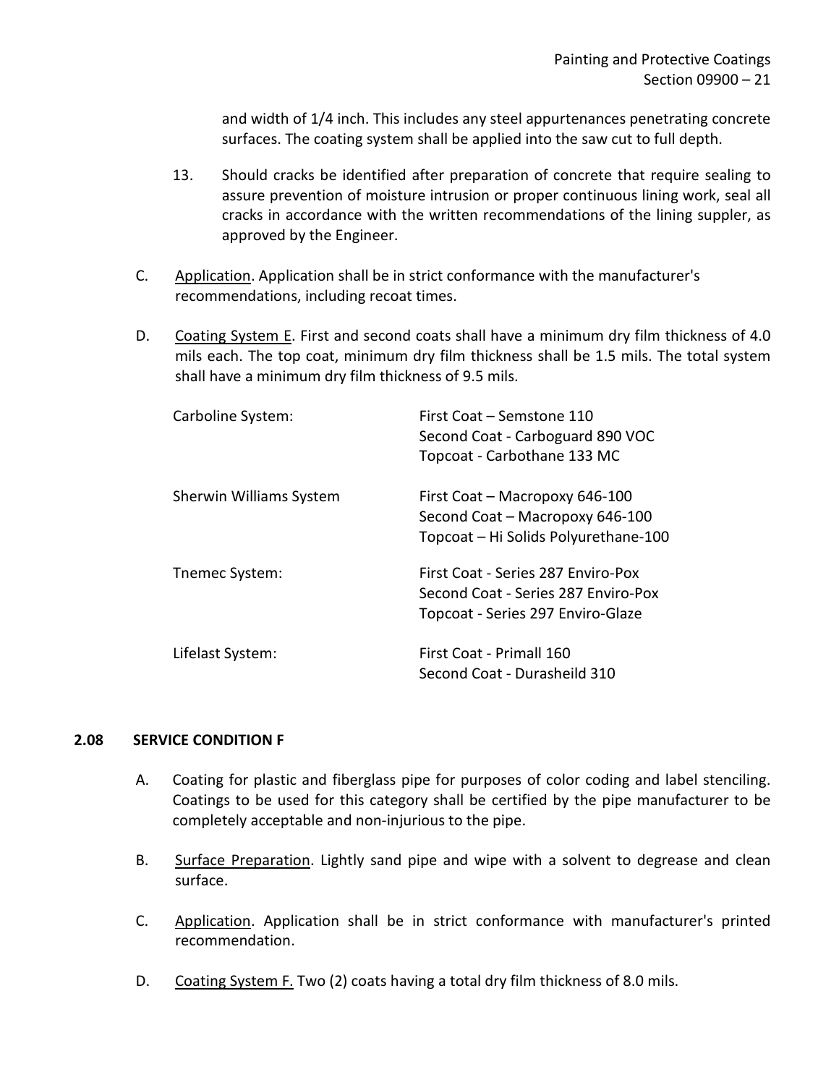and width of 1/4 inch. This includes any steel appurtenances penetrating concrete surfaces. The coating system shall be applied into the saw cut to full depth.

- 13. Should cracks be identified after preparation of concrete that require sealing to assure prevention of moisture intrusion or proper continuous lining work, seal all cracks in accordance with the written recommendations of the lining suppler, as approved by the Engineer.
- C. Application. Application shall be in strict conformance with the manufacturer's recommendations, including recoat times.
- D. Coating System E. First and second coats shall have a minimum dry film thickness of 4.0 mils each. The top coat, minimum dry film thickness shall be 1.5 mils. The total system shall have a minimum dry film thickness of 9.5 mils.

| Carboline System:       | First Coat – Semstone 110<br>Second Coat - Carboguard 890 VOC<br>Topcoat - Carbothane 133 MC                   |
|-------------------------|----------------------------------------------------------------------------------------------------------------|
| Sherwin Williams System | First Coat - Macropoxy 646-100<br>Second Coat - Macropoxy 646-100<br>Topcoat - Hi Solids Polyurethane-100      |
| Themec System:          | First Coat - Series 287 Enviro-Pox<br>Second Coat - Series 287 Enviro-Pox<br>Topcoat - Series 297 Enviro-Glaze |
| Lifelast System:        | First Coat - Primall 160<br>Second Coat - Durasheild 310                                                       |

### <span id="page-22-0"></span>**2.08 SERVICE CONDITION F**

- A. Coating for plastic and fiberglass pipe for purposes of color coding and label stenciling. Coatings to be used for this category shall be certified by the pipe manufacturer to be completely acceptable and non-injurious to the pipe.
- B. Surface Preparation. Lightly sand pipe and wipe with a solvent to degrease and clean surface.
- C. Application. Application shall be in strict conformance with manufacturer's printed recommendation.
- D. Coating System F. Two (2) coats having a total dry film thickness of 8.0 mils.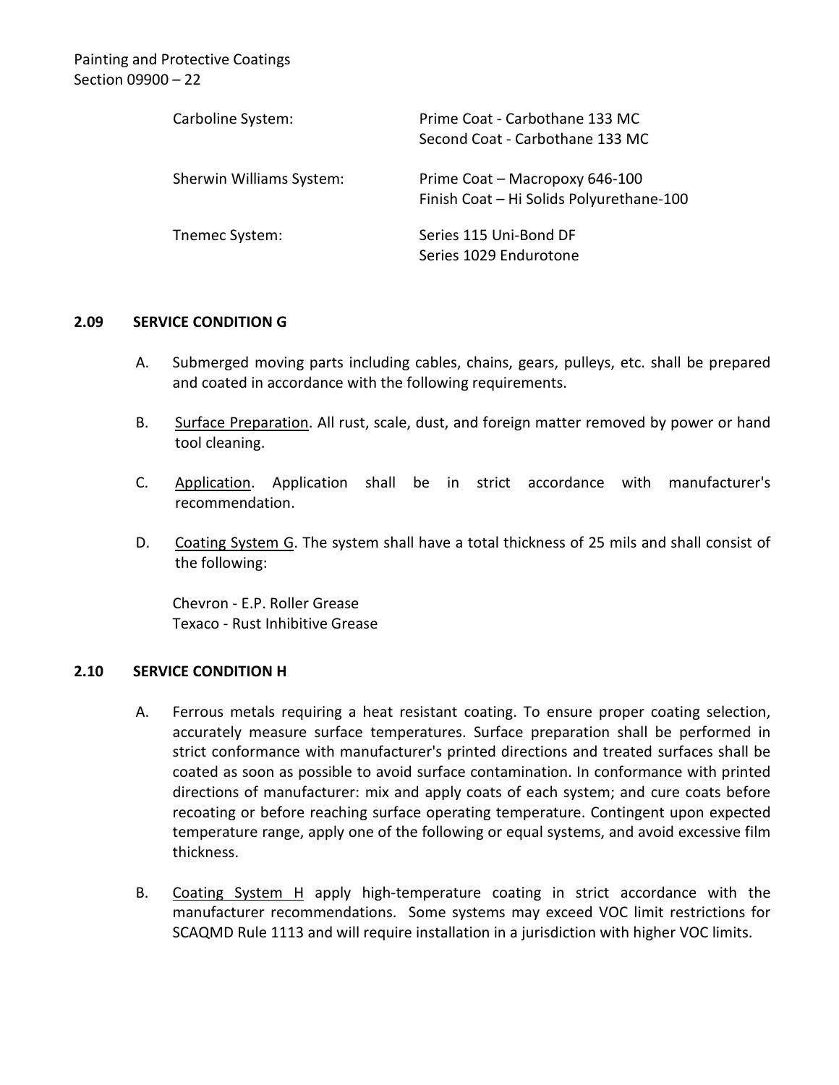| Carboline System:        | Prime Coat - Carbothane 133 MC                                             |
|--------------------------|----------------------------------------------------------------------------|
|                          | Second Coat - Carbothane 133 MC                                            |
| Sherwin Williams System: | Prime Coat - Macropoxy 646-100<br>Finish Coat - Hi Solids Polyurethane-100 |
| Tnemec System:           | Series 115 Uni-Bond DF<br>Series 1029 Endurotone                           |

### <span id="page-23-0"></span>**2.09 SERVICE CONDITION G**

- A. Submerged moving parts including cables, chains, gears, pulleys, etc. shall be prepared and coated in accordance with the following requirements.
- B. Surface Preparation. All rust, scale, dust, and foreign matter removed by power or hand tool cleaning.
- C. Application. Application shall be in strict accordance with manufacturer's recommendation.
- D. Coating System G. The system shall have a total thickness of 25 mils and shall consist of the following:

Chevron - E.P. Roller Grease Texaco - Rust Inhibitive Grease

### <span id="page-23-1"></span>**2.10 SERVICE CONDITION H**

- A. Ferrous metals requiring a heat resistant coating. To ensure proper coating selection, accurately measure surface temperatures. Surface preparation shall be performed in strict conformance with manufacturer's printed directions and treated surfaces shall be coated as soon as possible to avoid surface contamination. In conformance with printed directions of manufacturer: mix and apply coats of each system; and cure coats before recoating or before reaching surface operating temperature. Contingent upon expected temperature range, apply one of the following or equal systems, and avoid excessive film thickness.
- B. Coating System H apply high-temperature coating in strict accordance with the manufacturer recommendations. Some systems may exceed VOC limit restrictions for SCAQMD Rule 1113 and will require installation in a jurisdiction with higher VOC limits.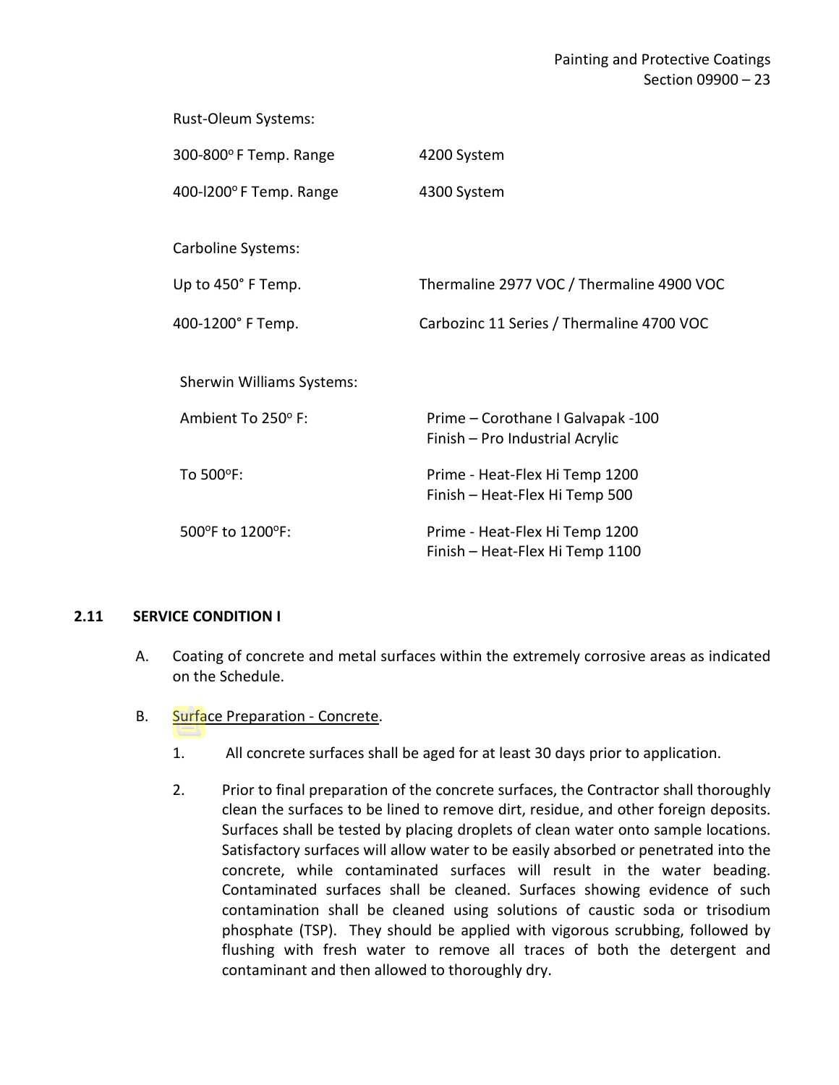Rust-Oleum Systems:

| 300-800°F Temp. Range     | 4200 System                               |
|---------------------------|-------------------------------------------|
| 400-l200°F Temp. Range    | 4300 System                               |
|                           |                                           |
| Carboline Systems:        |                                           |
| Up to 450° F Temp.        | Thermaline 2977 VOC / Thermaline 4900 VOC |
| 400-1200° F Temp.         | Carbozinc 11 Series / Thermaline 4700 VOC |
|                           |                                           |
| Sherwin Williams Systems: |                                           |
| Ambient To 250° F:        | Prime - Corothane I Galvapak -100         |
|                           | Finish - Pro Industrial Acrylic           |
| To 500°F:                 | Prime - Heat-Flex Hi Temp 1200            |
|                           | Finish - Heat-Flex Hi Temp 500            |
| 500°F to 1200°F:          | Prime - Heat-Flex Hi Temp 1200            |
|                           | Finish - Heat-Flex Hi Temp 1100           |

### <span id="page-24-0"></span>**2.11 SERVICE CONDITION I**

- A. Coating of concrete and metal surfaces within the extremely corrosive areas as indicated on the Schedule.
- B. Surface Preparation Concrete.
	- 1. All concrete surfaces shall be aged for at least 30 days prior to application.
	- 2. Prior to final preparation of the concrete surfaces, the Contractor shall thoroughly clean the surfaces to be lined to remove dirt, residue, and other foreign deposits. Surfaces shall be tested by placing droplets of clean water onto sample locations. Satisfactory surfaces will allow water to be easily absorbed or penetrated into the concrete, while contaminated surfaces will result in the water beading. Contaminated surfaces shall be cleaned. Surfaces showing evidence of such contamination shall be cleaned using solutions of caustic soda or trisodium phosphate (TSP). They should be applied with vigorous scrubbing, followed by flushing with fresh water to remove all traces of both the detergent and contaminant and then allowed to thoroughly dry.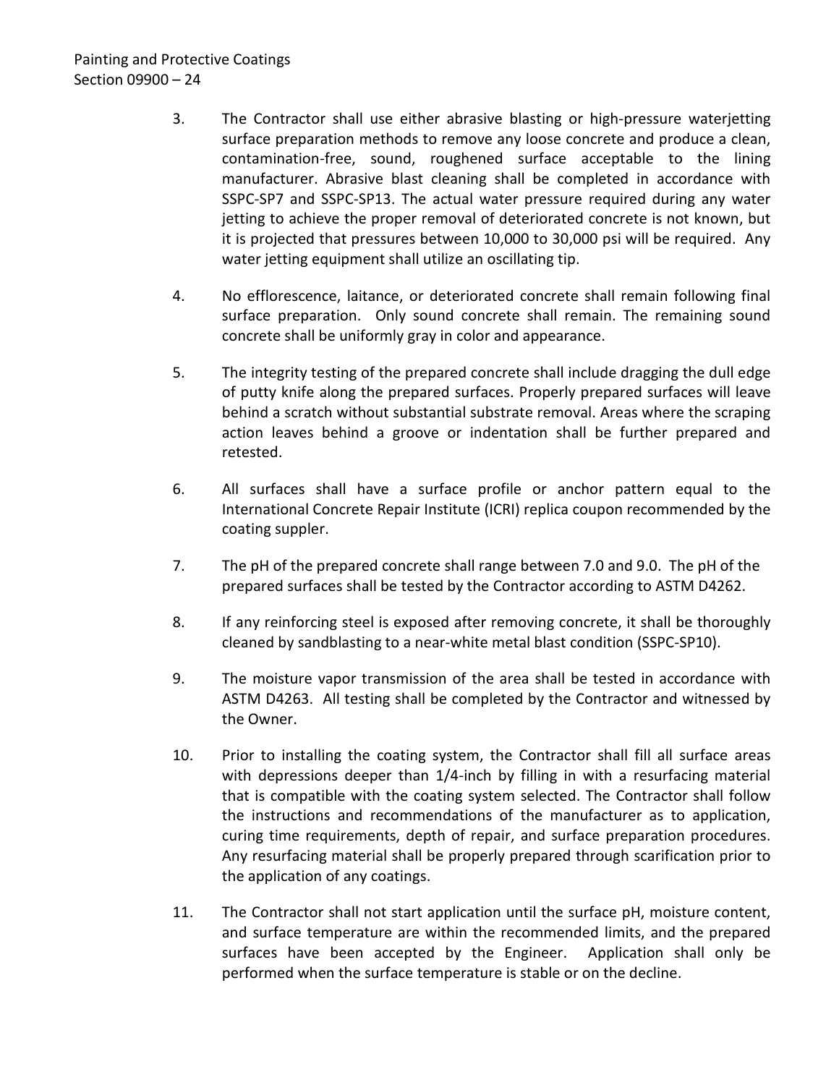- 3. The Contractor shall use either abrasive blasting or high-pressure waterjetting surface preparation methods to remove any loose concrete and produce a clean, contamination-free, sound, roughened surface acceptable to the lining manufacturer. Abrasive blast cleaning shall be completed in accordance with SSPC-SP7 and SSPC-SP13. The actual water pressure required during any water jetting to achieve the proper removal of deteriorated concrete is not known, but it is projected that pressures between 10,000 to 30,000 psi will be required. Any water jetting equipment shall utilize an oscillating tip.
- 4. No efflorescence, laitance, or deteriorated concrete shall remain following final surface preparation. Only sound concrete shall remain. The remaining sound concrete shall be uniformly gray in color and appearance.
- 5. The integrity testing of the prepared concrete shall include dragging the dull edge of putty knife along the prepared surfaces. Properly prepared surfaces will leave behind a scratch without substantial substrate removal. Areas where the scraping action leaves behind a groove or indentation shall be further prepared and retested.
- 6. All surfaces shall have a surface profile or anchor pattern equal to the International Concrete Repair Institute (ICRI) replica coupon recommended by the coating suppler.
- 7. The pH of the prepared concrete shall range between 7.0 and 9.0. The pH of the prepared surfaces shall be tested by the Contractor according to ASTM D4262.
- 8. If any reinforcing steel is exposed after removing concrete, it shall be thoroughly cleaned by sandblasting to a near-white metal blast condition (SSPC-SP10).
- 9. The moisture vapor transmission of the area shall be tested in accordance with ASTM D4263. All testing shall be completed by the Contractor and witnessed by the Owner.
- 10. Prior to installing the coating system, the Contractor shall fill all surface areas with depressions deeper than 1/4-inch by filling in with a resurfacing material that is compatible with the coating system selected. The Contractor shall follow the instructions and recommendations of the manufacturer as to application, curing time requirements, depth of repair, and surface preparation procedures. Any resurfacing material shall be properly prepared through scarification prior to the application of any coatings.
- 11. The Contractor shall not start application until the surface pH, moisture content, and surface temperature are within the recommended limits, and the prepared surfaces have been accepted by the Engineer. Application shall only be performed when the surface temperature is stable or on the decline.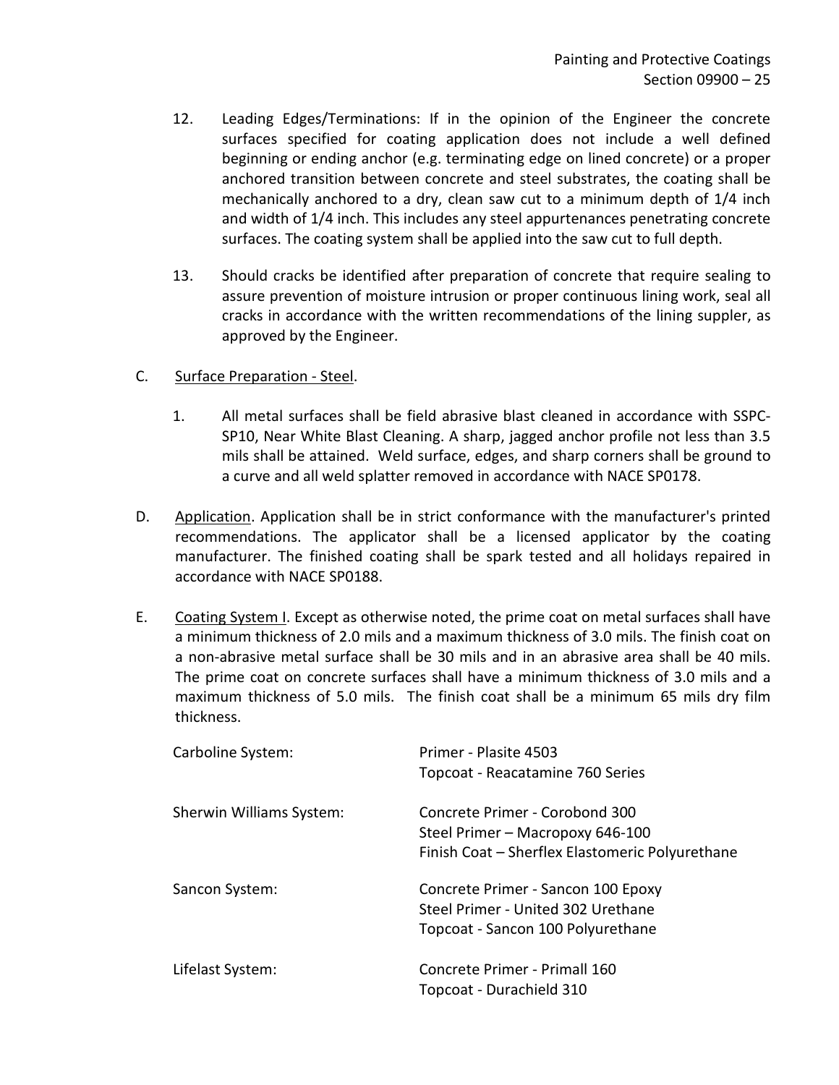- 12. Leading Edges/Terminations: If in the opinion of the Engineer the concrete surfaces specified for coating application does not include a well defined beginning or ending anchor (e.g. terminating edge on lined concrete) or a proper anchored transition between concrete and steel substrates, the coating shall be mechanically anchored to a dry, clean saw cut to a minimum depth of 1/4 inch and width of 1/4 inch. This includes any steel appurtenances penetrating concrete surfaces. The coating system shall be applied into the saw cut to full depth.
- 13. Should cracks be identified after preparation of concrete that require sealing to assure prevention of moisture intrusion or proper continuous lining work, seal all cracks in accordance with the written recommendations of the lining suppler, as approved by the Engineer.
- C. Surface Preparation Steel.
	- 1. All metal surfaces shall be field abrasive blast cleaned in accordance with SSPC-SP10, Near White Blast Cleaning. A sharp, jagged anchor profile not less than 3.5 mils shall be attained. Weld surface, edges, and sharp corners shall be ground to a curve and all weld splatter removed in accordance with NACE SP0178.
- D. Application. Application shall be in strict conformance with the manufacturer's printed recommendations. The applicator shall be a licensed applicator by the coating manufacturer. The finished coating shall be spark tested and all holidays repaired in accordance with NACE SP0188.
- E. Coating System I. Except as otherwise noted, the prime coat on metal surfaces shall have a minimum thickness of 2.0 mils and a maximum thickness of 3.0 mils. The finish coat on a non-abrasive metal surface shall be 30 mils and in an abrasive area shall be 40 mils. The prime coat on concrete surfaces shall have a minimum thickness of 3.0 mils and a maximum thickness of 5.0 mils. The finish coat shall be a minimum 65 mils dry film thickness.

| Carboline System:        | Primer - Plasite 4503<br>Topcoat - Reacatamine 760 Series                                                             |
|--------------------------|-----------------------------------------------------------------------------------------------------------------------|
| Sherwin Williams System: | Concrete Primer - Corobond 300<br>Steel Primer - Macropoxy 646-100<br>Finish Coat - Sherflex Elastomeric Polyurethane |
| Sancon System:           | Concrete Primer - Sancon 100 Epoxy<br>Steel Primer - United 302 Urethane<br>Topcoat - Sancon 100 Polyurethane         |
| Lifelast System:         | Concrete Primer - Primall 160<br>Topcoat - Durachield 310                                                             |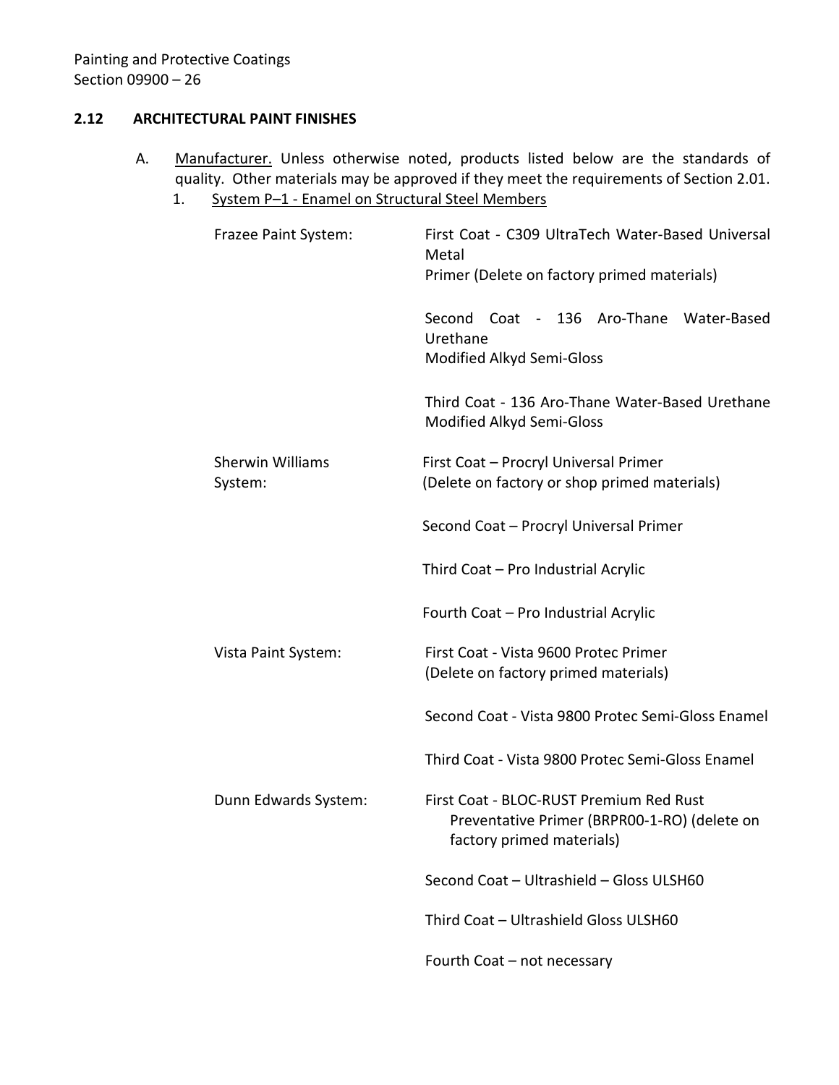### <span id="page-27-0"></span>**2.12 ARCHITECTURAL PAINT FINISHES**

- A. Manufacturer. Unless otherwise noted, products listed below are the standards of quality. Other materials may be approved if they meet the requirements of Section 2.01.
	- 1. System P-1 Enamel on Structural Steel Members

| Frazee Paint System:               | First Coat - C309 UltraTech Water-Based Universal<br>Metal<br>Primer (Delete on factory primed materials)            |
|------------------------------------|----------------------------------------------------------------------------------------------------------------------|
|                                    | Second Coat - 136 Aro-Thane Water-Based<br>Urethane<br>Modified Alkyd Semi-Gloss                                     |
|                                    | Third Coat - 136 Aro-Thane Water-Based Urethane<br>Modified Alkyd Semi-Gloss                                         |
| <b>Sherwin Williams</b><br>System: | First Coat - Procryl Universal Primer<br>(Delete on factory or shop primed materials)                                |
|                                    | Second Coat - Procryl Universal Primer                                                                               |
|                                    | Third Coat - Pro Industrial Acrylic                                                                                  |
|                                    | Fourth Coat - Pro Industrial Acrylic                                                                                 |
| Vista Paint System:                | First Coat - Vista 9600 Protec Primer<br>(Delete on factory primed materials)                                        |
|                                    | Second Coat - Vista 9800 Protec Semi-Gloss Enamel                                                                    |
|                                    | Third Coat - Vista 9800 Protec Semi-Gloss Enamel                                                                     |
| Dunn Edwards System:               | First Coat - BLOC-RUST Premium Red Rust<br>Preventative Primer (BRPR00-1-RO) (delete on<br>factory primed materials) |
|                                    | Second Coat - Ultrashield - Gloss ULSH60                                                                             |
|                                    | Third Coat - Ultrashield Gloss ULSH60                                                                                |
|                                    | Fourth Coat - not necessary                                                                                          |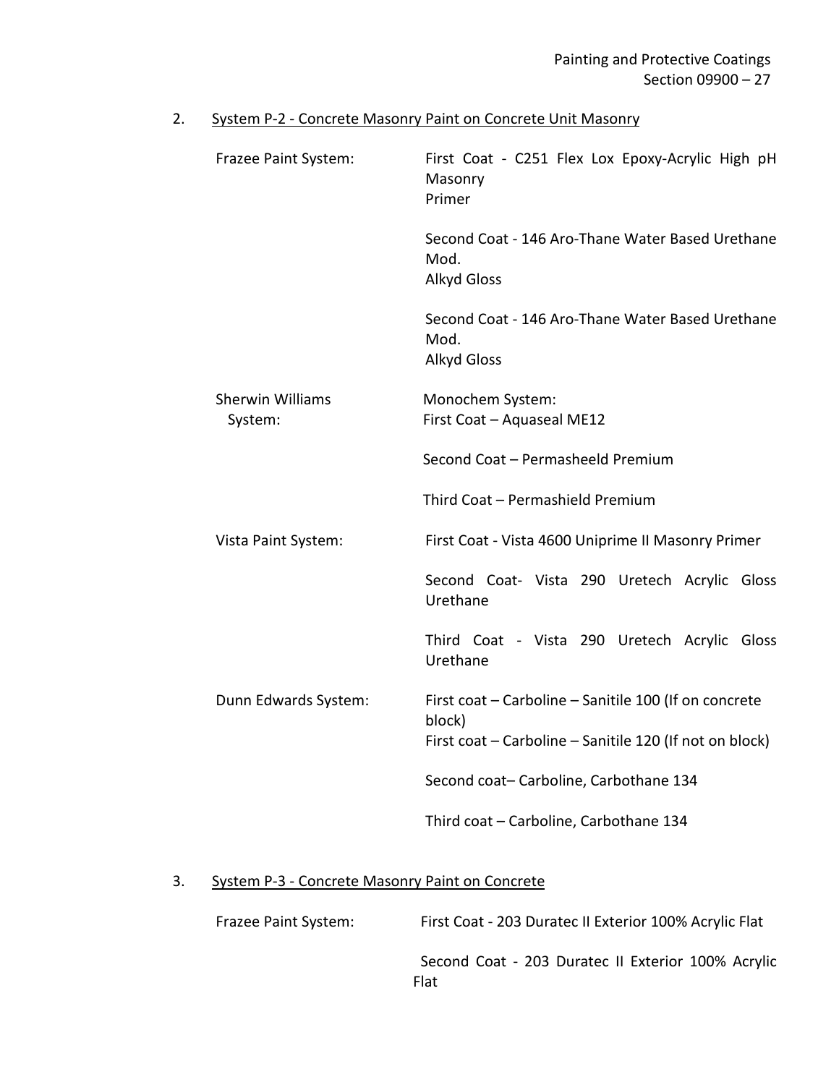# 2. System P-2 - Concrete Masonry Paint on Concrete Unit Masonry

| Frazee Paint System:               | First Coat - C251 Flex Lox Epoxy-Acrylic High pH<br>Masonry<br>Primer                                                      |
|------------------------------------|----------------------------------------------------------------------------------------------------------------------------|
|                                    | Second Coat - 146 Aro-Thane Water Based Urethane<br>Mod.<br><b>Alkyd Gloss</b>                                             |
|                                    | Second Coat - 146 Aro-Thane Water Based Urethane<br>Mod.<br><b>Alkyd Gloss</b>                                             |
| <b>Sherwin Williams</b><br>System: | Monochem System:<br>First Coat - Aquaseal ME12                                                                             |
|                                    | Second Coat - Permasheeld Premium                                                                                          |
|                                    | Third Coat - Permashield Premium                                                                                           |
| Vista Paint System:                | First Coat - Vista 4600 Uniprime II Masonry Primer                                                                         |
|                                    | Second Coat- Vista 290 Uretech Acrylic Gloss<br>Urethane                                                                   |
|                                    | Third Coat - Vista 290 Uretech Acrylic Gloss<br>Urethane                                                                   |
| Dunn Edwards System:               | First coat - Carboline - Sanitile 100 (If on concrete<br>block)<br>First coat - Carboline - Sanitile 120 (If not on block) |
|                                    | Second coat-Carboline, Carbothane 134                                                                                      |
|                                    | Third coat - Carboline, Carbothane 134                                                                                     |

# 3. System P-3 - Concrete Masonry Paint on Concrete

| Frazee Paint System: | First Coat - 203 Duratec II Exterior 100% Acrylic Flat            |  |  |
|----------------------|-------------------------------------------------------------------|--|--|
|                      | Second Coat - 203 Duratec II Exterior 100% Acrylic<br><b>Flat</b> |  |  |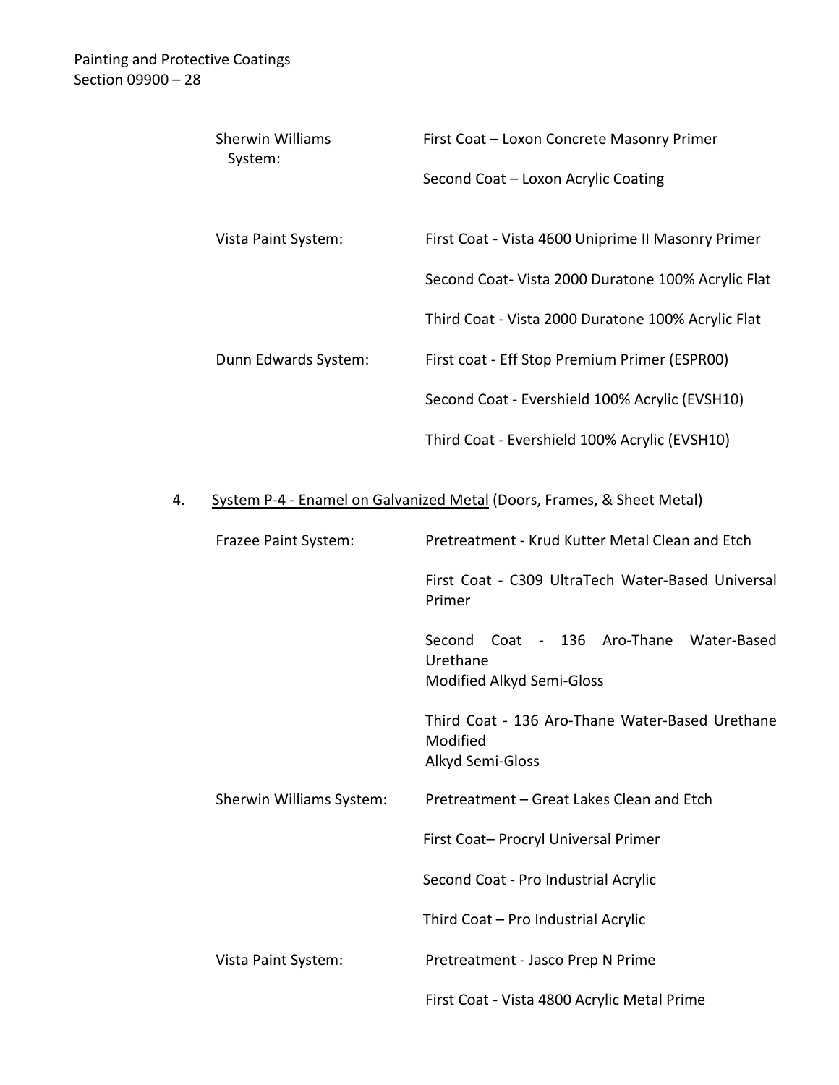|    | <b>Sherwin Williams</b><br>System: | First Coat - Loxon Concrete Masonry Primer                                          |  |
|----|------------------------------------|-------------------------------------------------------------------------------------|--|
|    |                                    | Second Coat - Loxon Acrylic Coating                                                 |  |
|    | Vista Paint System:                | First Coat - Vista 4600 Uniprime II Masonry Primer                                  |  |
|    |                                    | Second Coat- Vista 2000 Duratone 100% Acrylic Flat                                  |  |
|    |                                    | Third Coat - Vista 2000 Duratone 100% Acrylic Flat                                  |  |
|    | Dunn Edwards System:               | First coat - Eff Stop Premium Primer (ESPR00)                                       |  |
|    |                                    | Second Coat - Evershield 100% Acrylic (EVSH10)                                      |  |
|    |                                    | Third Coat - Evershield 100% Acrylic (EVSH10)                                       |  |
| 4. |                                    | System P-4 - Enamel on Galvanized Metal (Doors, Frames, & Sheet Metal)              |  |
|    | Frazee Paint System:               | Pretreatment - Krud Kutter Metal Clean and Etch                                     |  |
|    |                                    | First Coat - C309 UltraTech Water-Based Universal<br>Primer                         |  |
|    |                                    | Coat - 136 Aro-Thane Water-Based<br>Second<br>Urethane<br>Modified Alkyd Semi-Gloss |  |
|    |                                    | Third Coat - 136 Aro-Thane Water-Based Urethane<br>Modified<br>Alkyd Semi-Gloss     |  |
|    | Sherwin Williams System:           | Pretreatment - Great Lakes Clean and Etch                                           |  |
|    |                                    | First Coat- Procryl Universal Primer                                                |  |
|    |                                    | Second Coat - Pro Industrial Acrylic                                                |  |
|    |                                    | Third Coat - Pro Industrial Acrylic                                                 |  |
|    | Vista Paint System:                | Pretreatment - Jasco Prep N Prime                                                   |  |
|    |                                    | First Coat - Vista 4800 Acrylic Metal Prime                                         |  |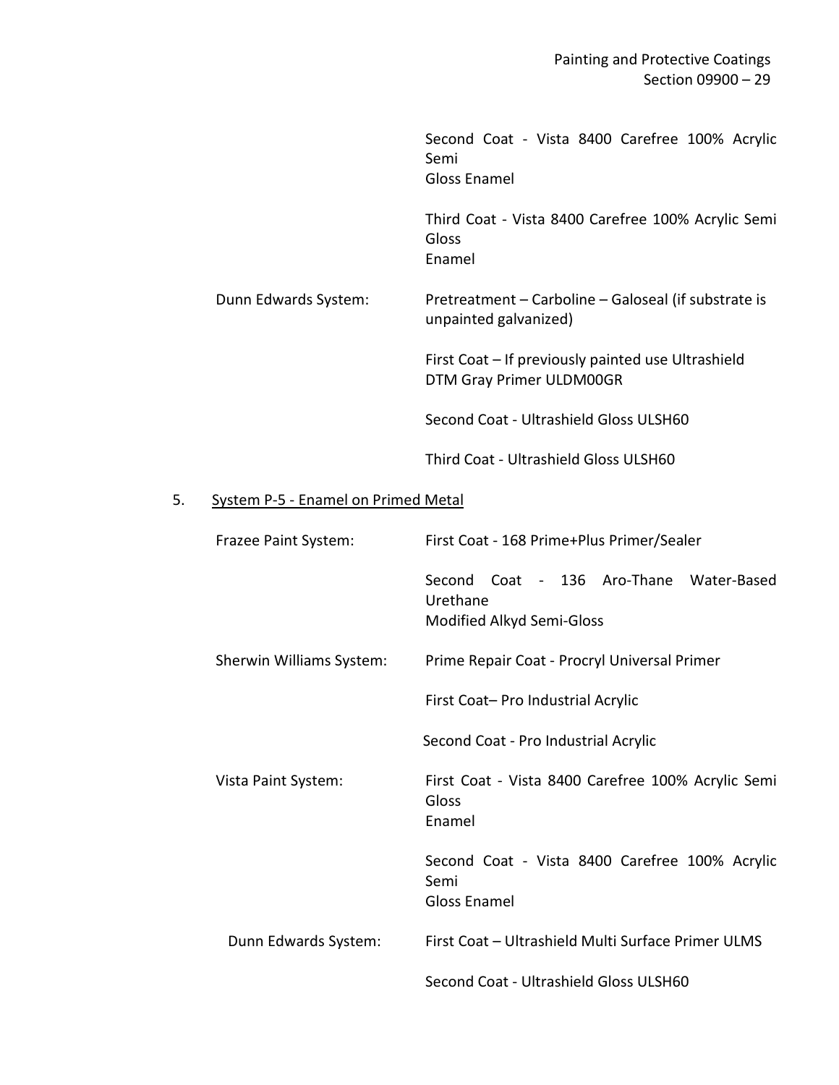|    |                                     | Second Coat - Vista 8400 Carefree 100% Acrylic<br>Semi<br><b>Gloss Enamel</b>       |  |
|----|-------------------------------------|-------------------------------------------------------------------------------------|--|
|    |                                     | Third Coat - Vista 8400 Carefree 100% Acrylic Semi<br>Gloss<br>Enamel               |  |
|    | Dunn Edwards System:                | Pretreatment - Carboline - Galoseal (if substrate is<br>unpainted galvanized)       |  |
|    |                                     | First Coat - If previously painted use Ultrashield<br>DTM Gray Primer ULDM00GR      |  |
|    |                                     | Second Coat - Ultrashield Gloss ULSH60                                              |  |
|    |                                     | Third Coat - Ultrashield Gloss ULSH60                                               |  |
| 5. | System P-5 - Enamel on Primed Metal |                                                                                     |  |
|    | Frazee Paint System:                | First Coat - 168 Prime+Plus Primer/Sealer                                           |  |
|    |                                     | Coat - 136 Aro-Thane Water-Based<br>Second<br>Urethane<br>Modified Alkyd Semi-Gloss |  |
|    | Sherwin Williams System:            | Prime Repair Coat - Procryl Universal Primer                                        |  |
|    |                                     | First Coat- Pro Industrial Acrylic                                                  |  |
|    |                                     | Second Coat - Pro Industrial Acrylic                                                |  |
|    | Vista Paint System:                 | First Coat - Vista 8400 Carefree 100% Acrylic Semi<br>Gloss<br>Enamel               |  |
|    |                                     | Second Coat - Vista 8400 Carefree 100% Acrylic                                      |  |

Dunn Edwards System: First Coat – Ultrashield Multi Surface Primer ULMS

Semi

Gloss Enamel

Second Coat - Ultrashield Gloss ULSH60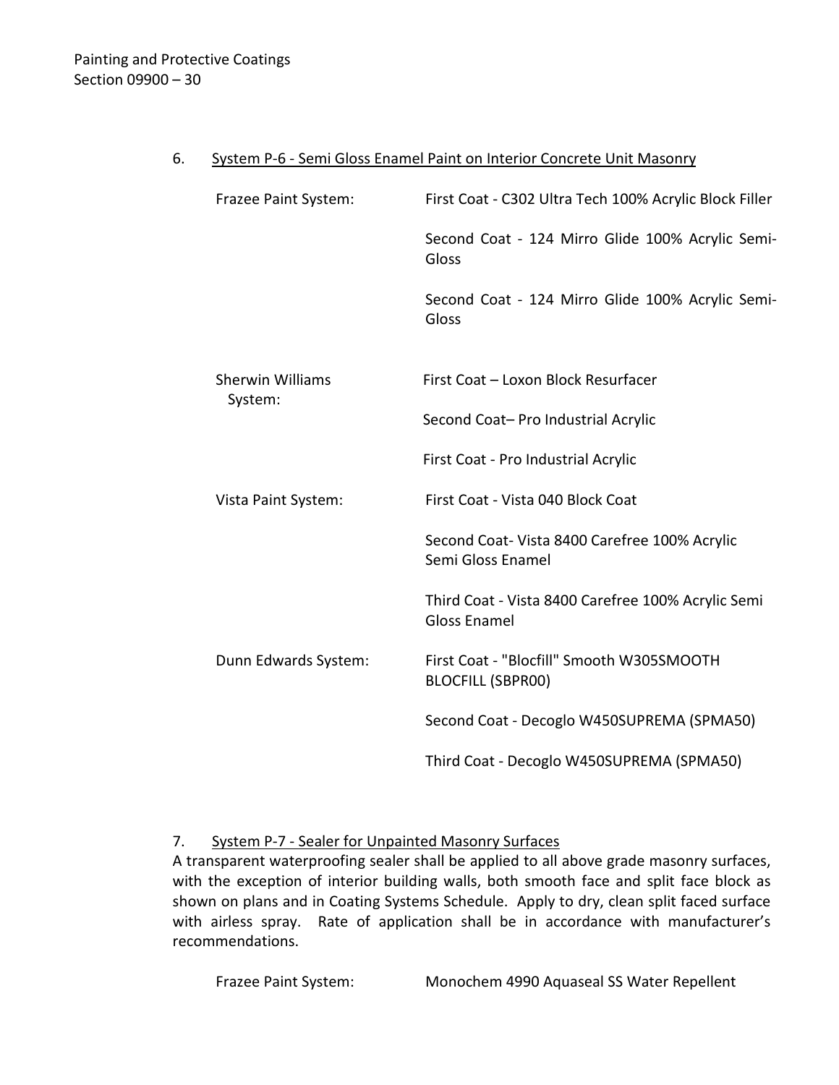#### 6. System P-6 - Semi Gloss Enamel Paint on Interior Concrete Unit Masonry

| Frazee Paint System:               | First Coat - C302 Ultra Tech 100% Acrylic Block Filler                    |  |
|------------------------------------|---------------------------------------------------------------------------|--|
|                                    | Second Coat - 124 Mirro Glide 100% Acrylic Semi-<br>Gloss                 |  |
|                                    | Second Coat - 124 Mirro Glide 100% Acrylic Semi-<br>Gloss                 |  |
|                                    |                                                                           |  |
| <b>Sherwin Williams</b><br>System: | First Coat - Loxon Block Resurfacer                                       |  |
|                                    | Second Coat- Pro Industrial Acrylic                                       |  |
|                                    | First Coat - Pro Industrial Acrylic                                       |  |
| Vista Paint System:                | First Coat - Vista 040 Block Coat                                         |  |
|                                    | Second Coat- Vista 8400 Carefree 100% Acrylic<br>Semi Gloss Enamel        |  |
|                                    | Third Coat - Vista 8400 Carefree 100% Acrylic Semi<br><b>Gloss Enamel</b> |  |
| Dunn Edwards System:               | First Coat - "Blocfill" Smooth W305SMOOTH<br><b>BLOCFILL (SBPR00)</b>     |  |
|                                    | Second Coat - Decoglo W450SUPREMA (SPMA50)                                |  |
|                                    | Third Coat - Decoglo W450SUPREMA (SPMA50)                                 |  |

### 7. System P-7 - Sealer for Unpainted Masonry Surfaces

A transparent waterproofing sealer shall be applied to all above grade masonry surfaces, with the exception of interior building walls, both smooth face and split face block as shown on plans and in Coating Systems Schedule. Apply to dry, clean split faced surface with airless spray. Rate of application shall be in accordance with manufacturer's recommendations.

Frazee Paint System: Monochem 4990 Aquaseal SS Water Repellent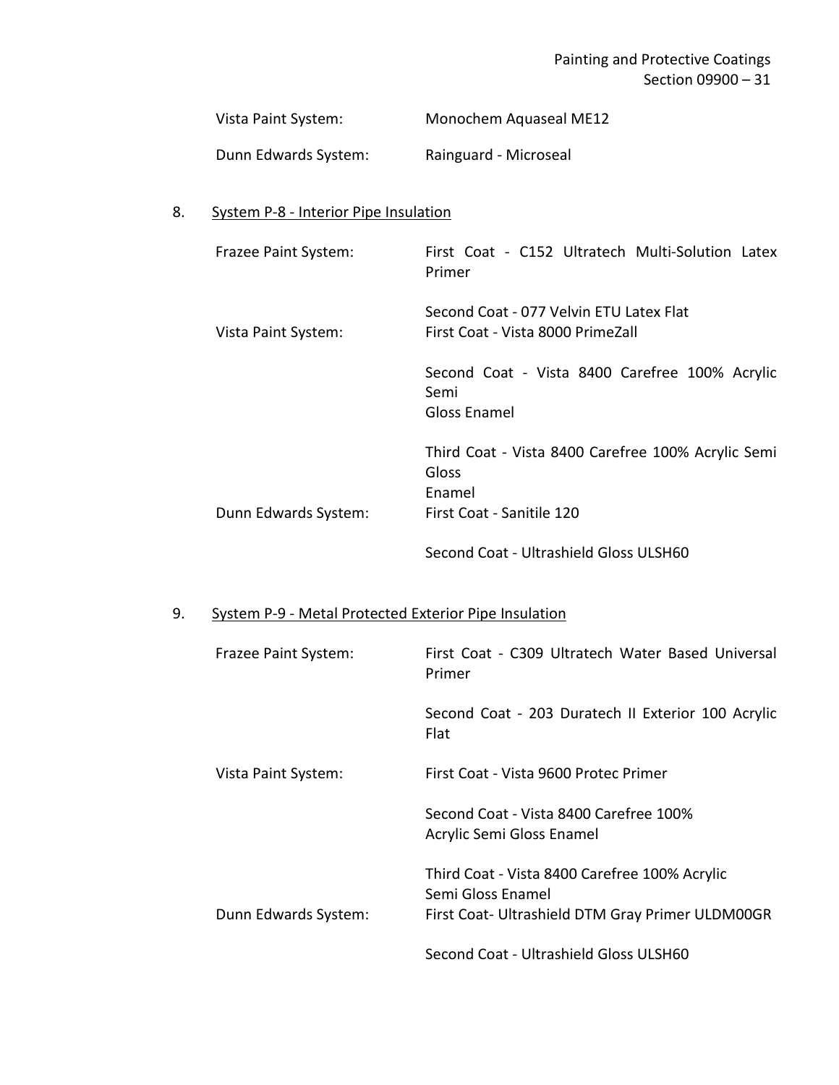# Painting and Protective Coatings Section 09900 – 31

| Vista Paint System:  | Monochem Aquaseal ME12 |
|----------------------|------------------------|
| Dunn Edwards System: | Rainguard - Microseal  |

# 8. System P-8 - Interior Pipe Insulation

| Frazee Paint System: | First Coat - C152 Ultratech Multi-Solution Latex<br>Primer                                         |
|----------------------|----------------------------------------------------------------------------------------------------|
| Vista Paint System:  | Second Coat - 077 Velvin ETU Latex Flat<br>First Coat - Vista 8000 PrimeZall                       |
|                      | Second Coat - Vista 8400 Carefree 100% Acrylic<br>Semi<br><b>Gloss Enamel</b>                      |
| Dunn Edwards System: | Third Coat - Vista 8400 Carefree 100% Acrylic Semi<br>Gloss<br>Enamel<br>First Coat - Sanitile 120 |
|                      | Second Coat - Ultrashield Gloss ULSH60                                                             |

# 9. System P-9 - Metal Protected Exterior Pipe Insulation

| Frazee Paint System: | First Coat - C309 Ultratech Water Based Universal<br>Primer         |
|----------------------|---------------------------------------------------------------------|
|                      | Second Coat - 203 Duratech II Exterior 100 Acrylic<br>Flat          |
| Vista Paint System:  | First Coat - Vista 9600 Protec Primer                               |
|                      | Second Coat - Vista 8400 Carefree 100%<br>Acrylic Semi Gloss Enamel |
|                      | Third Coat - Vista 8400 Carefree 100% Acrylic<br>Semi Gloss Enamel  |
| Dunn Edwards System: | First Coat- Ultrashield DTM Gray Primer ULDM00GR                    |
|                      | Second Coat - Ultrashield Gloss ULSH60                              |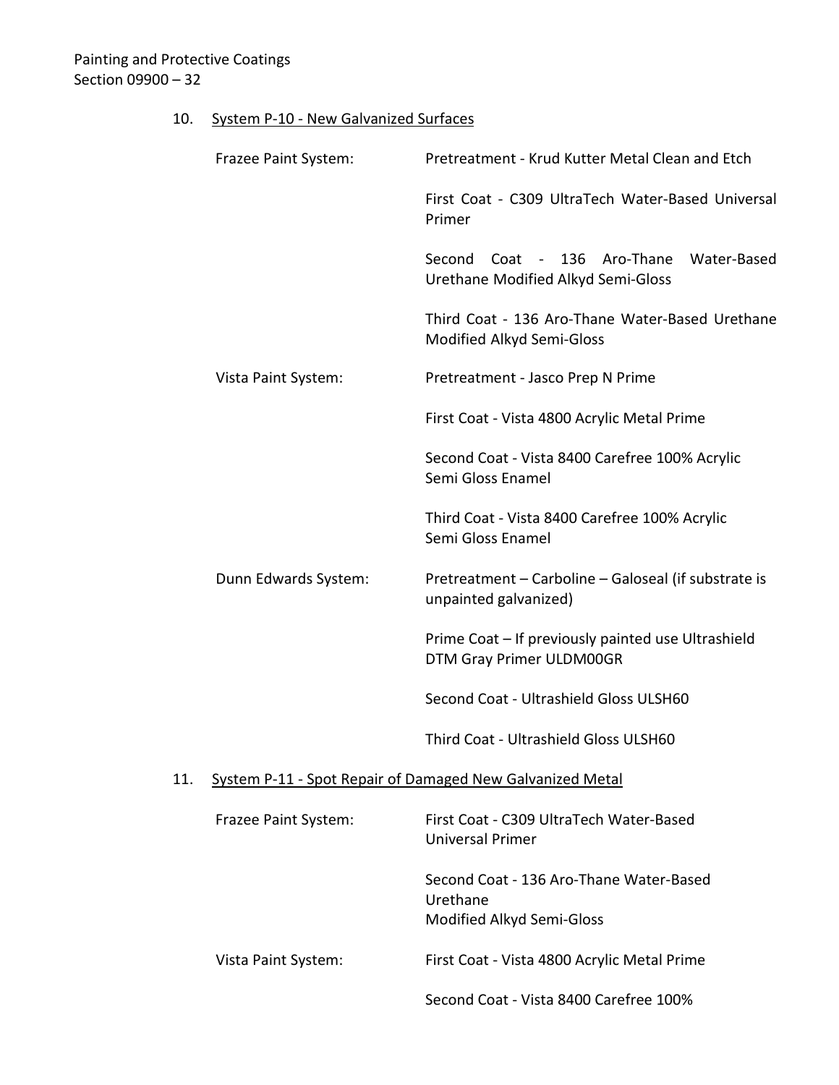# 10. System P-10 - New Galvanized Surfaces

|     | Frazee Paint System:                                      | Pretreatment - Krud Kutter Metal Clean and Etch                                     |  |
|-----|-----------------------------------------------------------|-------------------------------------------------------------------------------------|--|
|     |                                                           | First Coat - C309 UltraTech Water-Based Universal<br>Primer                         |  |
|     |                                                           | Second<br>Coat - 136 Aro-Thane<br>Water-Based<br>Urethane Modified Alkyd Semi-Gloss |  |
|     |                                                           | Third Coat - 136 Aro-Thane Water-Based Urethane<br>Modified Alkyd Semi-Gloss        |  |
|     | Vista Paint System:                                       | Pretreatment - Jasco Prep N Prime                                                   |  |
|     |                                                           | First Coat - Vista 4800 Acrylic Metal Prime                                         |  |
|     |                                                           | Second Coat - Vista 8400 Carefree 100% Acrylic<br>Semi Gloss Enamel                 |  |
|     |                                                           | Third Coat - Vista 8400 Carefree 100% Acrylic<br>Semi Gloss Enamel                  |  |
|     | Dunn Edwards System:                                      | Pretreatment - Carboline - Galoseal (if substrate is<br>unpainted galvanized)       |  |
|     |                                                           | Prime Coat - If previously painted use Ultrashield<br>DTM Gray Primer ULDM00GR      |  |
|     |                                                           | Second Coat - Ultrashield Gloss ULSH60                                              |  |
|     |                                                           | Third Coat - Ultrashield Gloss ULSH60                                               |  |
| 11. | System P-11 - Spot Repair of Damaged New Galvanized Metal |                                                                                     |  |
|     | Frazee Paint System:                                      | First Coat - C309 UltraTech Water-Based<br><b>Universal Primer</b>                  |  |
|     |                                                           | Second Coat - 136 Aro-Thane Water-Based<br>Urethane<br>Modified Alkyd Semi-Gloss    |  |
|     | Vista Paint System:                                       | First Coat - Vista 4800 Acrylic Metal Prime                                         |  |
|     |                                                           | Second Coat - Vista 8400 Carefree 100%                                              |  |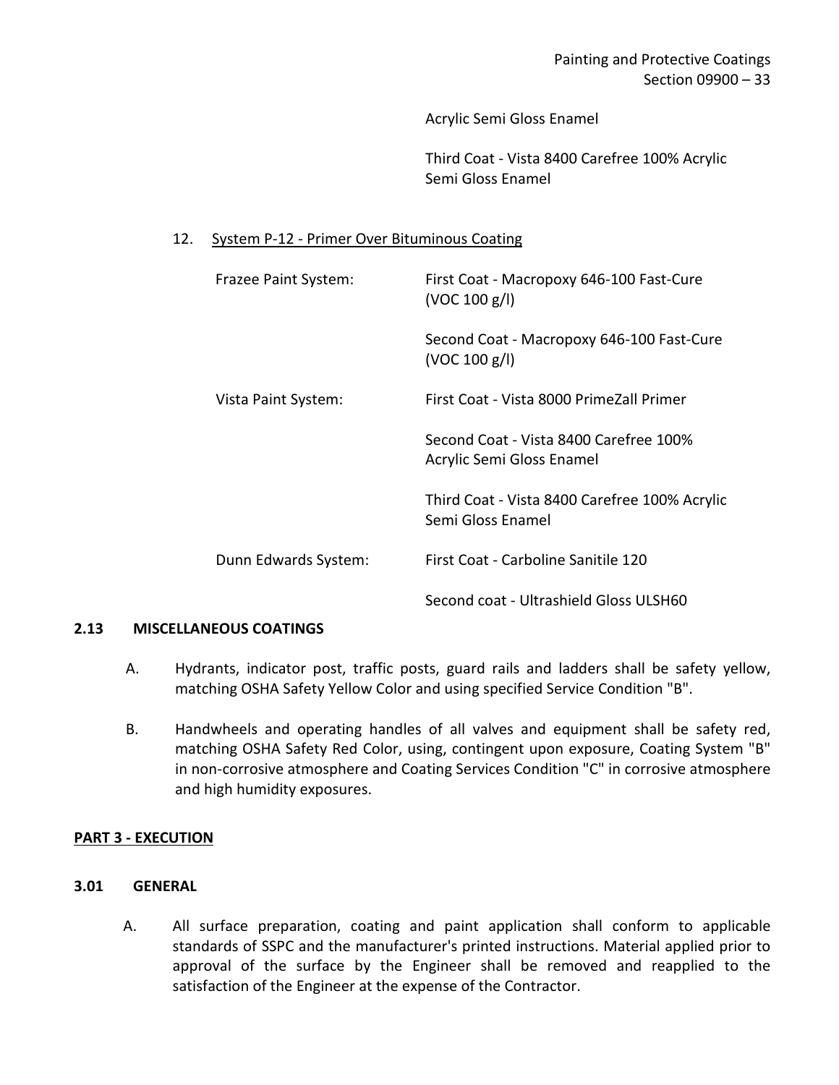Acrylic Semi Gloss Enamel

Third Coat - Vista 8400 Carefree 100% Acrylic Semi Gloss Enamel

### 12. System P-12 - Primer Over Bituminous Coating

| Frazee Paint System: | First Coat - Macropoxy 646-100 Fast-Cure<br>(VOC 100 g/l)           |
|----------------------|---------------------------------------------------------------------|
|                      | Second Coat - Macropoxy 646-100 Fast-Cure<br>(VOC 100 g/l)          |
| Vista Paint System:  | First Coat - Vista 8000 PrimeZall Primer                            |
|                      | Second Coat - Vista 8400 Carefree 100%<br>Acrylic Semi Gloss Enamel |
|                      | Third Coat - Vista 8400 Carefree 100% Acrylic<br>Semi Gloss Enamel  |
| Dunn Edwards System: | First Coat - Carboline Sanitile 120                                 |
|                      | Second coat - Ultrashield Gloss ULSH60                              |

#### <span id="page-34-0"></span>**2.13 MISCELLANEOUS COATINGS**

- A. Hydrants, indicator post, traffic posts, guard rails and ladders shall be safety yellow, matching OSHA Safety Yellow Color and using specified Service Condition "B".
- B. Handwheels and operating handles of all valves and equipment shall be safety red, matching OSHA Safety Red Color, using, contingent upon exposure, Coating System "B" in non-corrosive atmosphere and Coating Services Condition "C" in corrosive atmosphere and high humidity exposures.

### <span id="page-34-1"></span>**PART 3 - EXECUTION**

### <span id="page-34-2"></span>**3.01 GENERAL**

A. All surface preparation, coating and paint application shall conform to applicable standards of SSPC and the manufacturer's printed instructions. Material applied prior to approval of the surface by the Engineer shall be removed and reapplied to the satisfaction of the Engineer at the expense of the Contractor.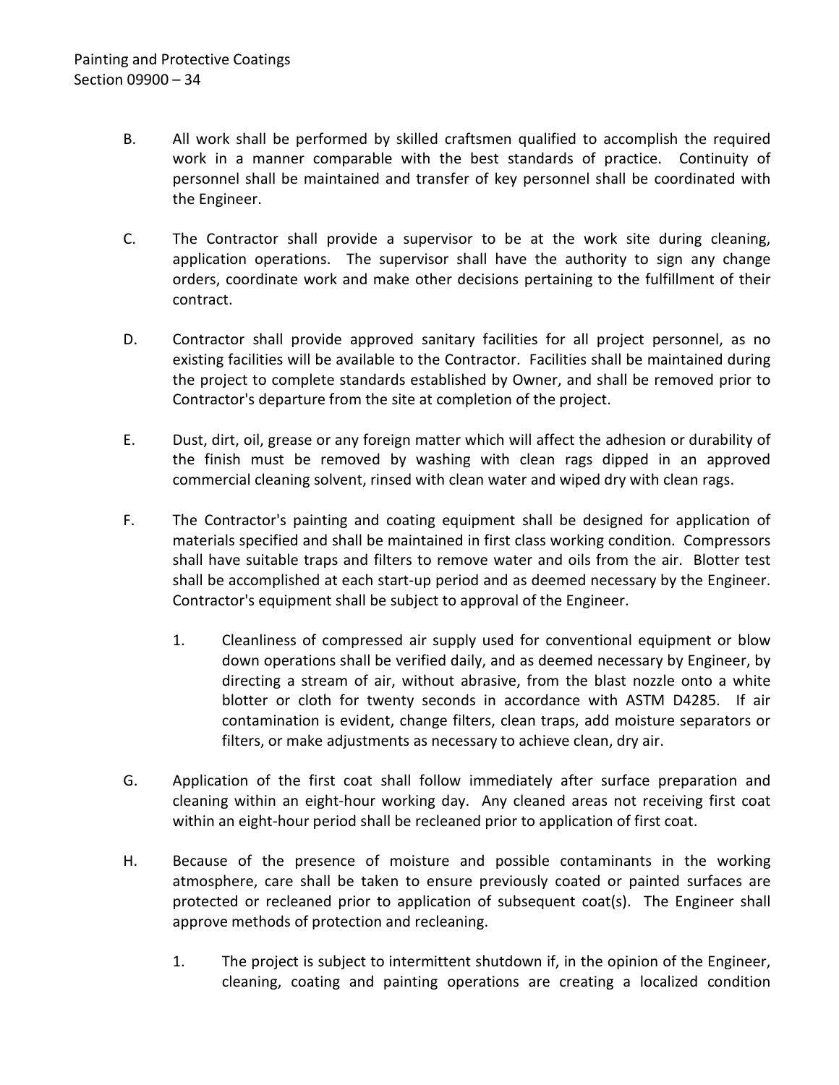- B. All work shall be performed by skilled craftsmen qualified to accomplish the required work in a manner comparable with the best standards of practice. Continuity of personnel shall be maintained and transfer of key personnel shall be coordinated with the Engineer.
- C. The Contractor shall provide a supervisor to be at the work site during cleaning, application operations. The supervisor shall have the authority to sign any change orders, coordinate work and make other decisions pertaining to the fulfillment of their contract.
- D. Contractor shall provide approved sanitary facilities for all project personnel, as no existing facilities will be available to the Contractor. Facilities shall be maintained during the project to complete standards established by Owner, and shall be removed prior to Contractor's departure from the site at completion of the project.
- E. Dust, dirt, oil, grease or any foreign matter which will affect the adhesion or durability of the finish must be removed by washing with clean rags dipped in an approved commercial cleaning solvent, rinsed with clean water and wiped dry with clean rags.
- F. The Contractor's painting and coating equipment shall be designed for application of materials specified and shall be maintained in first class working condition. Compressors shall have suitable traps and filters to remove water and oils from the air. Blotter test shall be accomplished at each start-up period and as deemed necessary by the Engineer. Contractor's equipment shall be subject to approval of the Engineer.
	- 1. Cleanliness of compressed air supply used for conventional equipment or blow down operations shall be verified daily, and as deemed necessary by Engineer, by directing a stream of air, without abrasive, from the blast nozzle onto a white blotter or cloth for twenty seconds in accordance with ASTM D4285. If air contamination is evident, change filters, clean traps, add moisture separators or filters, or make adjustments as necessary to achieve clean, dry air.
- G. Application of the first coat shall follow immediately after surface preparation and cleaning within an eight-hour working day. Any cleaned areas not receiving first coat within an eight-hour period shall be recleaned prior to application of first coat.
- H. Because of the presence of moisture and possible contaminants in the working atmosphere, care shall be taken to ensure previously coated or painted surfaces are protected or recleaned prior to application of subsequent coat(s). The Engineer shall approve methods of protection and recleaning.
	- 1. The project is subject to intermittent shutdown if, in the opinion of the Engineer, cleaning, coating and painting operations are creating a localized condition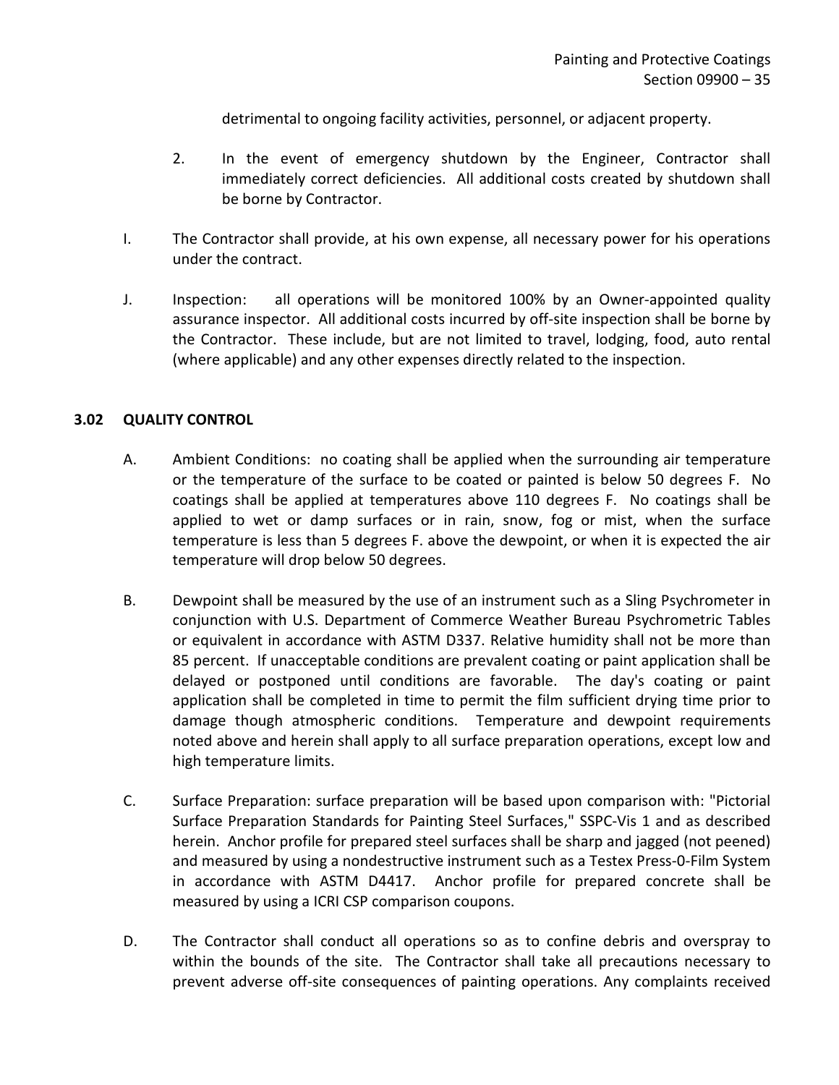detrimental to ongoing facility activities, personnel, or adjacent property.

- 2. In the event of emergency shutdown by the Engineer, Contractor shall immediately correct deficiencies. All additional costs created by shutdown shall be borne by Contractor.
- I. The Contractor shall provide, at his own expense, all necessary power for his operations under the contract.
- J. Inspection: all operations will be monitored 100% by an Owner-appointed quality assurance inspector. All additional costs incurred by off-site inspection shall be borne by the Contractor. These include, but are not limited to travel, lodging, food, auto rental (where applicable) and any other expenses directly related to the inspection.

#### <span id="page-36-0"></span>**3.02 QUALITY CONTROL**

- A. Ambient Conditions: no coating shall be applied when the surrounding air temperature or the temperature of the surface to be coated or painted is below 50 degrees F. No coatings shall be applied at temperatures above 110 degrees F. No coatings shall be applied to wet or damp surfaces or in rain, snow, fog or mist, when the surface temperature is less than 5 degrees F. above the dewpoint, or when it is expected the air temperature will drop below 50 degrees.
- B. Dewpoint shall be measured by the use of an instrument such as a Sling Psychrometer in conjunction with U.S. Department of Commerce Weather Bureau Psychrometric Tables or equivalent in accordance with ASTM D337. Relative humidity shall not be more than 85 percent. If unacceptable conditions are prevalent coating or paint application shall be delayed or postponed until conditions are favorable. The day's coating or paint application shall be completed in time to permit the film sufficient drying time prior to damage though atmospheric conditions. Temperature and dewpoint requirements noted above and herein shall apply to all surface preparation operations, except low and high temperature limits.
- C. Surface Preparation: surface preparation will be based upon comparison with: "Pictorial Surface Preparation Standards for Painting Steel Surfaces," SSPC-Vis 1 and as described herein. Anchor profile for prepared steel surfaces shall be sharp and jagged (not peened) and measured by using a nondestructive instrument such as a Testex Press-0-Film System in accordance with ASTM D4417. Anchor profile for prepared concrete shall be measured by using a ICRI CSP comparison coupons.
- D. The Contractor shall conduct all operations so as to confine debris and overspray to within the bounds of the site. The Contractor shall take all precautions necessary to prevent adverse off-site consequences of painting operations. Any complaints received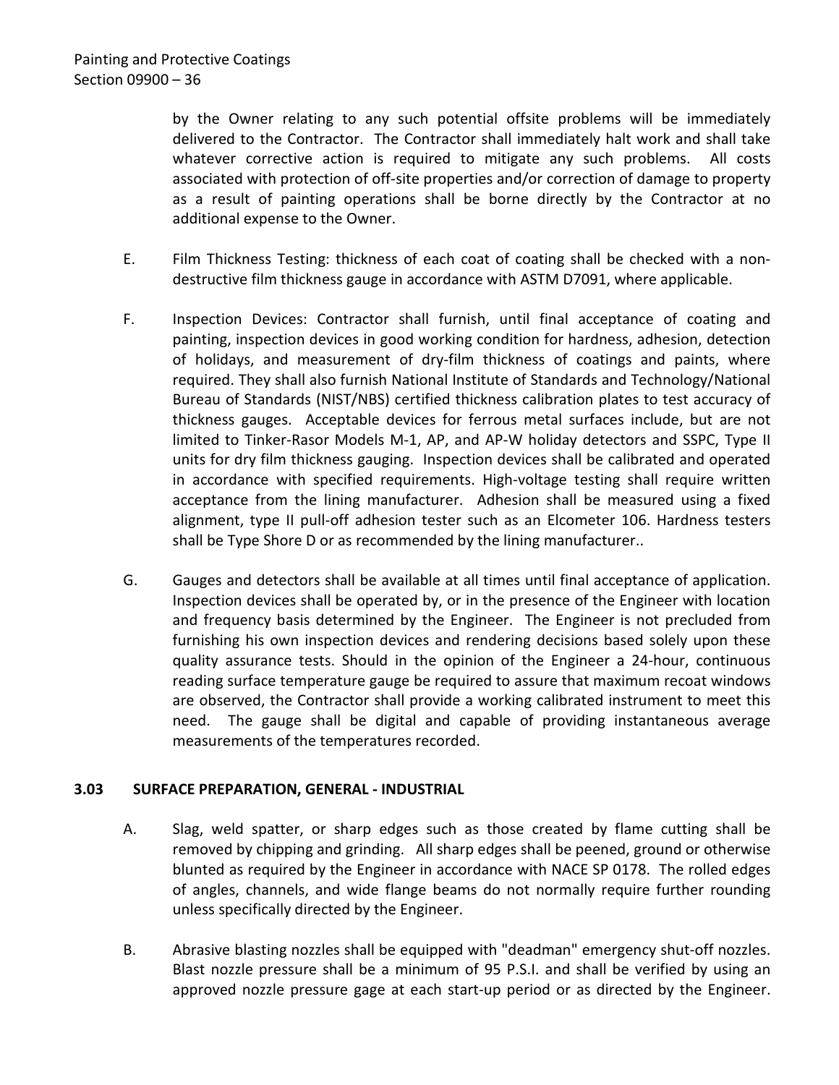by the Owner relating to any such potential offsite problems will be immediately delivered to the Contractor. The Contractor shall immediately halt work and shall take whatever corrective action is required to mitigate any such problems. All costs associated with protection of off-site properties and/or correction of damage to property as a result of painting operations shall be borne directly by the Contractor at no additional expense to the Owner.

- E. Film Thickness Testing: thickness of each coat of coating shall be checked with a nondestructive film thickness gauge in accordance with ASTM D7091, where applicable.
- F. Inspection Devices: Contractor shall furnish, until final acceptance of coating and painting, inspection devices in good working condition for hardness, adhesion, detection of holidays, and measurement of dry-film thickness of coatings and paints, where required. They shall also furnish National Institute of Standards and Technology/National Bureau of Standards (NIST/NBS) certified thickness calibration plates to test accuracy of thickness gauges. Acceptable devices for ferrous metal surfaces include, but are not limited to Tinker-Rasor Models M-1, AP, and AP-W holiday detectors and SSPC, Type II units for dry film thickness gauging. Inspection devices shall be calibrated and operated in accordance with specified requirements. High-voltage testing shall require written acceptance from the lining manufacturer. Adhesion shall be measured using a fixed alignment, type II pull-off adhesion tester such as an Elcometer 106. Hardness testers shall be Type Shore D or as recommended by the lining manufacturer..
- G. Gauges and detectors shall be available at all times until final acceptance of application. Inspection devices shall be operated by, or in the presence of the Engineer with location and frequency basis determined by the Engineer. The Engineer is not precluded from furnishing his own inspection devices and rendering decisions based solely upon these quality assurance tests. Should in the opinion of the Engineer a 24-hour, continuous reading surface temperature gauge be required to assure that maximum recoat windows are observed, the Contractor shall provide a working calibrated instrument to meet this need. The gauge shall be digital and capable of providing instantaneous average measurements of the temperatures recorded.

### <span id="page-37-0"></span>**3.03 SURFACE PREPARATION, GENERAL - INDUSTRIAL**

- A. Slag, weld spatter, or sharp edges such as those created by flame cutting shall be removed by chipping and grinding. All sharp edges shall be peened, ground or otherwise blunted as required by the Engineer in accordance with NACE SP 0178. The rolled edges of angles, channels, and wide flange beams do not normally require further rounding unless specifically directed by the Engineer.
- B. Abrasive blasting nozzles shall be equipped with "deadman" emergency shut-off nozzles. Blast nozzle pressure shall be a minimum of 95 P.S.I. and shall be verified by using an approved nozzle pressure gage at each start-up period or as directed by the Engineer.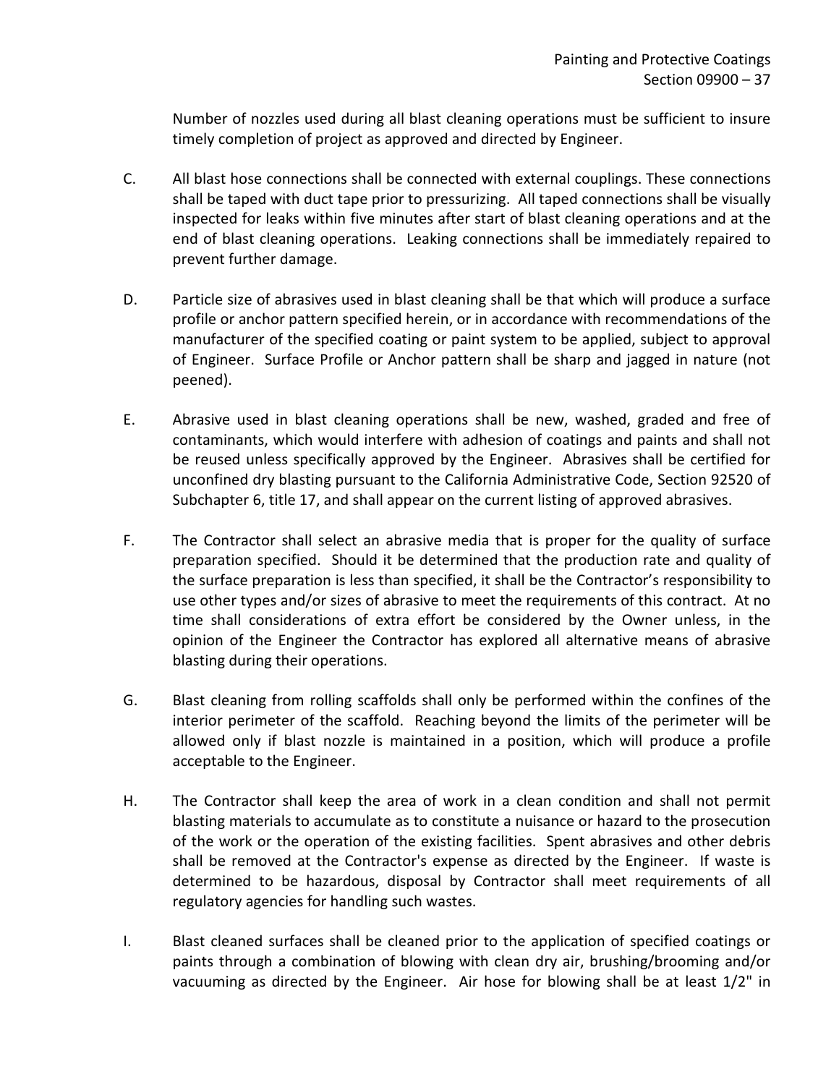Number of nozzles used during all blast cleaning operations must be sufficient to insure timely completion of project as approved and directed by Engineer.

- C. All blast hose connections shall be connected with external couplings. These connections shall be taped with duct tape prior to pressurizing. All taped connections shall be visually inspected for leaks within five minutes after start of blast cleaning operations and at the end of blast cleaning operations. Leaking connections shall be immediately repaired to prevent further damage.
- D. Particle size of abrasives used in blast cleaning shall be that which will produce a surface profile or anchor pattern specified herein, or in accordance with recommendations of the manufacturer of the specified coating or paint system to be applied, subject to approval of Engineer. Surface Profile or Anchor pattern shall be sharp and jagged in nature (not peened).
- E. Abrasive used in blast cleaning operations shall be new, washed, graded and free of contaminants, which would interfere with adhesion of coatings and paints and shall not be reused unless specifically approved by the Engineer. Abrasives shall be certified for unconfined dry blasting pursuant to the California Administrative Code, Section 92520 of Subchapter 6, title 17, and shall appear on the current listing of approved abrasives.
- F. The Contractor shall select an abrasive media that is proper for the quality of surface preparation specified. Should it be determined that the production rate and quality of the surface preparation is less than specified, it shall be the Contractor's responsibility to use other types and/or sizes of abrasive to meet the requirements of this contract. At no time shall considerations of extra effort be considered by the Owner unless, in the opinion of the Engineer the Contractor has explored all alternative means of abrasive blasting during their operations.
- G. Blast cleaning from rolling scaffolds shall only be performed within the confines of the interior perimeter of the scaffold. Reaching beyond the limits of the perimeter will be allowed only if blast nozzle is maintained in a position, which will produce a profile acceptable to the Engineer.
- H. The Contractor shall keep the area of work in a clean condition and shall not permit blasting materials to accumulate as to constitute a nuisance or hazard to the prosecution of the work or the operation of the existing facilities. Spent abrasives and other debris shall be removed at the Contractor's expense as directed by the Engineer. If waste is determined to be hazardous, disposal by Contractor shall meet requirements of all regulatory agencies for handling such wastes.
- I. Blast cleaned surfaces shall be cleaned prior to the application of specified coatings or paints through a combination of blowing with clean dry air, brushing/brooming and/or vacuuming as directed by the Engineer. Air hose for blowing shall be at least 1/2" in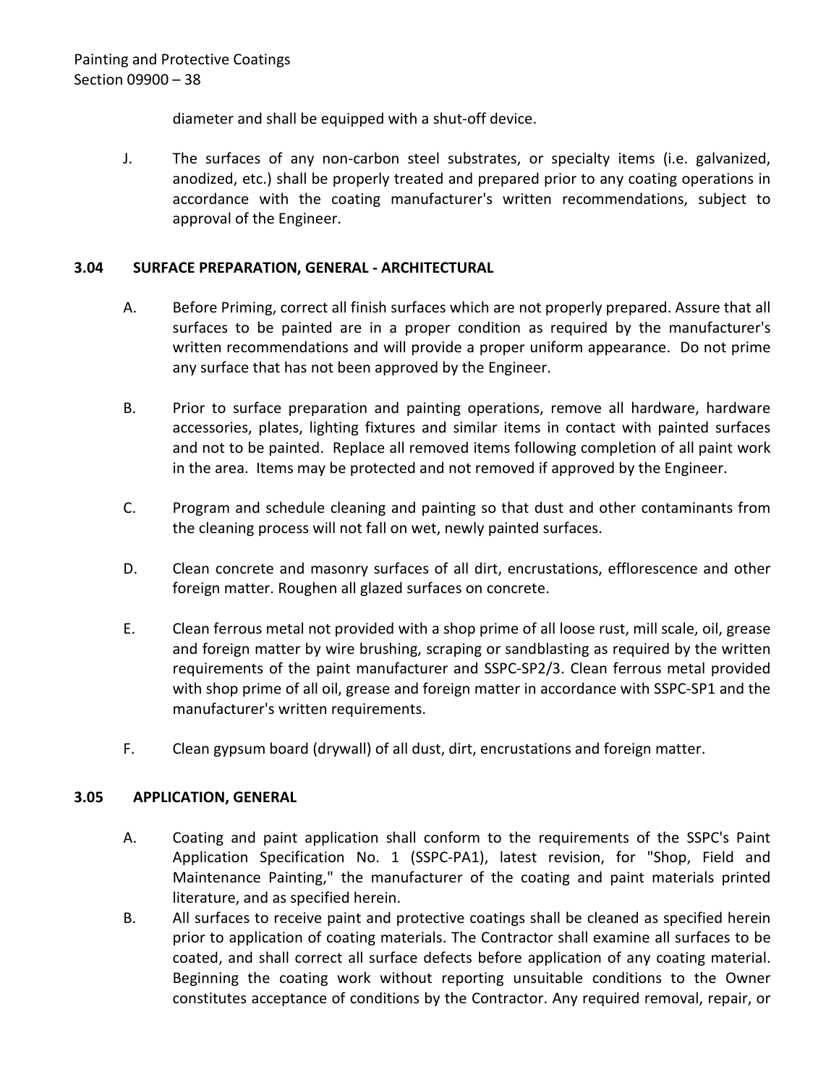diameter and shall be equipped with a shut-off device.

J. The surfaces of any non-carbon steel substrates, or specialty items (i.e. galvanized, anodized, etc.) shall be properly treated and prepared prior to any coating operations in accordance with the coating manufacturer's written recommendations, subject to approval of the Engineer.

### <span id="page-39-0"></span>**3.04 SURFACE PREPARATION, GENERAL - ARCHITECTURAL**

- A. Before Priming, correct all finish surfaces which are not properly prepared. Assure that all surfaces to be painted are in a proper condition as required by the manufacturer's written recommendations and will provide a proper uniform appearance. Do not prime any surface that has not been approved by the Engineer.
- B. Prior to surface preparation and painting operations, remove all hardware, hardware accessories, plates, lighting fixtures and similar items in contact with painted surfaces and not to be painted. Replace all removed items following completion of all paint work in the area. Items may be protected and not removed if approved by the Engineer.
- C. Program and schedule cleaning and painting so that dust and other contaminants from the cleaning process will not fall on wet, newly painted surfaces.
- D. Clean concrete and masonry surfaces of all dirt, encrustations, efflorescence and other foreign matter. Roughen all glazed surfaces on concrete.
- E. Clean ferrous metal not provided with a shop prime of all loose rust, mill scale, oil, grease and foreign matter by wire brushing, scraping or sandblasting as required by the written requirements of the paint manufacturer and SSPC-SP2/3. Clean ferrous metal provided with shop prime of all oil, grease and foreign matter in accordance with SSPC-SP1 and the manufacturer's written requirements.
- F. Clean gypsum board (drywall) of all dust, dirt, encrustations and foreign matter.

## <span id="page-39-1"></span>**3.05 APPLICATION, GENERAL**

- A. Coating and paint application shall conform to the requirements of the SSPC's Paint Application Specification No. 1 (SSPC-PA1), latest revision, for "Shop, Field and Maintenance Painting," the manufacturer of the coating and paint materials printed literature, and as specified herein.
- B. All surfaces to receive paint and protective coatings shall be cleaned as specified herein prior to application of coating materials. The Contractor shall examine all surfaces to be coated, and shall correct all surface defects before application of any coating material. Beginning the coating work without reporting unsuitable conditions to the Owner constitutes acceptance of conditions by the Contractor. Any required removal, repair, or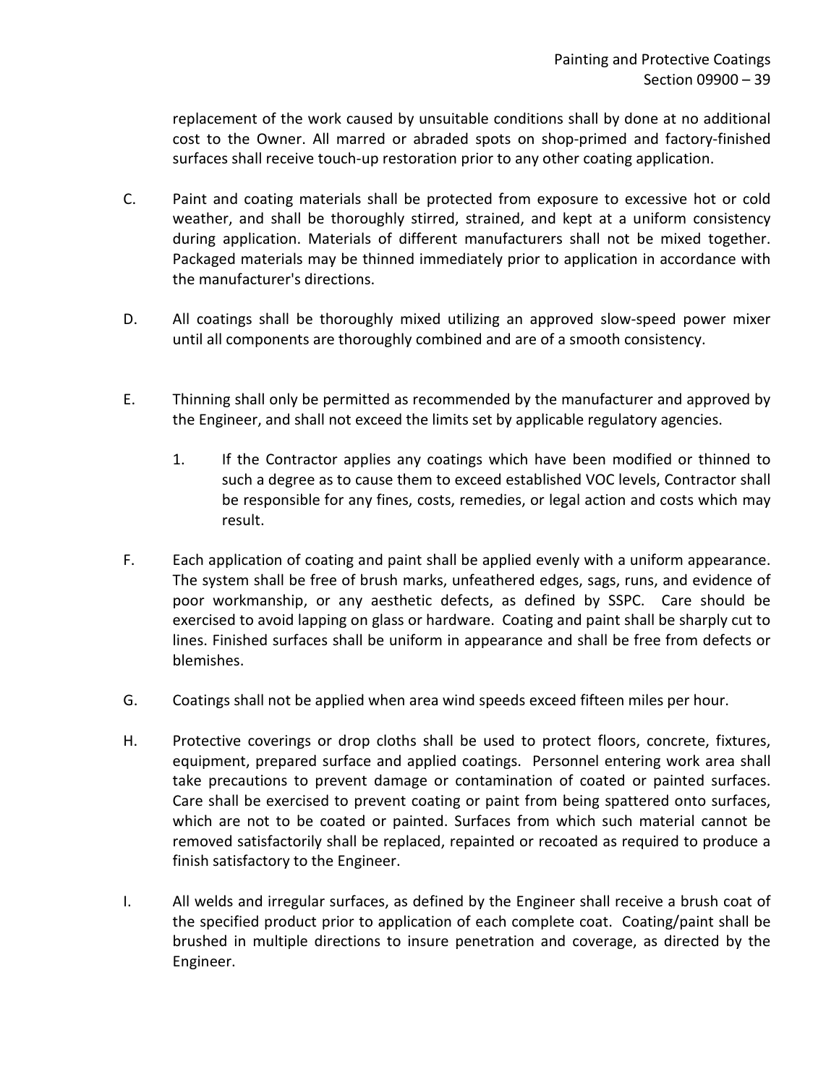replacement of the work caused by unsuitable conditions shall by done at no additional cost to the Owner. All marred or abraded spots on shop-primed and factory-finished surfaces shall receive touch-up restoration prior to any other coating application.

- C. Paint and coating materials shall be protected from exposure to excessive hot or cold weather, and shall be thoroughly stirred, strained, and kept at a uniform consistency during application. Materials of different manufacturers shall not be mixed together. Packaged materials may be thinned immediately prior to application in accordance with the manufacturer's directions.
- D. All coatings shall be thoroughly mixed utilizing an approved slow-speed power mixer until all components are thoroughly combined and are of a smooth consistency.
- E. Thinning shall only be permitted as recommended by the manufacturer and approved by the Engineer, and shall not exceed the limits set by applicable regulatory agencies.
	- 1. If the Contractor applies any coatings which have been modified or thinned to such a degree as to cause them to exceed established VOC levels, Contractor shall be responsible for any fines, costs, remedies, or legal action and costs which may result.
- F. Each application of coating and paint shall be applied evenly with a uniform appearance. The system shall be free of brush marks, unfeathered edges, sags, runs, and evidence of poor workmanship, or any aesthetic defects, as defined by SSPC. Care should be exercised to avoid lapping on glass or hardware. Coating and paint shall be sharply cut to lines. Finished surfaces shall be uniform in appearance and shall be free from defects or blemishes.
- G. Coatings shall not be applied when area wind speeds exceed fifteen miles per hour.
- H. Protective coverings or drop cloths shall be used to protect floors, concrete, fixtures, equipment, prepared surface and applied coatings. Personnel entering work area shall take precautions to prevent damage or contamination of coated or painted surfaces. Care shall be exercised to prevent coating or paint from being spattered onto surfaces, which are not to be coated or painted. Surfaces from which such material cannot be removed satisfactorily shall be replaced, repainted or recoated as required to produce a finish satisfactory to the Engineer.
- I. All welds and irregular surfaces, as defined by the Engineer shall receive a brush coat of the specified product prior to application of each complete coat. Coating/paint shall be brushed in multiple directions to insure penetration and coverage, as directed by the Engineer.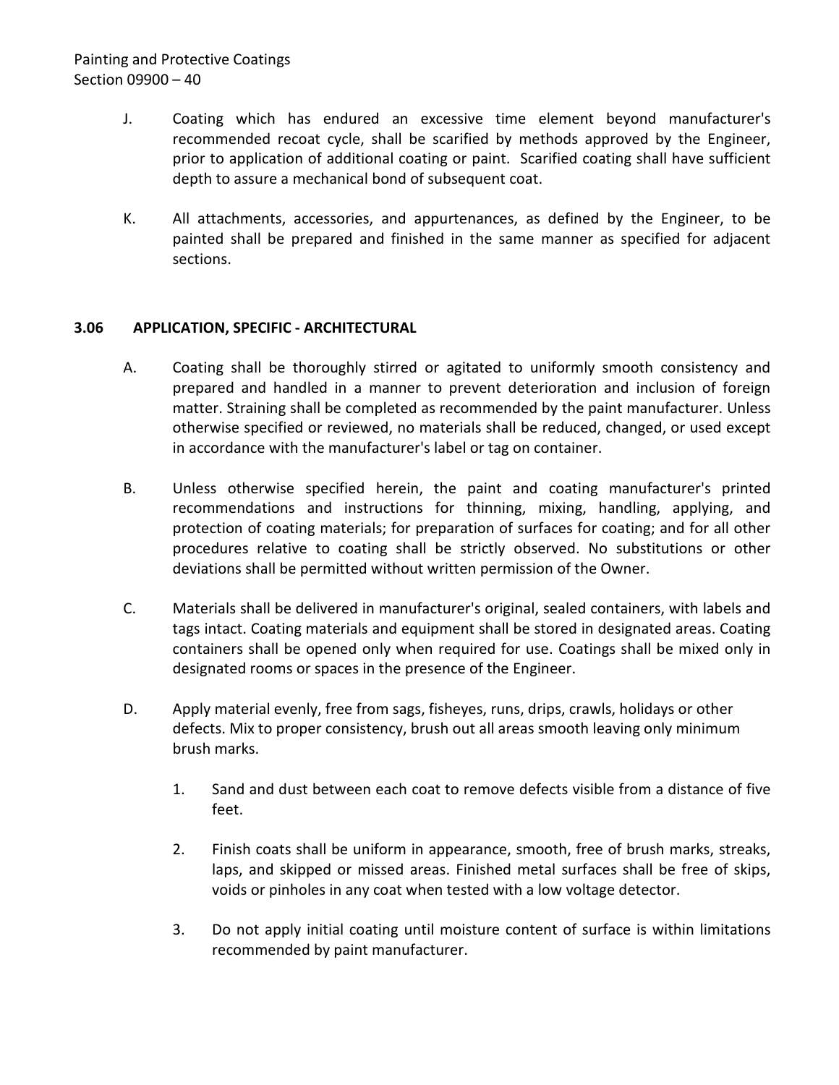# Painting and Protective Coatings Section 09900 – 40

- J. Coating which has endured an excessive time element beyond manufacturer's recommended recoat cycle, shall be scarified by methods approved by the Engineer, prior to application of additional coating or paint. Scarified coating shall have sufficient depth to assure a mechanical bond of subsequent coat.
- K. All attachments, accessories, and appurtenances, as defined by the Engineer, to be painted shall be prepared and finished in the same manner as specified for adjacent sections.

### <span id="page-41-0"></span>**3.06 APPLICATION, SPECIFIC - ARCHITECTURAL**

- A. Coating shall be thoroughly stirred or agitated to uniformly smooth consistency and prepared and handled in a manner to prevent deterioration and inclusion of foreign matter. Straining shall be completed as recommended by the paint manufacturer. Unless otherwise specified or reviewed, no materials shall be reduced, changed, or used except in accordance with the manufacturer's label or tag on container.
- B. Unless otherwise specified herein, the paint and coating manufacturer's printed recommendations and instructions for thinning, mixing, handling, applying, and protection of coating materials; for preparation of surfaces for coating; and for all other procedures relative to coating shall be strictly observed. No substitutions or other deviations shall be permitted without written permission of the Owner.
- C. Materials shall be delivered in manufacturer's original, sealed containers, with labels and tags intact. Coating materials and equipment shall be stored in designated areas. Coating containers shall be opened only when required for use. Coatings shall be mixed only in designated rooms or spaces in the presence of the Engineer.
- D. Apply material evenly, free from sags, fisheyes, runs, drips, crawls, holidays or other defects. Mix to proper consistency, brush out all areas smooth leaving only minimum brush marks.
	- 1. Sand and dust between each coat to remove defects visible from a distance of five feet.
	- 2. Finish coats shall be uniform in appearance, smooth, free of brush marks, streaks, laps, and skipped or missed areas. Finished metal surfaces shall be free of skips, voids or pinholes in any coat when tested with a low voltage detector.
	- 3. Do not apply initial coating until moisture content of surface is within limitations recommended by paint manufacturer.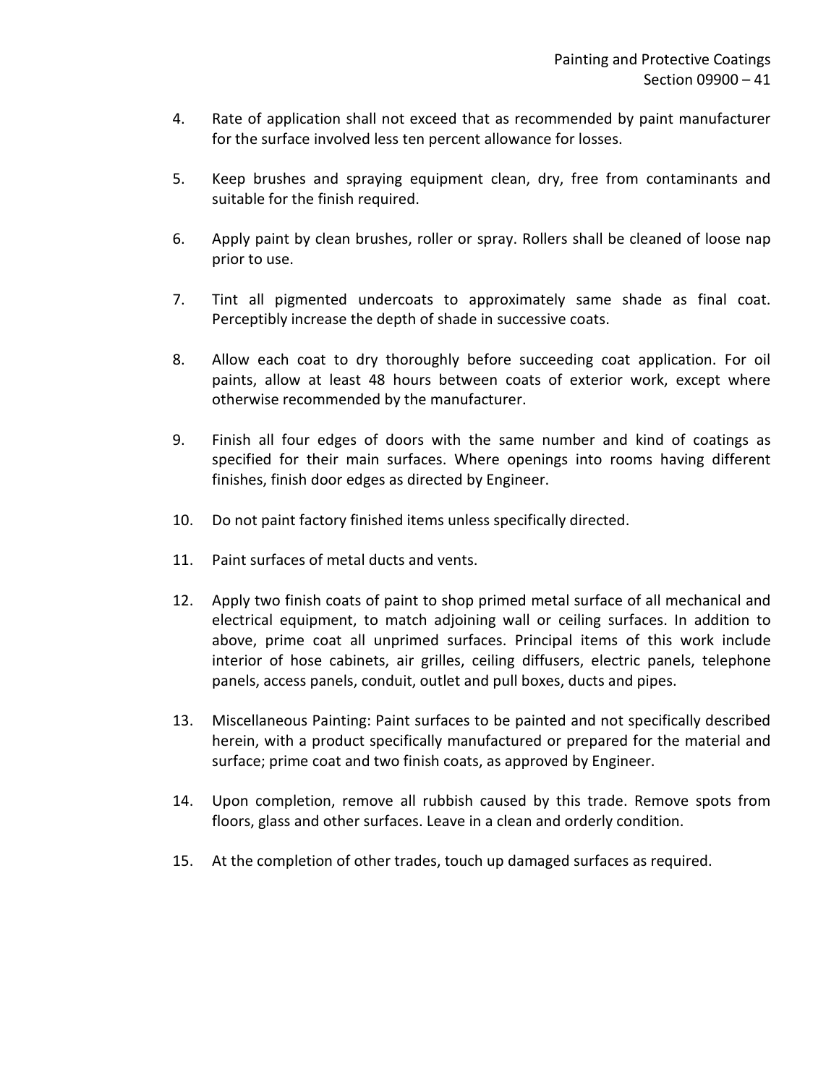- 4. Rate of application shall not exceed that as recommended by paint manufacturer for the surface involved less ten percent allowance for losses.
- 5. Keep brushes and spraying equipment clean, dry, free from contaminants and suitable for the finish required.
- 6. Apply paint by clean brushes, roller or spray. Rollers shall be cleaned of loose nap prior to use.
- 7. Tint all pigmented undercoats to approximately same shade as final coat. Perceptibly increase the depth of shade in successive coats.
- 8. Allow each coat to dry thoroughly before succeeding coat application. For oil paints, allow at least 48 hours between coats of exterior work, except where otherwise recommended by the manufacturer.
- 9. Finish all four edges of doors with the same number and kind of coatings as specified for their main surfaces. Where openings into rooms having different finishes, finish door edges as directed by Engineer.
- 10. Do not paint factory finished items unless specifically directed.
- 11. Paint surfaces of metal ducts and vents.
- 12. Apply two finish coats of paint to shop primed metal surface of all mechanical and electrical equipment, to match adjoining wall or ceiling surfaces. In addition to above, prime coat all unprimed surfaces. Principal items of this work include interior of hose cabinets, air grilles, ceiling diffusers, electric panels, telephone panels, access panels, conduit, outlet and pull boxes, ducts and pipes.
- 13. Miscellaneous Painting: Paint surfaces to be painted and not specifically described herein, with a product specifically manufactured or prepared for the material and surface; prime coat and two finish coats, as approved by Engineer.
- 14. Upon completion, remove all rubbish caused by this trade. Remove spots from floors, glass and other surfaces. Leave in a clean and orderly condition.
- 15. At the completion of other trades, touch up damaged surfaces as required.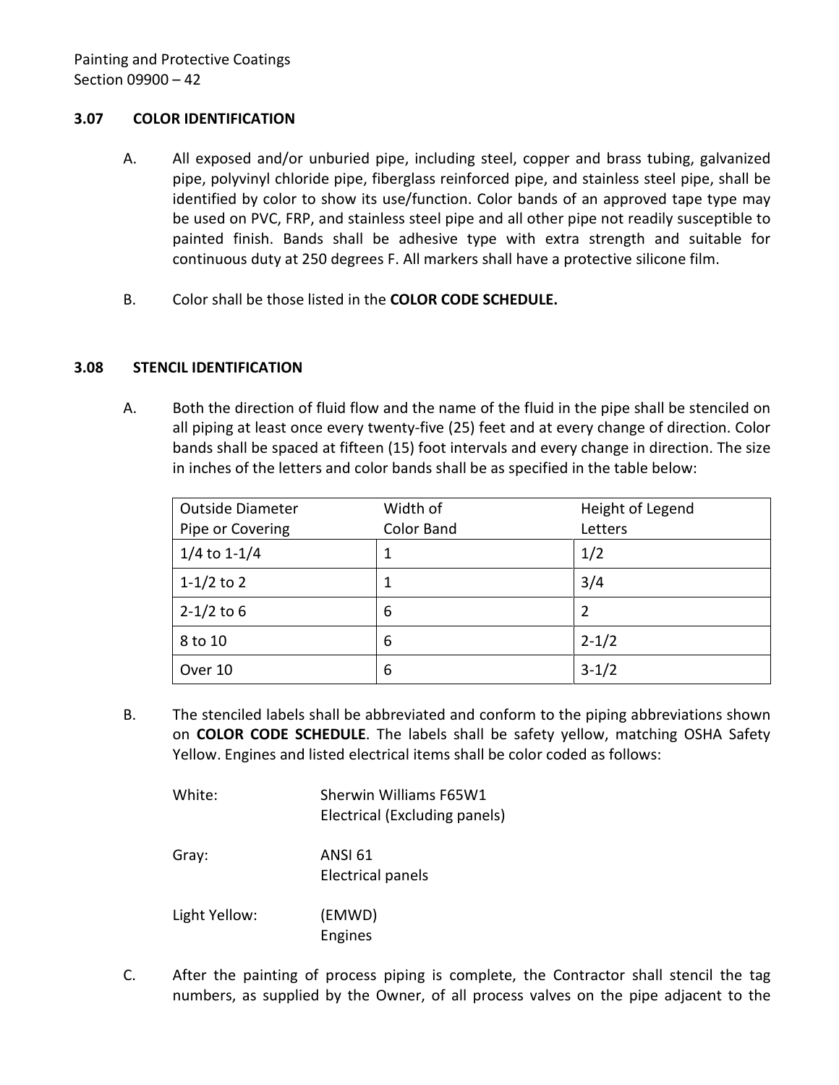### <span id="page-43-0"></span>**3.07 COLOR IDENTIFICATION**

- A. All exposed and/or unburied pipe, including steel, copper and brass tubing, galvanized pipe, polyvinyl chloride pipe, fiberglass reinforced pipe, and stainless steel pipe, shall be identified by color to show its use/function. Color bands of an approved tape type may be used on PVC, FRP, and stainless steel pipe and all other pipe not readily susceptible to painted finish. Bands shall be adhesive type with extra strength and suitable for continuous duty at 250 degrees F. All markers shall have a protective silicone film.
- B. Color shall be those listed in the **COLOR CODE SCHEDULE.**

#### <span id="page-43-1"></span>**3.08 STENCIL IDENTIFICATION**

A. Both the direction of fluid flow and the name of the fluid in the pipe shall be stenciled on all piping at least once every twenty-five (25) feet and at every change of direction. Color bands shall be spaced at fifteen (15) foot intervals and every change in direction. The size in inches of the letters and color bands shall be as specified in the table below:

| <b>Outside Diameter</b> | Width of   | Height of Legend |
|-------------------------|------------|------------------|
| Pipe or Covering        | Color Band | Letters          |
| $1/4$ to 1-1/4          |            | 1/2              |
| 1-1/2 to 2              |            | 3/4              |
| $2 - 1/2$ to 6          | 6          | 2                |
| 8 to 10                 | 6          | $2 - 1/2$        |
| Over 10                 | 6          | $3-1/2$          |

B. The stenciled labels shall be abbreviated and conform to the piping abbreviations shown on **COLOR CODE SCHEDULE**. The labels shall be safety yellow, matching OSHA Safety Yellow. Engines and listed electrical items shall be color coded as follows:

| White:        | Sherwin Williams F65W1<br>Electrical (Excluding panels) |
|---------------|---------------------------------------------------------|
| Gray:         | ANSI 61<br><b>Electrical panels</b>                     |
| Light Yellow: | (EMWD)<br>Engines                                       |

C. After the painting of process piping is complete, the Contractor shall stencil the tag numbers, as supplied by the Owner, of all process valves on the pipe adjacent to the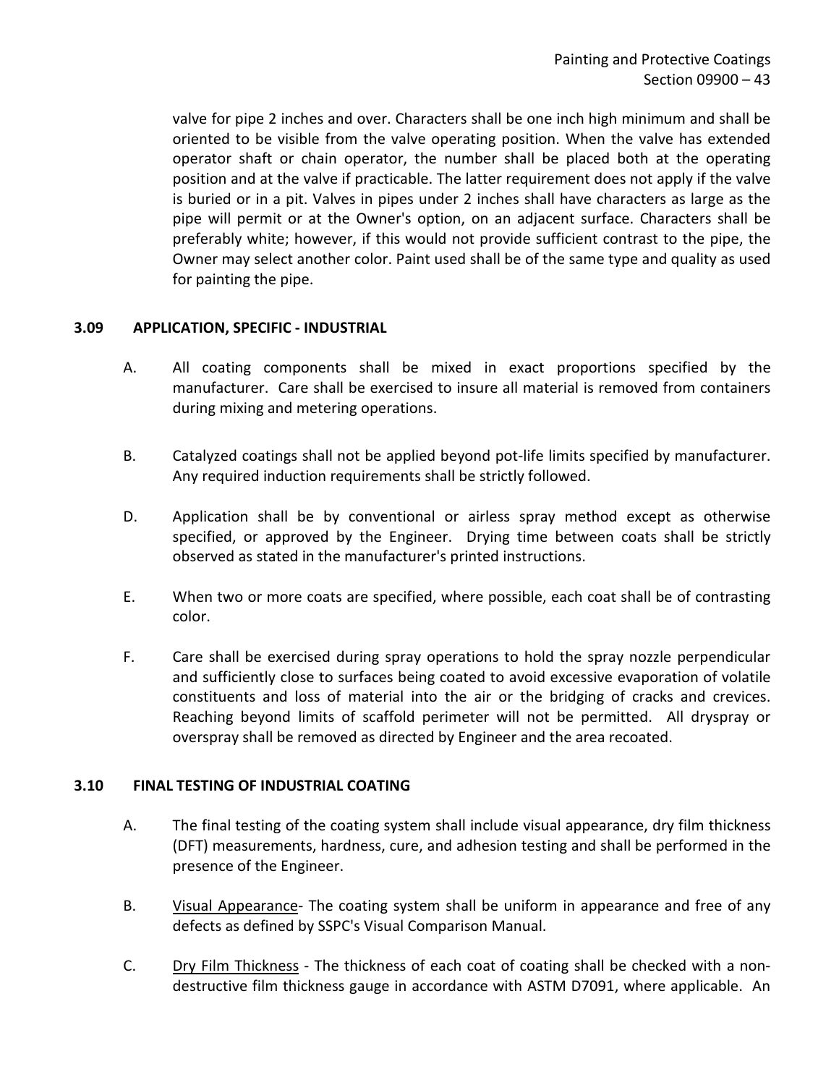valve for pipe 2 inches and over. Characters shall be one inch high minimum and shall be oriented to be visible from the valve operating position. When the valve has extended operator shaft or chain operator, the number shall be placed both at the operating position and at the valve if practicable. The latter requirement does not apply if the valve is buried or in a pit. Valves in pipes under 2 inches shall have characters as large as the pipe will permit or at the Owner's option, on an adjacent surface. Characters shall be preferably white; however, if this would not provide sufficient contrast to the pipe, the Owner may select another color. Paint used shall be of the same type and quality as used for painting the pipe.

### <span id="page-44-0"></span>**3.09 APPLICATION, SPECIFIC - INDUSTRIAL**

- A. All coating components shall be mixed in exact proportions specified by the manufacturer. Care shall be exercised to insure all material is removed from containers during mixing and metering operations.
- B. Catalyzed coatings shall not be applied beyond pot-life limits specified by manufacturer. Any required induction requirements shall be strictly followed.
- D. Application shall be by conventional or airless spray method except as otherwise specified, or approved by the Engineer. Drying time between coats shall be strictly observed as stated in the manufacturer's printed instructions.
- E. When two or more coats are specified, where possible, each coat shall be of contrasting color.
- F. Care shall be exercised during spray operations to hold the spray nozzle perpendicular and sufficiently close to surfaces being coated to avoid excessive evaporation of volatile constituents and loss of material into the air or the bridging of cracks and crevices. Reaching beyond limits of scaffold perimeter will not be permitted. All dryspray or overspray shall be removed as directed by Engineer and the area recoated.

### <span id="page-44-1"></span>**3.10 FINAL TESTING OF INDUSTRIAL COATING**

- A. The final testing of the coating system shall include visual appearance, dry film thickness (DFT) measurements, hardness, cure, and adhesion testing and shall be performed in the presence of the Engineer.
- B. Visual Appearance- The coating system shall be uniform in appearance and free of any defects as defined by SSPC's Visual Comparison Manual.
- C. Dry Film Thickness The thickness of each coat of coating shall be checked with a nondestructive film thickness gauge in accordance with ASTM D7091, where applicable. An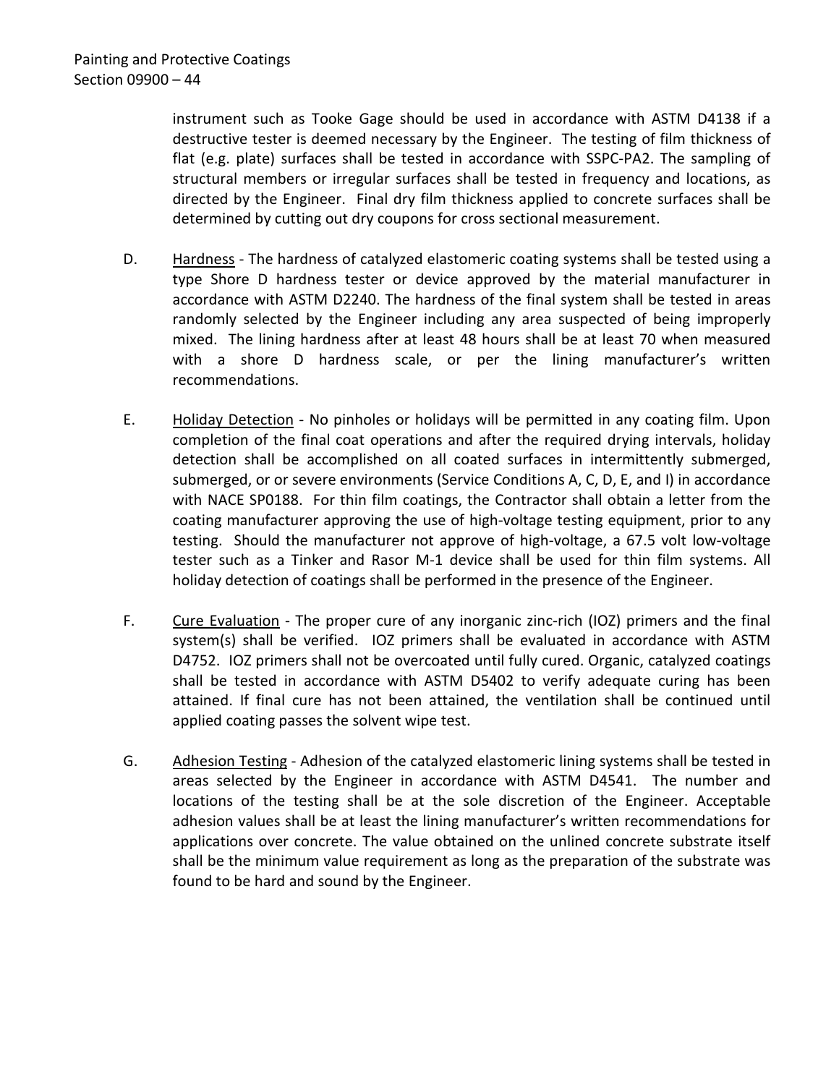instrument such as Tooke Gage should be used in accordance with ASTM D4138 if a destructive tester is deemed necessary by the Engineer. The testing of film thickness of flat (e.g. plate) surfaces shall be tested in accordance with SSPC-PA2. The sampling of structural members or irregular surfaces shall be tested in frequency and locations, as directed by the Engineer. Final dry film thickness applied to concrete surfaces shall be determined by cutting out dry coupons for cross sectional measurement.

- D. Hardness The hardness of catalyzed elastomeric coating systems shall be tested using a type Shore D hardness tester or device approved by the material manufacturer in accordance with ASTM D2240. The hardness of the final system shall be tested in areas randomly selected by the Engineer including any area suspected of being improperly mixed. The lining hardness after at least 48 hours shall be at least 70 when measured with a shore D hardness scale, or per the lining manufacturer's written recommendations.
- E. Holiday Detection No pinholes or holidays will be permitted in any coating film. Upon completion of the final coat operations and after the required drying intervals, holiday detection shall be accomplished on all coated surfaces in intermittently submerged, submerged, or or severe environments (Service Conditions A, C, D, E, and I) in accordance with NACE SP0188. For thin film coatings, the Contractor shall obtain a letter from the coating manufacturer approving the use of high-voltage testing equipment, prior to any testing. Should the manufacturer not approve of high-voltage, a 67.5 volt low-voltage tester such as a Tinker and Rasor M-1 device shall be used for thin film systems. All holiday detection of coatings shall be performed in the presence of the Engineer.
- F. Cure Evaluation The proper cure of any inorganic zinc-rich (IOZ) primers and the final system(s) shall be verified. IOZ primers shall be evaluated in accordance with ASTM D4752. IOZ primers shall not be overcoated until fully cured. Organic, catalyzed coatings shall be tested in accordance with ASTM D5402 to verify adequate curing has been attained. If final cure has not been attained, the ventilation shall be continued until applied coating passes the solvent wipe test.
- G. Adhesion Testing Adhesion of the catalyzed elastomeric lining systems shall be tested in areas selected by the Engineer in accordance with ASTM D4541. The number and locations of the testing shall be at the sole discretion of the Engineer. Acceptable adhesion values shall be at least the lining manufacturer's written recommendations for applications over concrete. The value obtained on the unlined concrete substrate itself shall be the minimum value requirement as long as the preparation of the substrate was found to be hard and sound by the Engineer.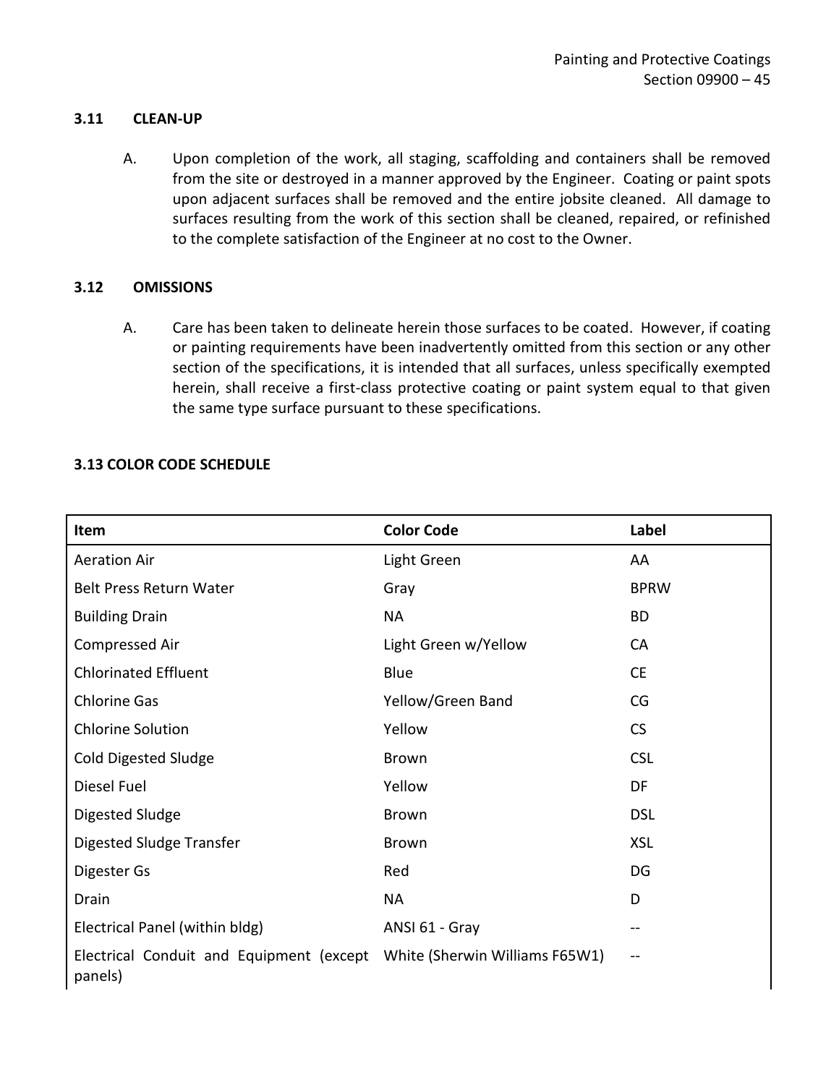#### <span id="page-46-0"></span>**3.11 CLEAN-UP**

A. Upon completion of the work, all staging, scaffolding and containers shall be removed from the site or destroyed in a manner approved by the Engineer. Coating or paint spots upon adjacent surfaces shall be removed and the entire jobsite cleaned. All damage to surfaces resulting from the work of this section shall be cleaned, repaired, or refinished to the complete satisfaction of the Engineer at no cost to the Owner.

#### <span id="page-46-1"></span>**3.12 OMISSIONS**

A. Care has been taken to delineate herein those surfaces to be coated. However, if coating or painting requirements have been inadvertently omitted from this section or any other section of the specifications, it is intended that all surfaces, unless specifically exempted herein, shall receive a first-class protective coating or paint system equal to that given the same type surface pursuant to these specifications.

#### <span id="page-46-2"></span>**3.13 COLOR CODE SCHEDULE**

| Item                                                | <b>Color Code</b>              | Label                    |
|-----------------------------------------------------|--------------------------------|--------------------------|
| <b>Aeration Air</b>                                 | Light Green                    | AA                       |
| <b>Belt Press Return Water</b>                      | Gray                           | <b>BPRW</b>              |
| <b>Building Drain</b>                               | <b>NA</b>                      | <b>BD</b>                |
| Compressed Air                                      | Light Green w/Yellow           | <b>CA</b>                |
| <b>Chlorinated Effluent</b>                         | Blue                           | <b>CE</b>                |
| <b>Chlorine Gas</b>                                 | Yellow/Green Band              | CG                       |
| <b>Chlorine Solution</b>                            | Yellow                         | <b>CS</b>                |
| <b>Cold Digested Sludge</b>                         | <b>Brown</b>                   | <b>CSL</b>               |
| Diesel Fuel                                         | Yellow                         | DF                       |
| Digested Sludge                                     | <b>Brown</b>                   | <b>DSL</b>               |
| Digested Sludge Transfer                            | Brown                          | <b>XSL</b>               |
| Digester Gs                                         | Red                            | DG                       |
| Drain                                               | <b>NA</b>                      | D                        |
| Electrical Panel (within bldg)                      | ANSI 61 - Gray                 | $-$                      |
| Electrical Conduit and Equipment (except<br>panels) | White (Sherwin Williams F65W1) | $\qquad \qquad \qquad -$ |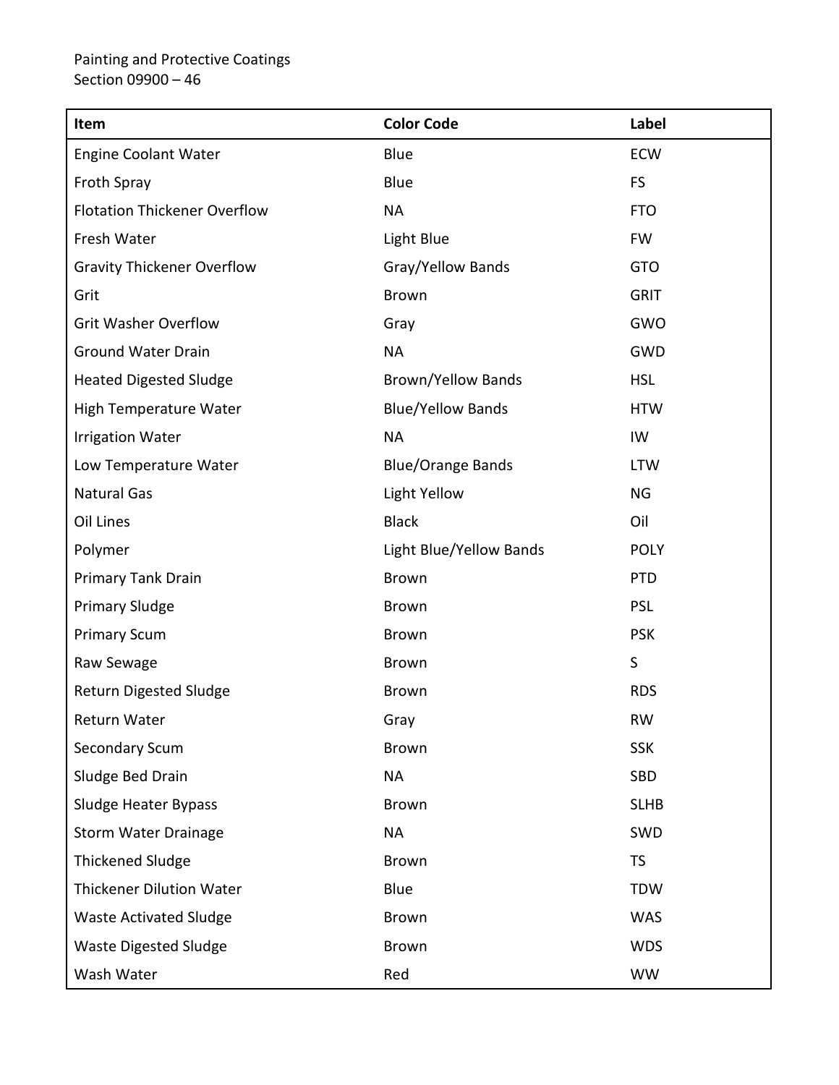| Item                                | <b>Color Code</b>         | Label       |
|-------------------------------------|---------------------------|-------------|
| <b>Engine Coolant Water</b>         | <b>Blue</b>               | ECW         |
| Froth Spray                         | Blue                      | <b>FS</b>   |
| <b>Flotation Thickener Overflow</b> | <b>NA</b>                 | <b>FTO</b>  |
| Fresh Water                         | Light Blue                | <b>FW</b>   |
| <b>Gravity Thickener Overflow</b>   | Gray/Yellow Bands         | <b>GTO</b>  |
| Grit                                | <b>Brown</b>              | <b>GRIT</b> |
| <b>Grit Washer Overflow</b>         | Gray                      | GWO         |
| <b>Ground Water Drain</b>           | <b>NA</b>                 | <b>GWD</b>  |
| <b>Heated Digested Sludge</b>       | <b>Brown/Yellow Bands</b> | <b>HSL</b>  |
| <b>High Temperature Water</b>       | <b>Blue/Yellow Bands</b>  | <b>HTW</b>  |
| <b>Irrigation Water</b>             | <b>NA</b>                 | IW          |
| Low Temperature Water               | <b>Blue/Orange Bands</b>  | <b>LTW</b>  |
| <b>Natural Gas</b>                  | <b>Light Yellow</b>       | NG          |
| Oil Lines                           | <b>Black</b>              | Oil         |
| Polymer                             | Light Blue/Yellow Bands   | <b>POLY</b> |
| Primary Tank Drain                  | <b>Brown</b>              | <b>PTD</b>  |
| <b>Primary Sludge</b>               | <b>Brown</b>              | <b>PSL</b>  |
| <b>Primary Scum</b>                 | Brown                     | <b>PSK</b>  |
| Raw Sewage                          | <b>Brown</b>              | $\mathsf S$ |
| <b>Return Digested Sludge</b>       | <b>Brown</b>              | <b>RDS</b>  |
| Return Water                        | Gray                      | <b>RW</b>   |
| Secondary Scum                      | <b>Brown</b>              | <b>SSK</b>  |
| Sludge Bed Drain                    | <b>NA</b>                 | SBD         |
| Sludge Heater Bypass                | <b>Brown</b>              | <b>SLHB</b> |
| <b>Storm Water Drainage</b>         | <b>NA</b>                 | SWD         |
| <b>Thickened Sludge</b>             | Brown                     | <b>TS</b>   |
| <b>Thickener Dilution Water</b>     | Blue                      | <b>TDW</b>  |
| <b>Waste Activated Sludge</b>       | <b>Brown</b>              | <b>WAS</b>  |
| <b>Waste Digested Sludge</b>        | <b>Brown</b>              | <b>WDS</b>  |
| Wash Water                          | Red                       | <b>WW</b>   |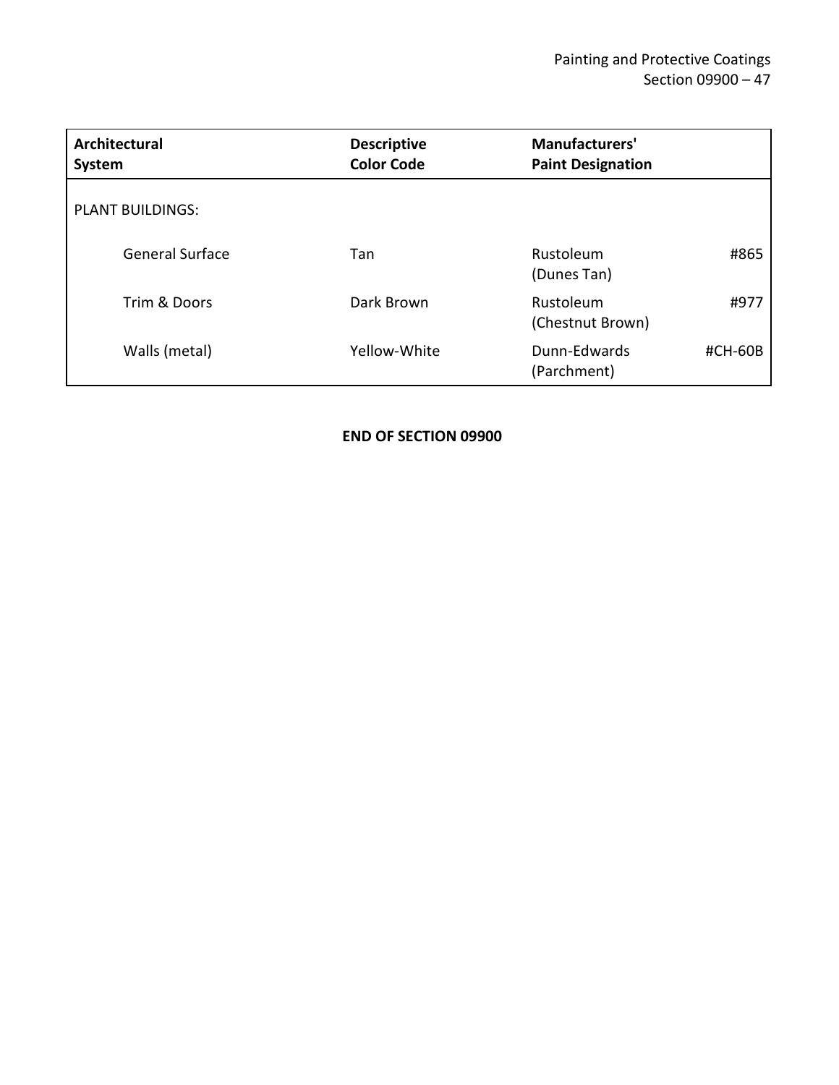| Architectural<br>System | <b>Descriptive</b><br><b>Color Code</b> | Manufacturers'<br><b>Paint Designation</b> |
|-------------------------|-----------------------------------------|--------------------------------------------|
| <b>PLANT BUILDINGS:</b> |                                         |                                            |
| General Surface         | Tan                                     | Rustoleum<br>#865<br>(Dunes Tan)           |
| Trim & Doors            | Dark Brown                              | Rustoleum<br>#977<br>(Chestnut Brown)      |
| Walls (metal)           | Yellow-White                            | Dunn-Edwards<br>#CH-60B<br>(Parchment)     |

**END OF SECTION 09900**